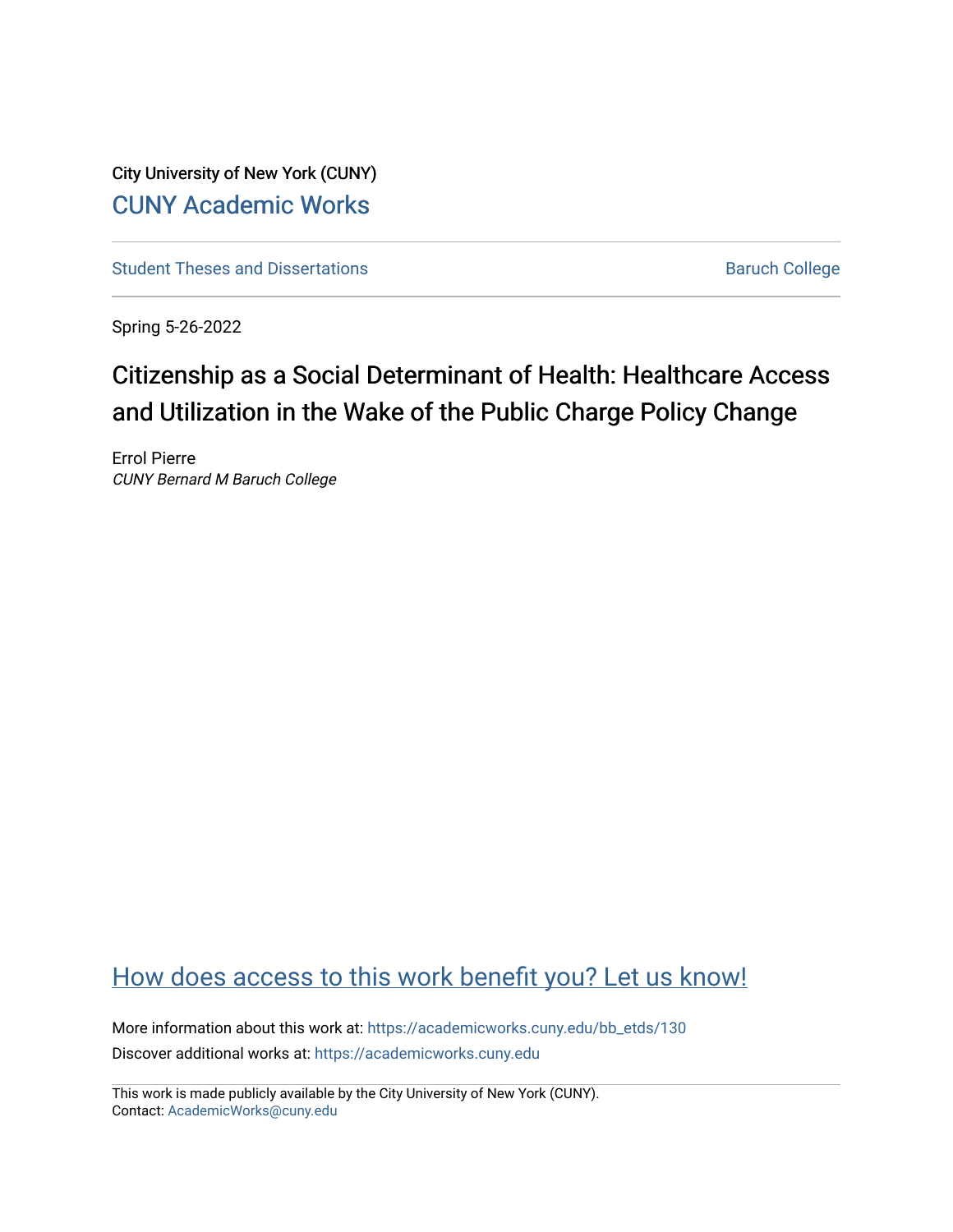City University of New York (CUNY) [CUNY Academic Works](https://academicworks.cuny.edu/) 

[Student Theses and Dissertations](https://academicworks.cuny.edu/bb_etds) **Baruch College** Baruch College

Spring 5-26-2022

# Citizenship as a Social Determinant of Health: Healthcare Access and Utilization in the Wake of the Public Charge Policy Change

Errol Pierre CUNY Bernard M Baruch College

# [How does access to this work benefit you? Let us know!](http://ols.cuny.edu/academicworks/?ref=https://academicworks.cuny.edu/bb_etds/130)

More information about this work at: [https://academicworks.cuny.edu/bb\\_etds/130](https://academicworks.cuny.edu/bb_etds/130) Discover additional works at: [https://academicworks.cuny.edu](https://academicworks.cuny.edu/?)

This work is made publicly available by the City University of New York (CUNY). Contact: [AcademicWorks@cuny.edu](mailto:AcademicWorks@cuny.edu)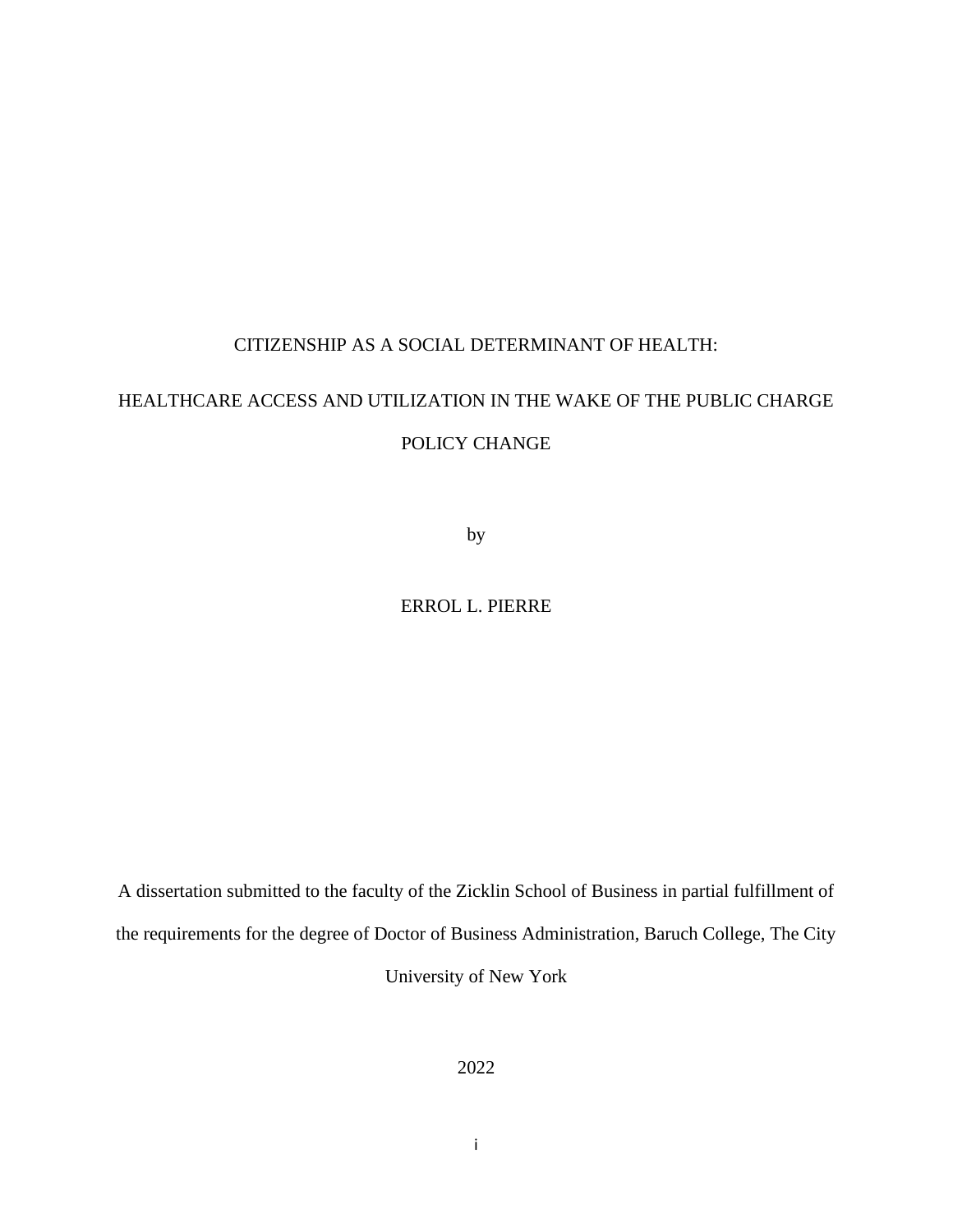## CITIZENSHIP AS A SOCIAL DETERMINANT OF HEALTH:

# HEALTHCARE ACCESS AND UTILIZATION IN THE WAKE OF THE PUBLIC CHARGE POLICY CHANGE

by

ERROL L. PIERRE

A dissertation submitted to the faculty of the Zicklin School of Business in partial fulfillment of the requirements for the degree of Doctor of Business Administration, Baruch College, The City University of New York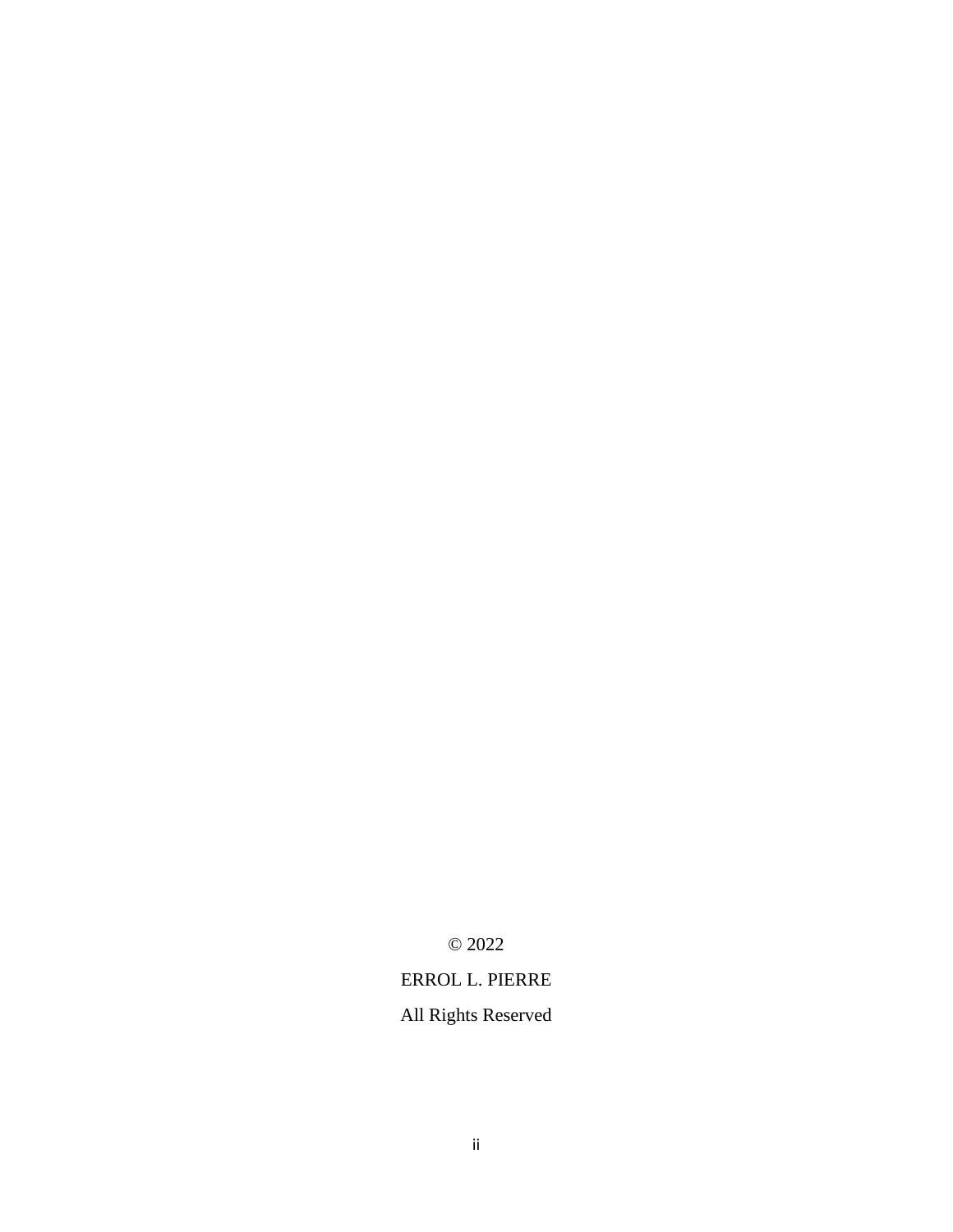© 2022

## ERROL L. PIERRE

## All Rights Reserved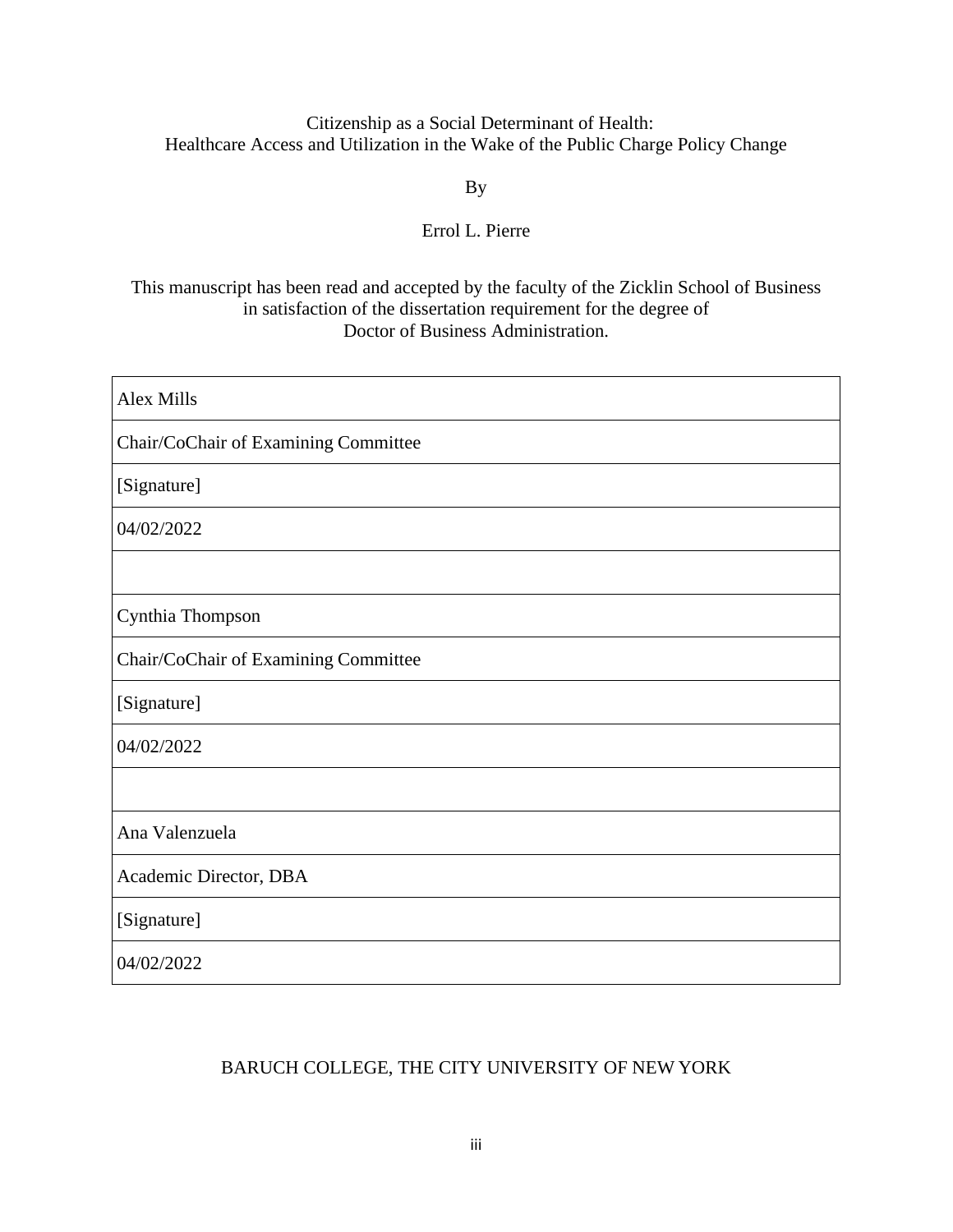## Citizenship as a Social Determinant of Health: Healthcare Access and Utilization in the Wake of the Public Charge Policy Change

## By

## Errol L. Pierre

## This manuscript has been read and accepted by the faculty of the Zicklin School of Business in satisfaction of the dissertation requirement for the degree of Doctor of Business Administration.

| Alex Mills                           |
|--------------------------------------|
| Chair/CoChair of Examining Committee |
| [Signature]                          |
| 04/02/2022                           |
|                                      |
| Cynthia Thompson                     |
| Chair/CoChair of Examining Committee |
| [Signature]                          |
| 04/02/2022                           |
|                                      |
| Ana Valenzuela                       |
| Academic Director, DBA               |
| [Signature]                          |
| 04/02/2022                           |

## BARUCH COLLEGE, THE CITY UNIVERSITY OF NEW YORK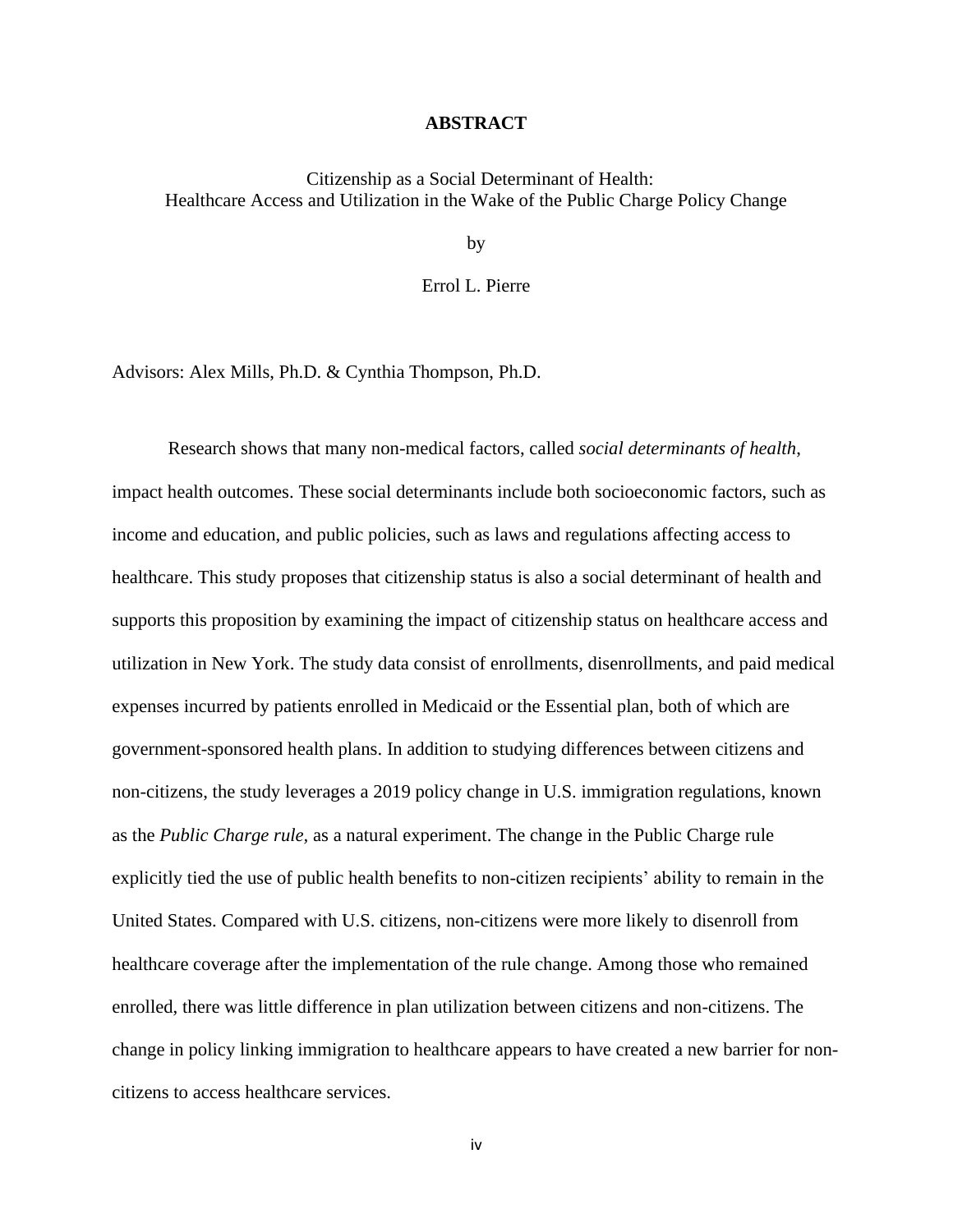#### **ABSTRACT**

Citizenship as a Social Determinant of Health: Healthcare Access and Utilization in the Wake of the Public Charge Policy Change

by

Errol L. Pierre

Advisors: Alex Mills, Ph.D. & Cynthia Thompson, Ph.D.

Research shows that many non-medical factors, called *social determinants of health*, impact health outcomes. These social determinants include both socioeconomic factors, such as income and education, and public policies, such as laws and regulations affecting access to healthcare. This study proposes that citizenship status is also a social determinant of health and supports this proposition by examining the impact of citizenship status on healthcare access and utilization in New York. The study data consist of enrollments, disenrollments, and paid medical expenses incurred by patients enrolled in Medicaid or the Essential plan, both of which are government-sponsored health plans. In addition to studying differences between citizens and non-citizens, the study leverages a 2019 policy change in U.S. immigration regulations, known as the *Public Charge rule,* as a natural experiment. The change in the Public Charge rule explicitly tied the use of public health benefits to non-citizen recipients' ability to remain in the United States. Compared with U.S. citizens, non-citizens were more likely to disenroll from healthcare coverage after the implementation of the rule change. Among those who remained enrolled, there was little difference in plan utilization between citizens and non-citizens. The change in policy linking immigration to healthcare appears to have created a new barrier for noncitizens to access healthcare services.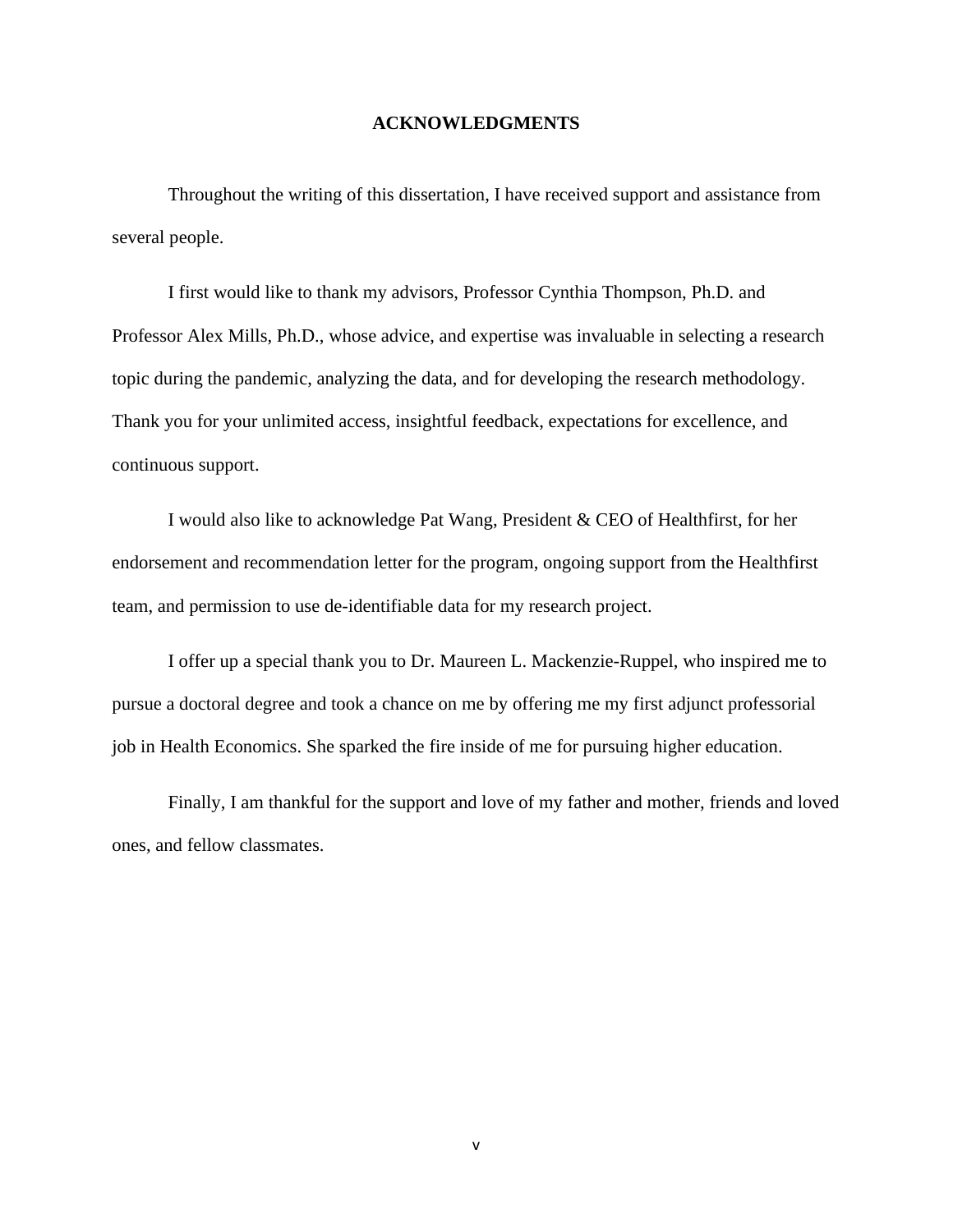#### **ACKNOWLEDGMENTS**

Throughout the writing of this dissertation, I have received support and assistance from several people.

I first would like to thank my advisors, Professor Cynthia Thompson, Ph.D. and Professor Alex Mills, Ph.D., whose advice, and expertise was invaluable in selecting a research topic during the pandemic, analyzing the data, and for developing the research methodology. Thank you for your unlimited access, insightful feedback, expectations for excellence, and continuous support.

I would also like to acknowledge Pat Wang, President & CEO of Healthfirst, for her endorsement and recommendation letter for the program, ongoing support from the Healthfirst team, and permission to use de-identifiable data for my research project.

I offer up a special thank you to Dr. Maureen L. Mackenzie-Ruppel, who inspired me to pursue a doctoral degree and took a chance on me by offering me my first adjunct professorial job in Health Economics. She sparked the fire inside of me for pursuing higher education.

Finally, I am thankful for the support and love of my father and mother, friends and loved ones, and fellow classmates.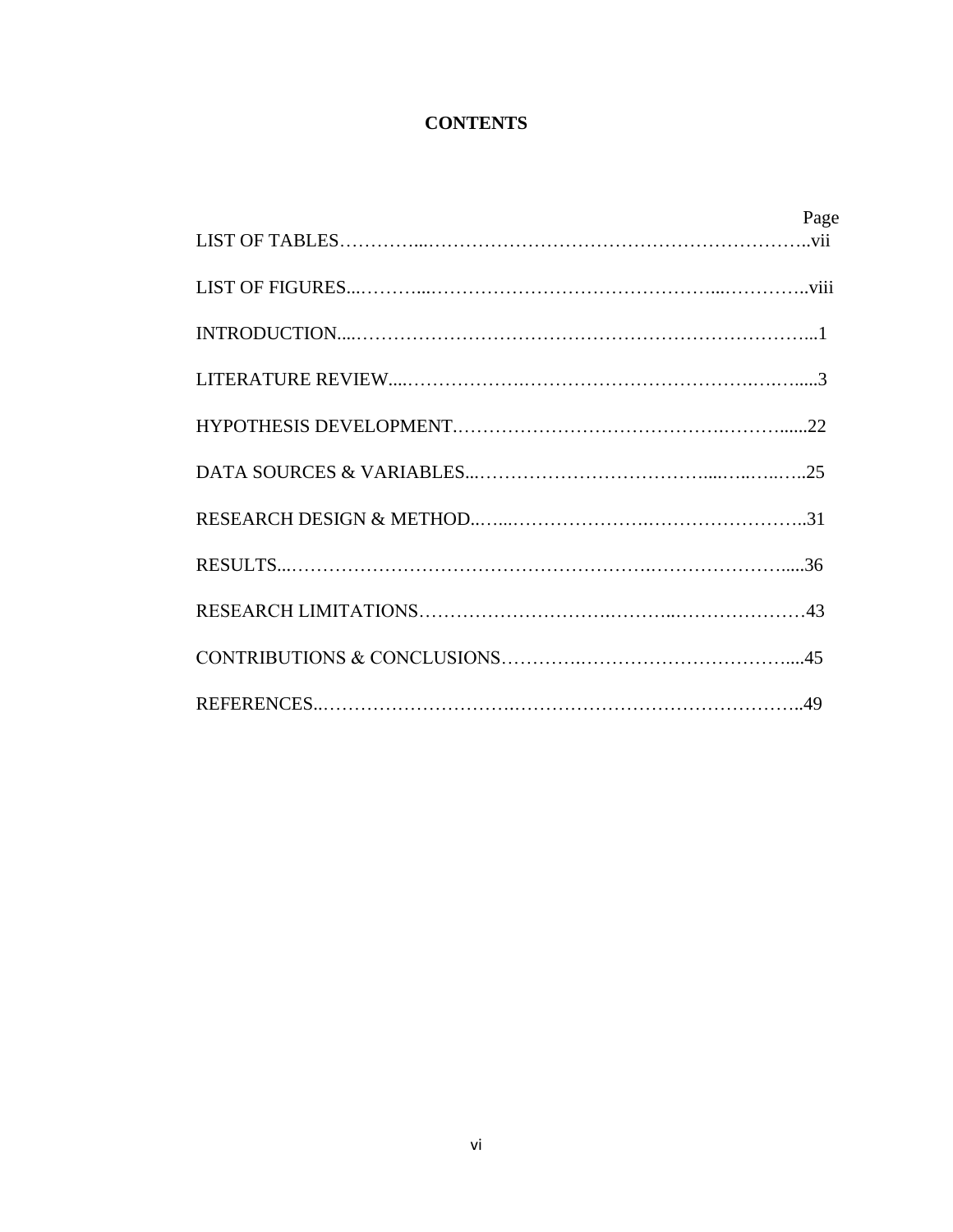## **CONTENTS**

| Page |
|------|
|      |
|      |
|      |
|      |
|      |
|      |
|      |
|      |
|      |
|      |
|      |
|      |
|      |
|      |
|      |
|      |
|      |
|      |
|      |
|      |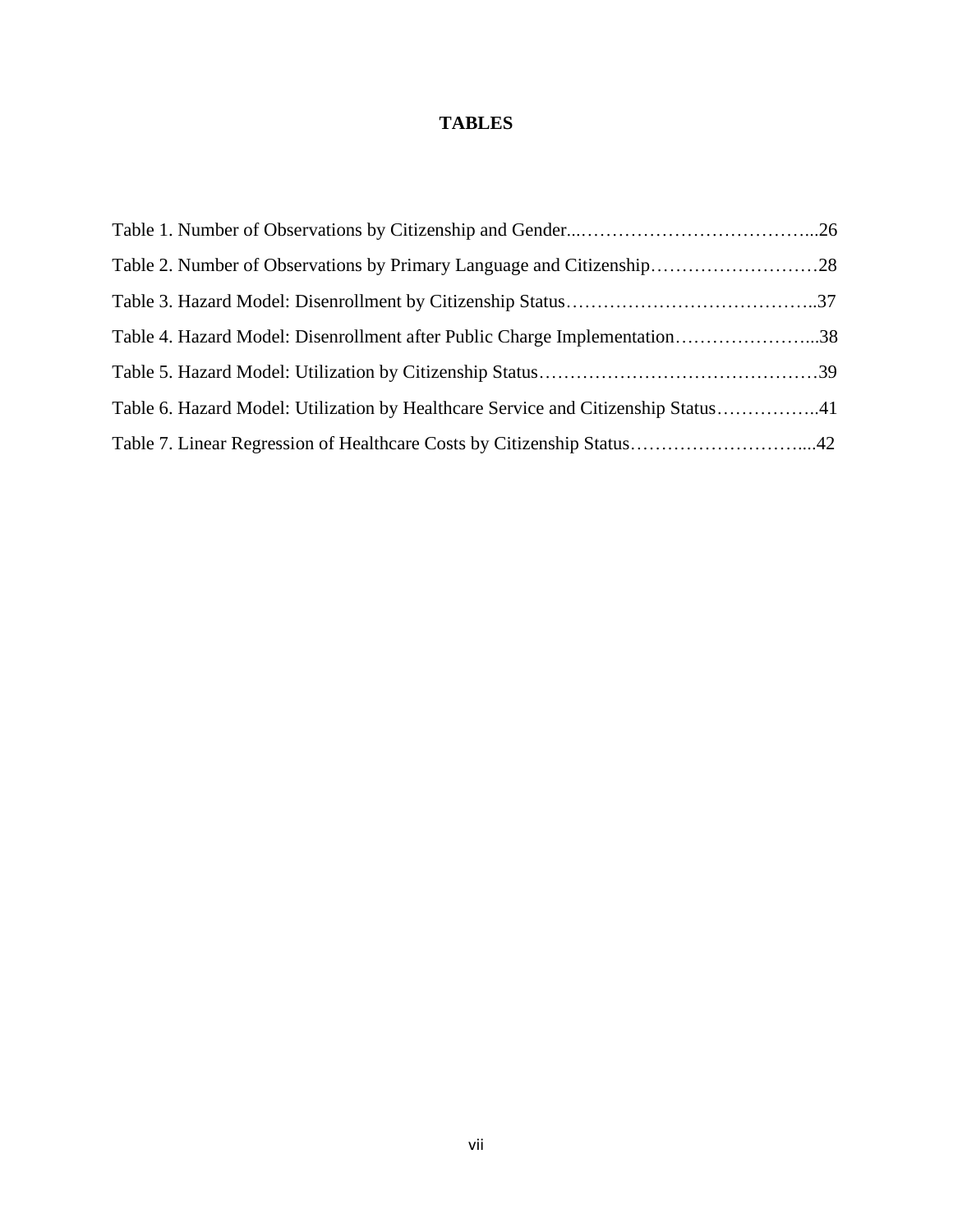## **TABLES**

| Table 4. Hazard Model: Disenrollment after Public Charge Implementation38         |  |
|-----------------------------------------------------------------------------------|--|
|                                                                                   |  |
| Table 6. Hazard Model: Utilization by Healthcare Service and Citizenship Status41 |  |
| Table 7. Linear Regression of Healthcare Costs by Citizenship Status42            |  |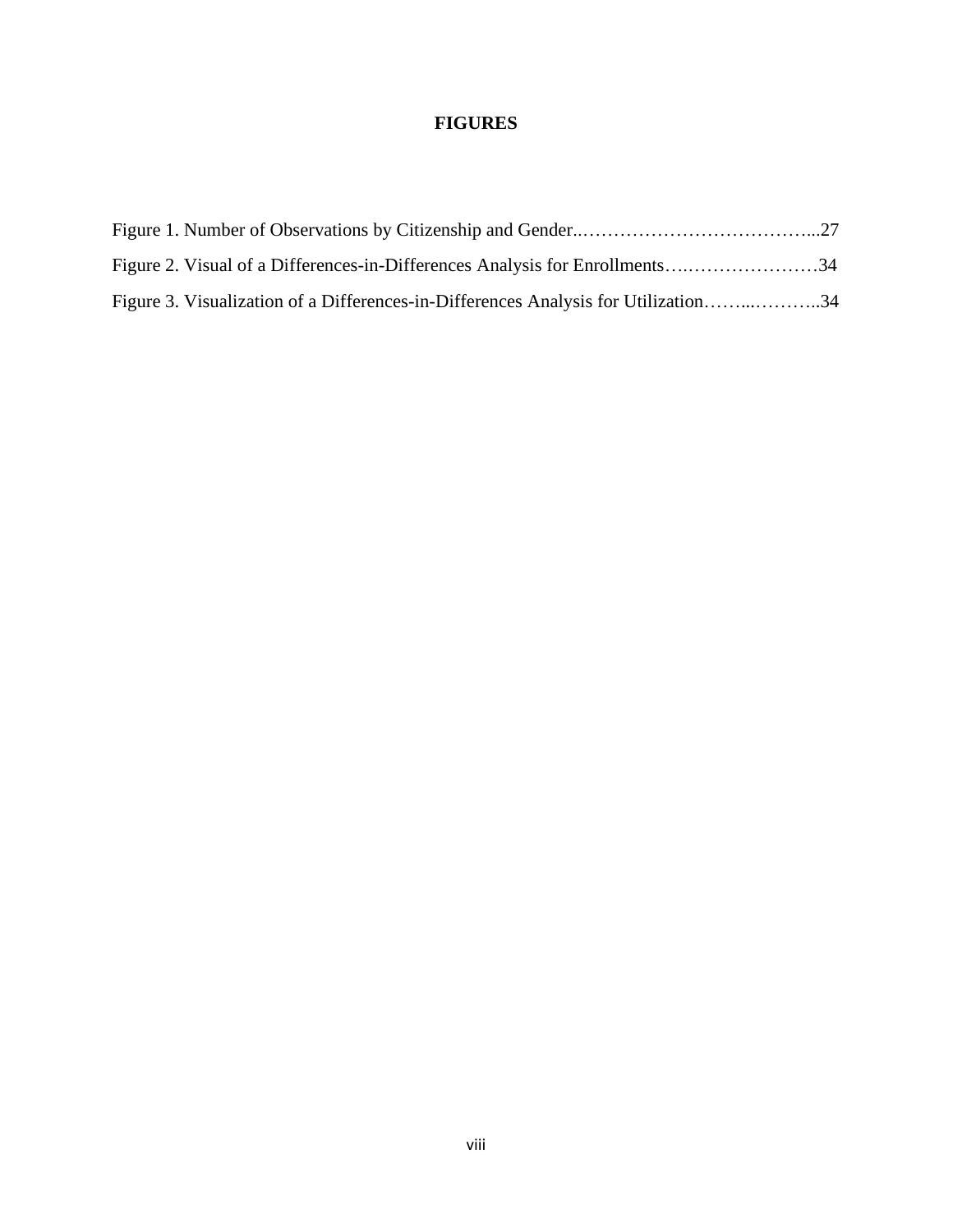## **FIGURES**

| Figure 2. Visual of a Differences-in-Differences Analysis for Enrollments34        |  |
|------------------------------------------------------------------------------------|--|
| Figure 3. Visualization of a Differences-in-Differences Analysis for Utilization34 |  |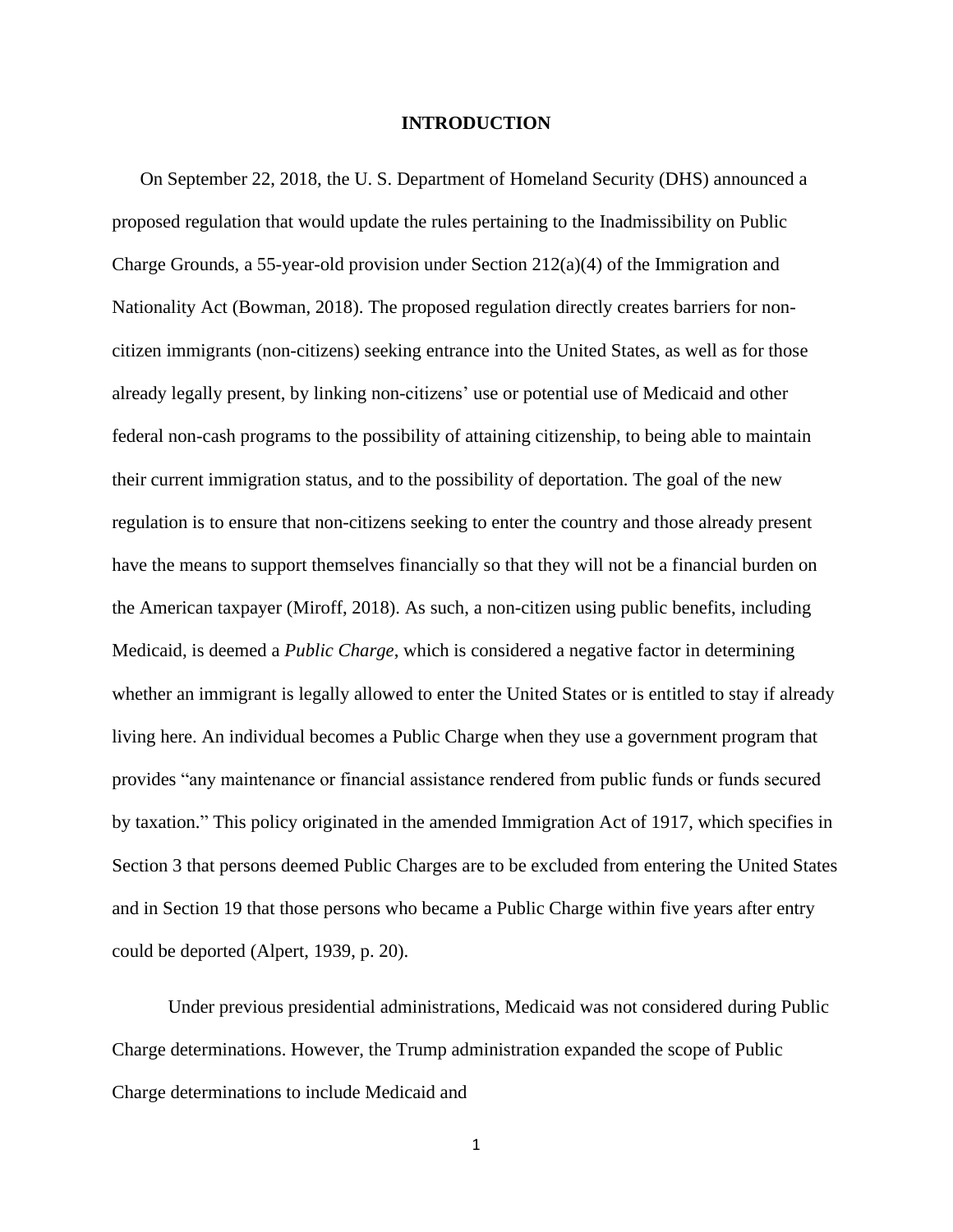#### **INTRODUCTION**

On September 22, 2018, the U. S. Department of Homeland Security (DHS) announced a proposed regulation that would update the rules pertaining to the Inadmissibility on Public Charge Grounds, a 55-year-old provision under Section 212(a)(4) of the Immigration and Nationality Act (Bowman, 2018). The proposed regulation directly creates barriers for noncitizen immigrants (non-citizens) seeking entrance into the United States, as well as for those already legally present, by linking non-citizens' use or potential use of Medicaid and other federal non-cash programs to the possibility of attaining citizenship, to being able to maintain their current immigration status, and to the possibility of deportation. The goal of the new regulation is to ensure that non-citizens seeking to enter the country and those already present have the means to support themselves financially so that they will not be a financial burden on the American taxpayer (Miroff, 2018). As such, a non-citizen using public benefits, including Medicaid, is deemed a *Public Charge*, which is considered a negative factor in determining whether an immigrant is legally allowed to enter the United States or is entitled to stay if already living here. An individual becomes a Public Charge when they use a government program that provides "any maintenance or financial assistance rendered from public funds or funds secured by taxation." This policy originated in the amended Immigration Act of 1917, which specifies in Section 3 that persons deemed Public Charges are to be excluded from entering the United States and in Section 19 that those persons who became a Public Charge within five years after entry could be deported (Alpert, 1939, p. 20).

Under previous presidential administrations, Medicaid was not considered during Public Charge determinations. However, the Trump administration expanded the scope of Public Charge determinations to include Medicaid and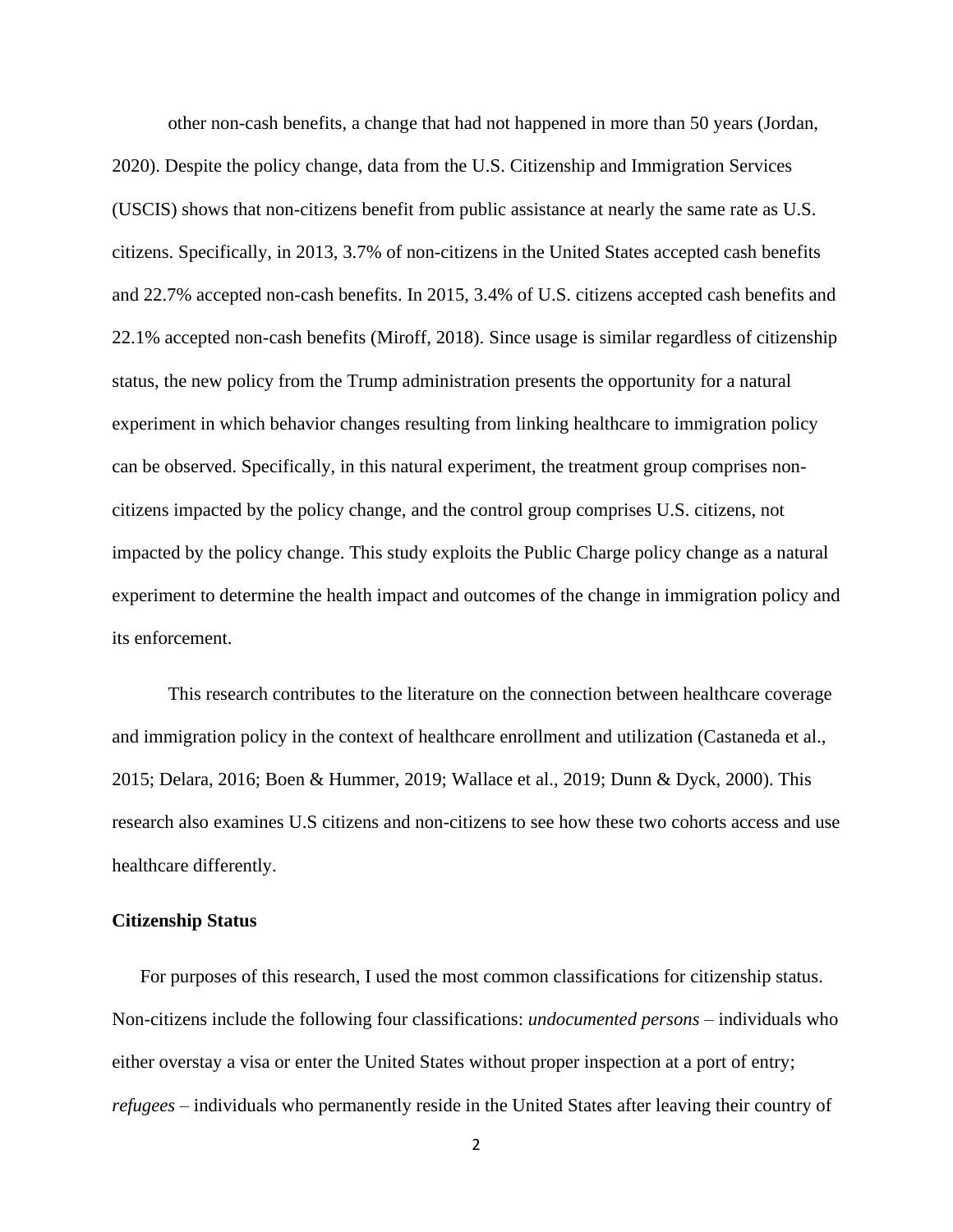other non-cash benefits, a change that had not happened in more than 50 years (Jordan, 2020). Despite the policy change, data from the U.S. Citizenship and Immigration Services (USCIS) shows that non-citizens benefit from public assistance at nearly the same rate as U.S. citizens. Specifically, in 2013, 3.7% of non-citizens in the United States accepted cash benefits and 22.7% accepted non-cash benefits. In 2015, 3.4% of U.S. citizens accepted cash benefits and 22.1% accepted non-cash benefits (Miroff, 2018). Since usage is similar regardless of citizenship status, the new policy from the Trump administration presents the opportunity for a natural experiment in which behavior changes resulting from linking healthcare to immigration policy can be observed. Specifically, in this natural experiment, the treatment group comprises noncitizens impacted by the policy change, and the control group comprises U.S. citizens, not impacted by the policy change. This study exploits the Public Charge policy change as a natural experiment to determine the health impact and outcomes of the change in immigration policy and its enforcement.

This research contributes to the literature on the connection between healthcare coverage and immigration policy in the context of healthcare enrollment and utilization (Castaneda et al., 2015; Delara, 2016; Boen & Hummer, 2019; Wallace et al., 2019; Dunn & Dyck, 2000). This research also examines U.S citizens and non-citizens to see how these two cohorts access and use healthcare differently.

#### **Citizenship Status**

For purposes of this research, I used the most common classifications for citizenship status. Non-citizens include the following four classifications: *undocumented persons –* individuals who either overstay a visa or enter the United States without proper inspection at a port of entry; *refugees* – individuals who permanently reside in the United States after leaving their country of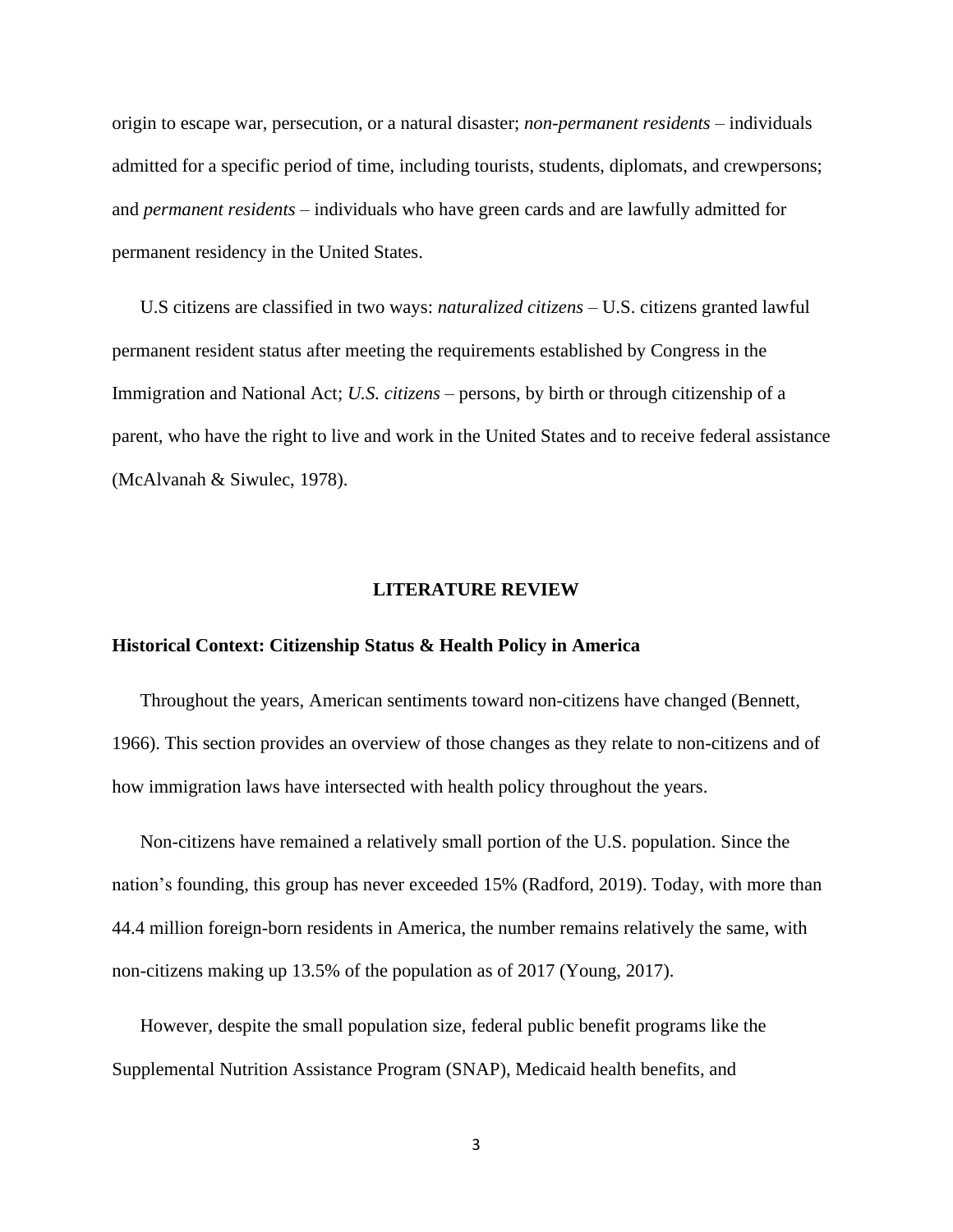origin to escape war, persecution, or a natural disaster; *non-permanent residents –* individuals admitted for a specific period of time, including tourists, students, diplomats, and crewpersons; and *permanent residents* – individuals who have green cards and are lawfully admitted for permanent residency in the United States.

U.S citizens are classified in two ways: *naturalized citizens* – U.S. citizens granted lawful permanent resident status after meeting the requirements established by Congress in the Immigration and National Act; *U.S. citizens* – persons, by birth or through citizenship of a parent, who have the right to live and work in the United States and to receive federal assistance (McAlvanah & Siwulec, 1978).

#### **LITERATURE REVIEW**

#### **Historical Context: Citizenship Status & Health Policy in America**

Throughout the years, American sentiments toward non-citizens have changed (Bennett, 1966). This section provides an overview of those changes as they relate to non-citizens and of how immigration laws have intersected with health policy throughout the years.

Non-citizens have remained a relatively small portion of the U.S. population. Since the nation's founding, this group has never exceeded 15% (Radford, 2019). Today, with more than 44.4 million foreign-born residents in America, the number remains relatively the same, with non-citizens making up 13.5% of the population as of 2017 (Young, 2017).

However, despite the small population size, federal public benefit programs like the Supplemental Nutrition Assistance Program (SNAP), Medicaid health benefits, and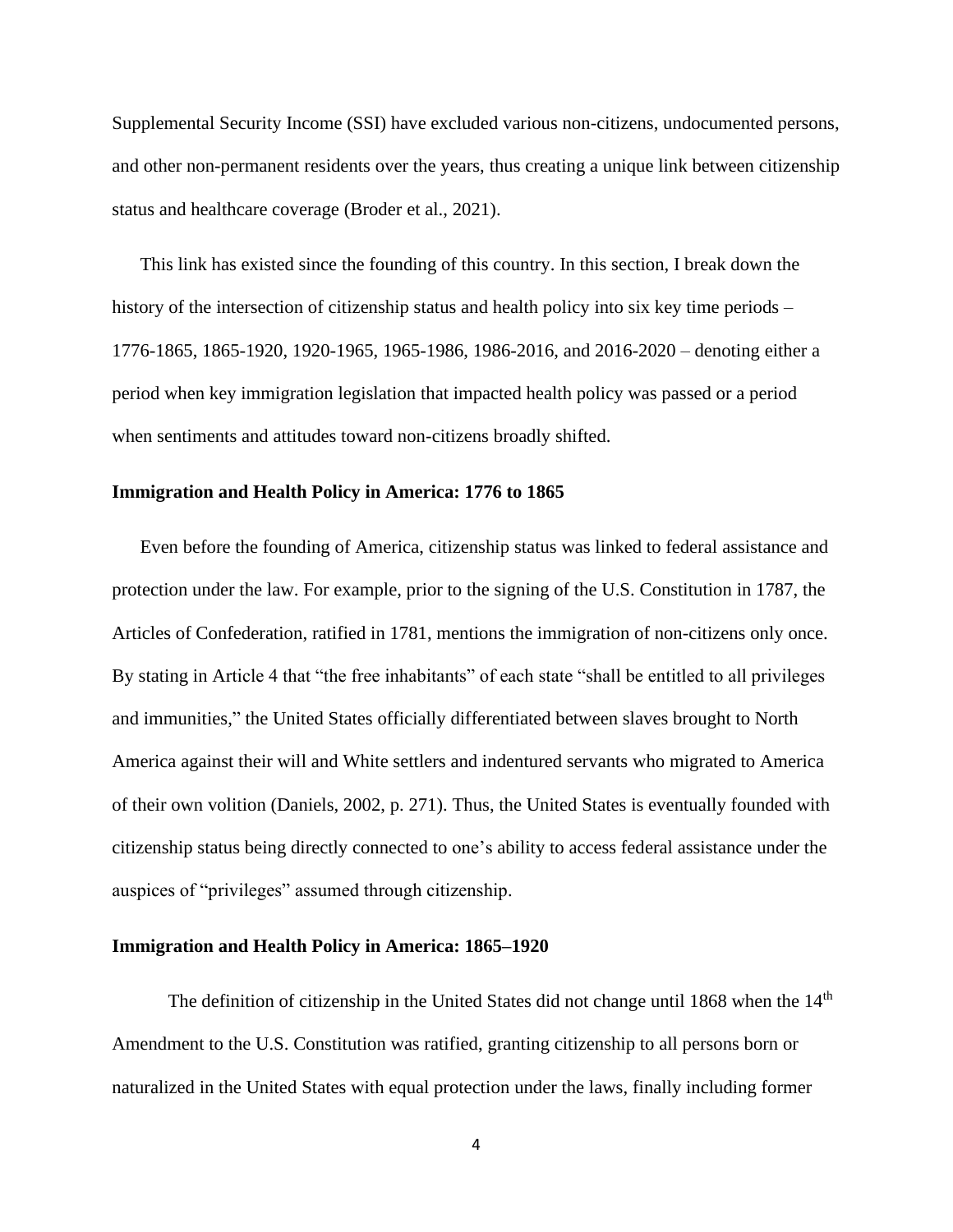Supplemental Security Income (SSI) have excluded various non-citizens, undocumented persons, and other non-permanent residents over the years, thus creating a unique link between citizenship status and healthcare coverage (Broder et al., 2021).

This link has existed since the founding of this country. In this section, I break down the history of the intersection of citizenship status and health policy into six key time periods – 1776-1865, 1865-1920, 1920-1965, 1965-1986, 1986-2016, and 2016-2020 – denoting either a period when key immigration legislation that impacted health policy was passed or a period when sentiments and attitudes toward non-citizens broadly shifted.

#### **Immigration and Health Policy in America: 1776 to 1865**

Even before the founding of America, citizenship status was linked to federal assistance and protection under the law. For example, prior to the signing of the U.S. Constitution in 1787, the Articles of Confederation, ratified in 1781, mentions the immigration of non-citizens only once. By stating in Article 4 that "the free inhabitants" of each state "shall be entitled to all privileges and immunities," the United States officially differentiated between slaves brought to North America against their will and White settlers and indentured servants who migrated to America of their own volition (Daniels, 2002, p. 271). Thus, the United States is eventually founded with citizenship status being directly connected to one's ability to access federal assistance under the auspices of "privileges" assumed through citizenship.

#### **Immigration and Health Policy in America: 1865–1920**

The definition of citizenship in the United States did not change until 1868 when the  $14<sup>th</sup>$ Amendment to the U.S. Constitution was ratified, granting citizenship to all persons born or naturalized in the United States with equal protection under the laws, finally including former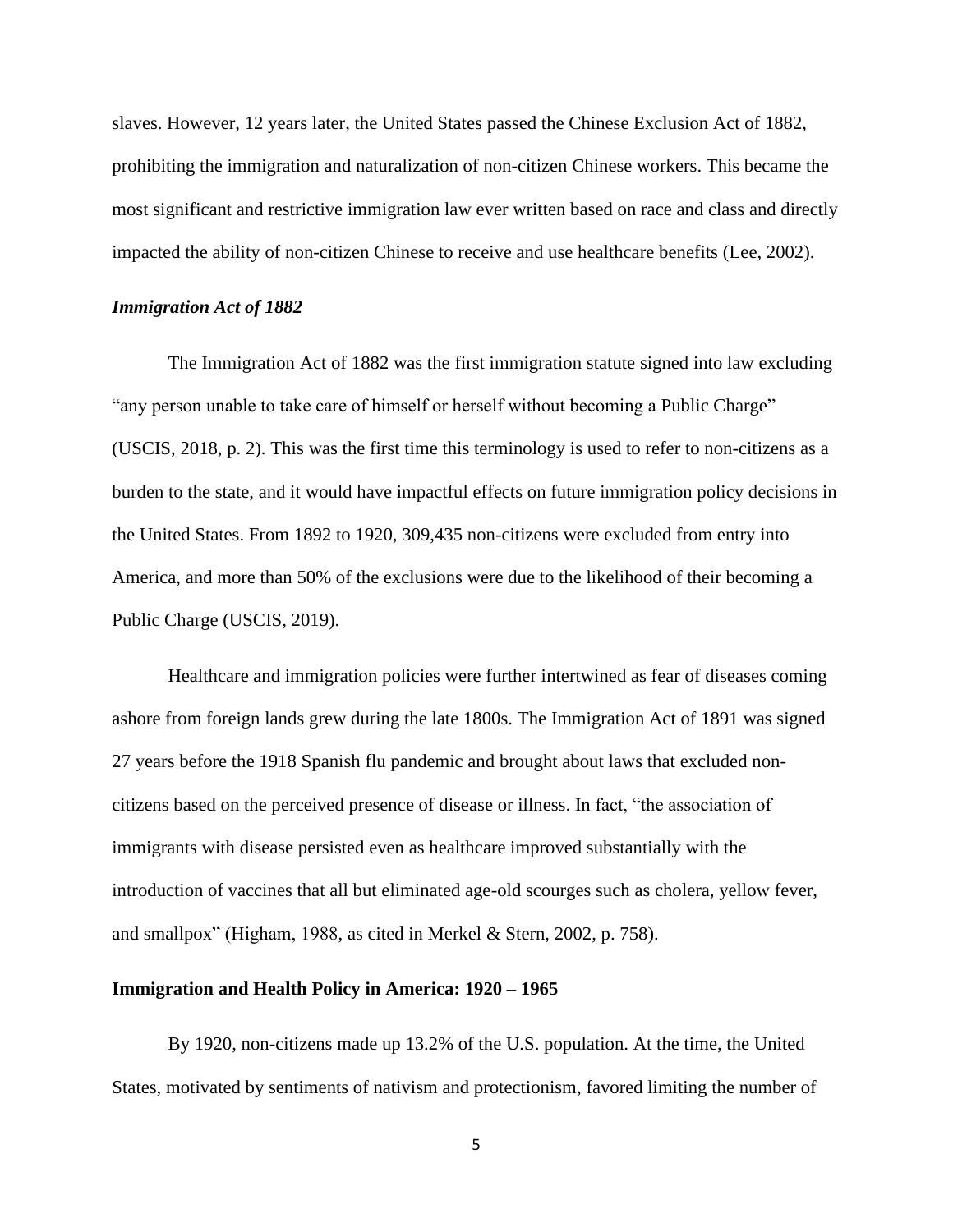slaves. However, 12 years later, the United States passed the Chinese Exclusion Act of 1882, prohibiting the immigration and naturalization of non-citizen Chinese workers. This became the most significant and restrictive immigration law ever written based on race and class and directly impacted the ability of non-citizen Chinese to receive and use healthcare benefits (Lee, 2002).

#### *Immigration Act of 1882*

The Immigration Act of 1882 was the first immigration statute signed into law excluding "any person unable to take care of himself or herself without becoming a Public Charge" (USCIS, 2018, p. 2). This was the first time this terminology is used to refer to non-citizens as a burden to the state, and it would have impactful effects on future immigration policy decisions in the United States. From 1892 to 1920, 309,435 non-citizens were excluded from entry into America, and more than 50% of the exclusions were due to the likelihood of their becoming a Public Charge (USCIS, 2019).

Healthcare and immigration policies were further intertwined as fear of diseases coming ashore from foreign lands grew during the late 1800s. The Immigration Act of 1891 was signed 27 years before the 1918 Spanish flu pandemic and brought about laws that excluded noncitizens based on the perceived presence of disease or illness. In fact, "the association of immigrants with disease persisted even as healthcare improved substantially with the introduction of vaccines that all but eliminated age-old scourges such as cholera, yellow fever, and smallpox" (Higham, 1988, as cited in Merkel & Stern, 2002, p. 758).

#### **Immigration and Health Policy in America: 1920 – 1965**

By 1920, non-citizens made up 13.2% of the U.S. population. At the time, the United States, motivated by sentiments of nativism and protectionism, favored limiting the number of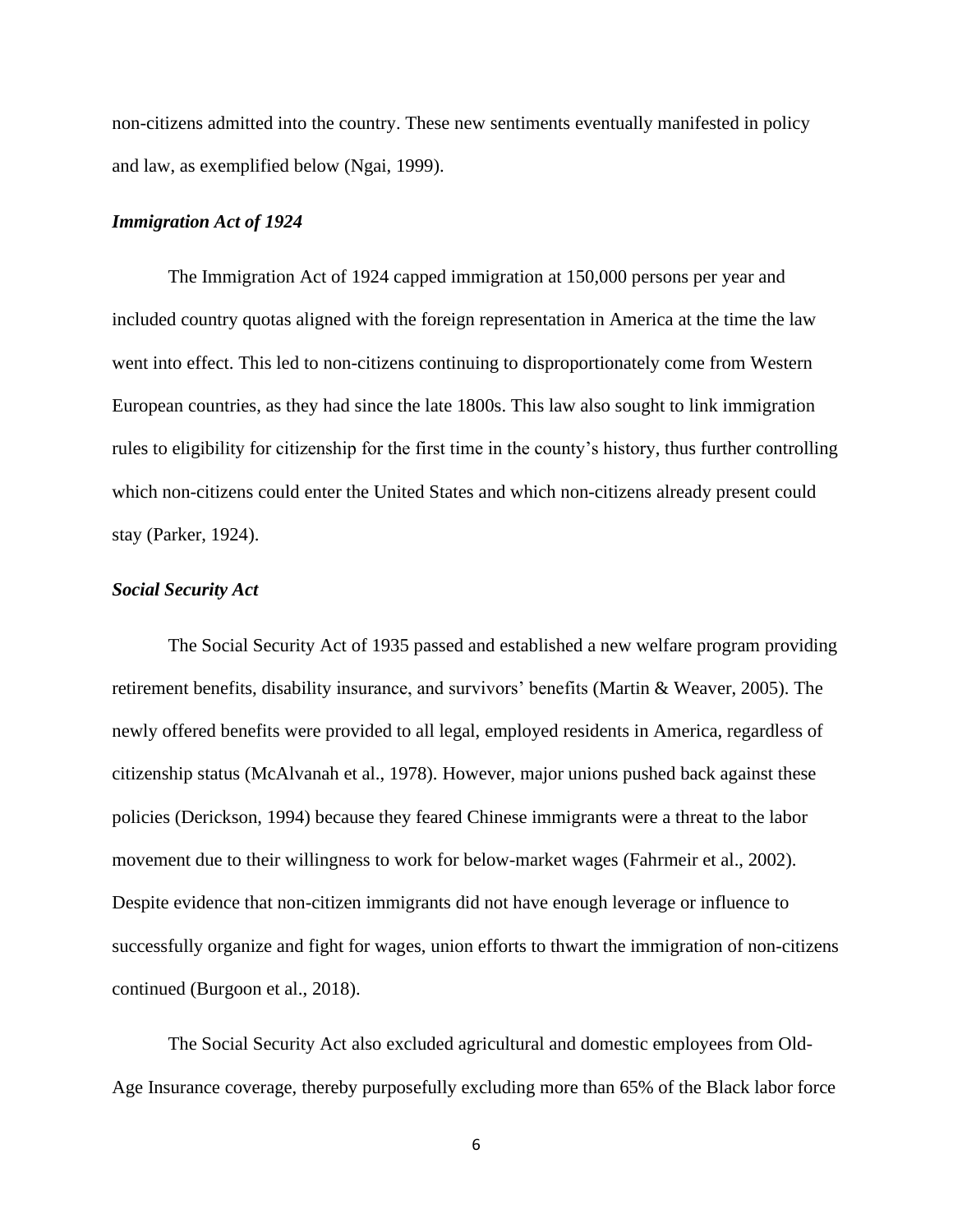non-citizens admitted into the country. These new sentiments eventually manifested in policy and law, as exemplified below (Ngai, 1999).

#### *Immigration Act of 1924*

The Immigration Act of 1924 capped immigration at 150,000 persons per year and included country quotas aligned with the foreign representation in America at the time the law went into effect. This led to non-citizens continuing to disproportionately come from Western European countries, as they had since the late 1800s. This law also sought to link immigration rules to eligibility for citizenship for the first time in the county's history, thus further controlling which non-citizens could enter the United States and which non-citizens already present could stay (Parker, 1924).

#### *Social Security Act*

The Social Security Act of 1935 passed and established a new welfare program providing retirement benefits, disability insurance, and survivors' benefits (Martin & Weaver, 2005). The newly offered benefits were provided to all legal, employed residents in America, regardless of citizenship status (McAlvanah et al., 1978). However, major unions pushed back against these policies (Derickson, 1994) because they feared Chinese immigrants were a threat to the labor movement due to their willingness to work for below-market wages (Fahrmeir et al., 2002). Despite evidence that non-citizen immigrants did not have enough leverage or influence to successfully organize and fight for wages, union efforts to thwart the immigration of non-citizens continued (Burgoon et al., 2018).

The Social Security Act also excluded agricultural and domestic employees from Old-Age Insurance coverage, thereby purposefully excluding more than 65% of the Black labor force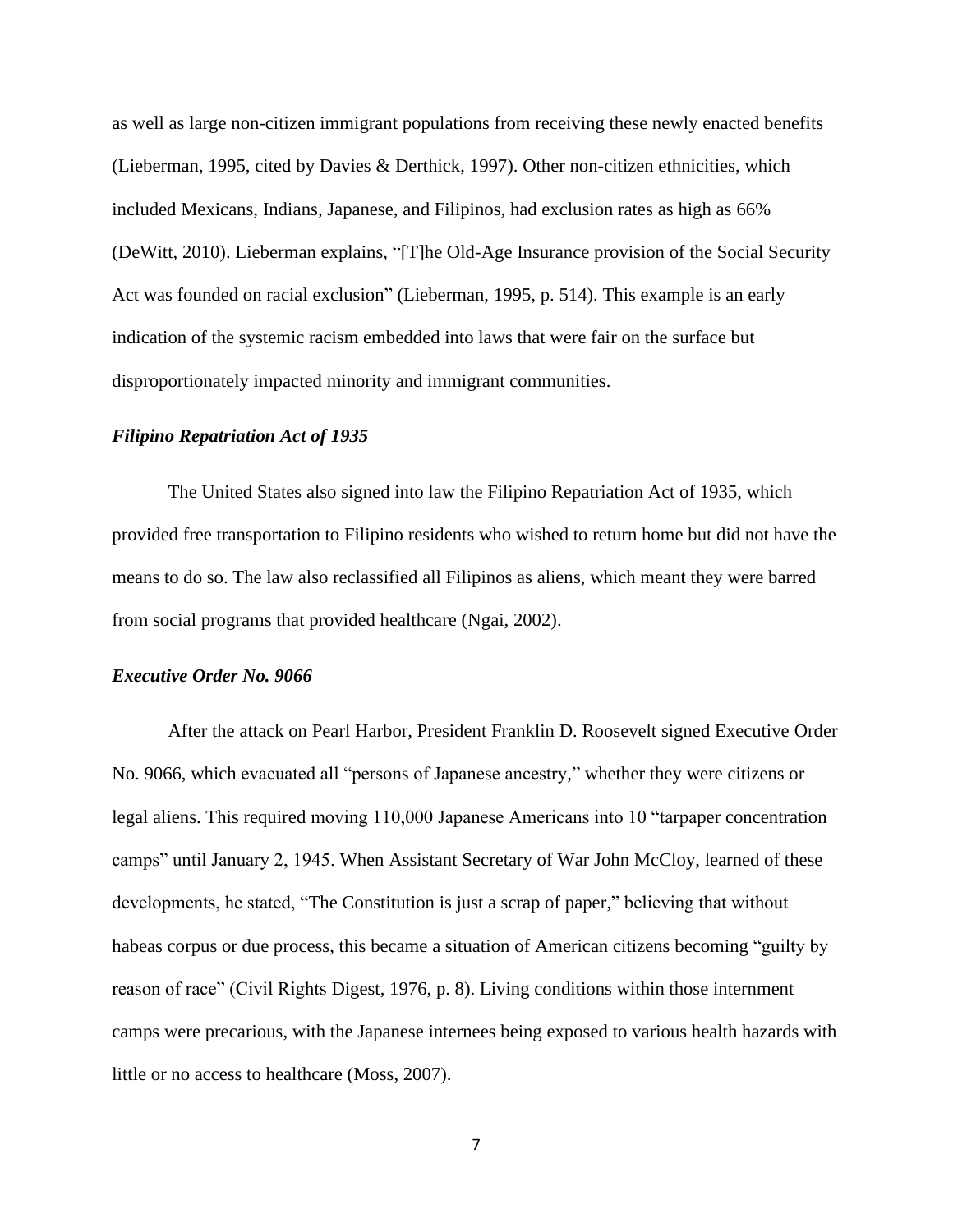as well as large non-citizen immigrant populations from receiving these newly enacted benefits (Lieberman, 1995, cited by Davies & Derthick, 1997). Other non-citizen ethnicities, which included Mexicans, Indians, Japanese, and Filipinos, had exclusion rates as high as 66% (DeWitt, 2010). Lieberman explains, "[T]he Old-Age Insurance provision of the Social Security Act was founded on racial exclusion" (Lieberman, 1995, p. 514). This example is an early indication of the systemic racism embedded into laws that were fair on the surface but disproportionately impacted minority and immigrant communities.

#### *Filipino Repatriation Act of 1935*

The United States also signed into law the Filipino Repatriation Act of 1935, which provided free transportation to Filipino residents who wished to return home but did not have the means to do so. The law also reclassified all Filipinos as aliens, which meant they were barred from social programs that provided healthcare (Ngai, 2002).

#### *Executive Order No. 9066*

After the attack on Pearl Harbor, President Franklin D. Roosevelt signed Executive Order No. 9066, which evacuated all "persons of Japanese ancestry," whether they were citizens or legal aliens. This required moving 110,000 Japanese Americans into 10 "tarpaper concentration camps" until January 2, 1945. When Assistant Secretary of War John McCloy, learned of these developments, he stated, "The Constitution is just a scrap of paper," believing that without habeas corpus or due process, this became a situation of American citizens becoming "guilty by reason of race" (Civil Rights Digest, 1976, p. 8). Living conditions within those internment camps were precarious, with the Japanese internees being exposed to various health hazards with little or no access to healthcare (Moss, 2007).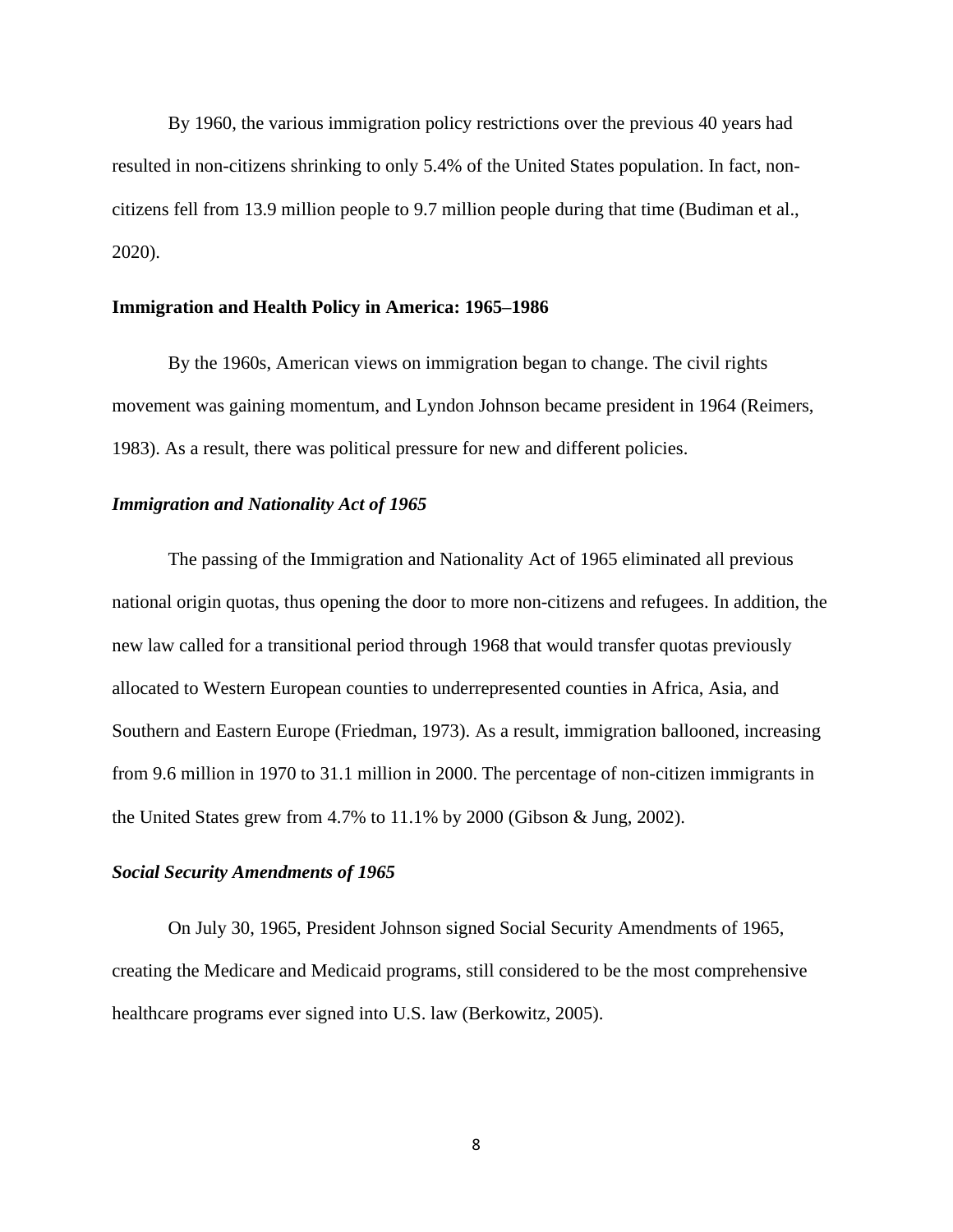By 1960, the various immigration policy restrictions over the previous 40 years had resulted in non-citizens shrinking to only 5.4% of the United States population. In fact, noncitizens fell from 13.9 million people to 9.7 million people during that time (Budiman et al., 2020).

#### **Immigration and Health Policy in America: 1965–1986**

By the 1960s, American views on immigration began to change. The civil rights movement was gaining momentum, and Lyndon Johnson became president in 1964 (Reimers, 1983). As a result, there was political pressure for new and different policies.

#### *Immigration and Nationality Act of 1965*

The passing of the Immigration and Nationality Act of 1965 eliminated all previous national origin quotas, thus opening the door to more non-citizens and refugees. In addition, the new law called for a transitional period through 1968 that would transfer quotas previously allocated to Western European counties to underrepresented counties in Africa, Asia, and Southern and Eastern Europe (Friedman, 1973). As a result, immigration ballooned, increasing from 9.6 million in 1970 to 31.1 million in 2000. The percentage of non-citizen immigrants in the United States grew from 4.7% to 11.1% by 2000 (Gibson & Jung, 2002).

#### *Social Security Amendments of 1965*

On July 30, 1965, President Johnson signed Social Security Amendments of 1965, creating the Medicare and Medicaid programs, still considered to be the most comprehensive healthcare programs ever signed into U.S. law (Berkowitz, 2005).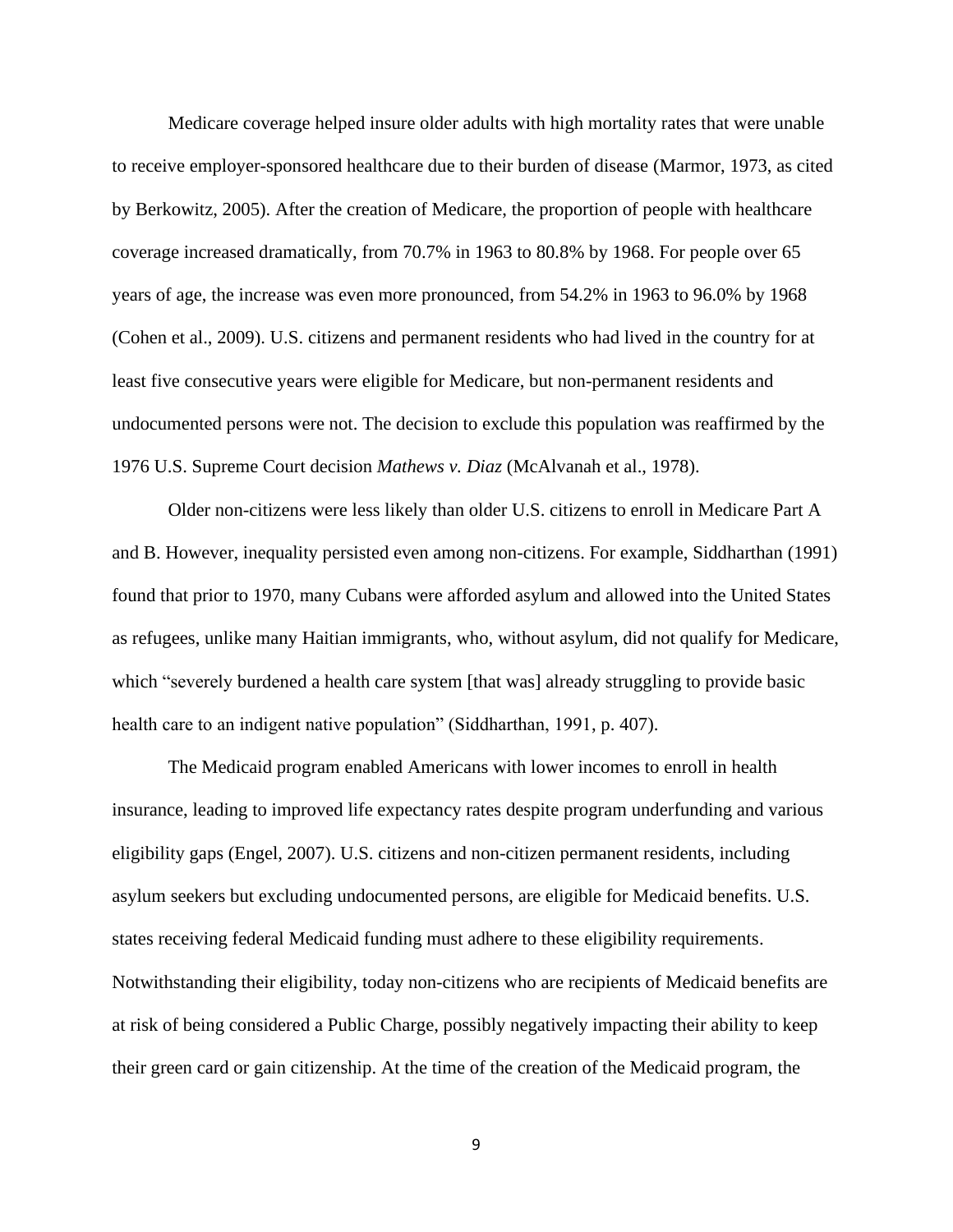Medicare coverage helped insure older adults with high mortality rates that were unable to receive employer-sponsored healthcare due to their burden of disease (Marmor, 1973, as cited by Berkowitz, 2005). After the creation of Medicare, the proportion of people with healthcare coverage increased dramatically, from 70.7% in 1963 to 80.8% by 1968. For people over 65 years of age, the increase was even more pronounced, from 54.2% in 1963 to 96.0% by 1968 (Cohen et al., 2009). U.S. citizens and permanent residents who had lived in the country for at least five consecutive years were eligible for Medicare, but non-permanent residents and undocumented persons were not. The decision to exclude this population was reaffirmed by the 1976 U.S. Supreme Court decision *Mathews v. Diaz* (McAlvanah et al., 1978).

Older non-citizens were less likely than older U.S. citizens to enroll in Medicare Part A and B. However, inequality persisted even among non-citizens. For example, Siddharthan (1991) found that prior to 1970, many Cubans were afforded asylum and allowed into the United States as refugees, unlike many Haitian immigrants, who, without asylum, did not qualify for Medicare, which "severely burdened a health care system [that was] already struggling to provide basic health care to an indigent native population" (Siddharthan, 1991, p. 407).

The Medicaid program enabled Americans with lower incomes to enroll in health insurance, leading to improved life expectancy rates despite program underfunding and various eligibility gaps (Engel, 2007). U.S. citizens and non-citizen permanent residents, including asylum seekers but excluding undocumented persons, are eligible for Medicaid benefits. U.S. states receiving federal Medicaid funding must adhere to these eligibility requirements. Notwithstanding their eligibility, today non-citizens who are recipients of Medicaid benefits are at risk of being considered a Public Charge, possibly negatively impacting their ability to keep their green card or gain citizenship. At the time of the creation of the Medicaid program, the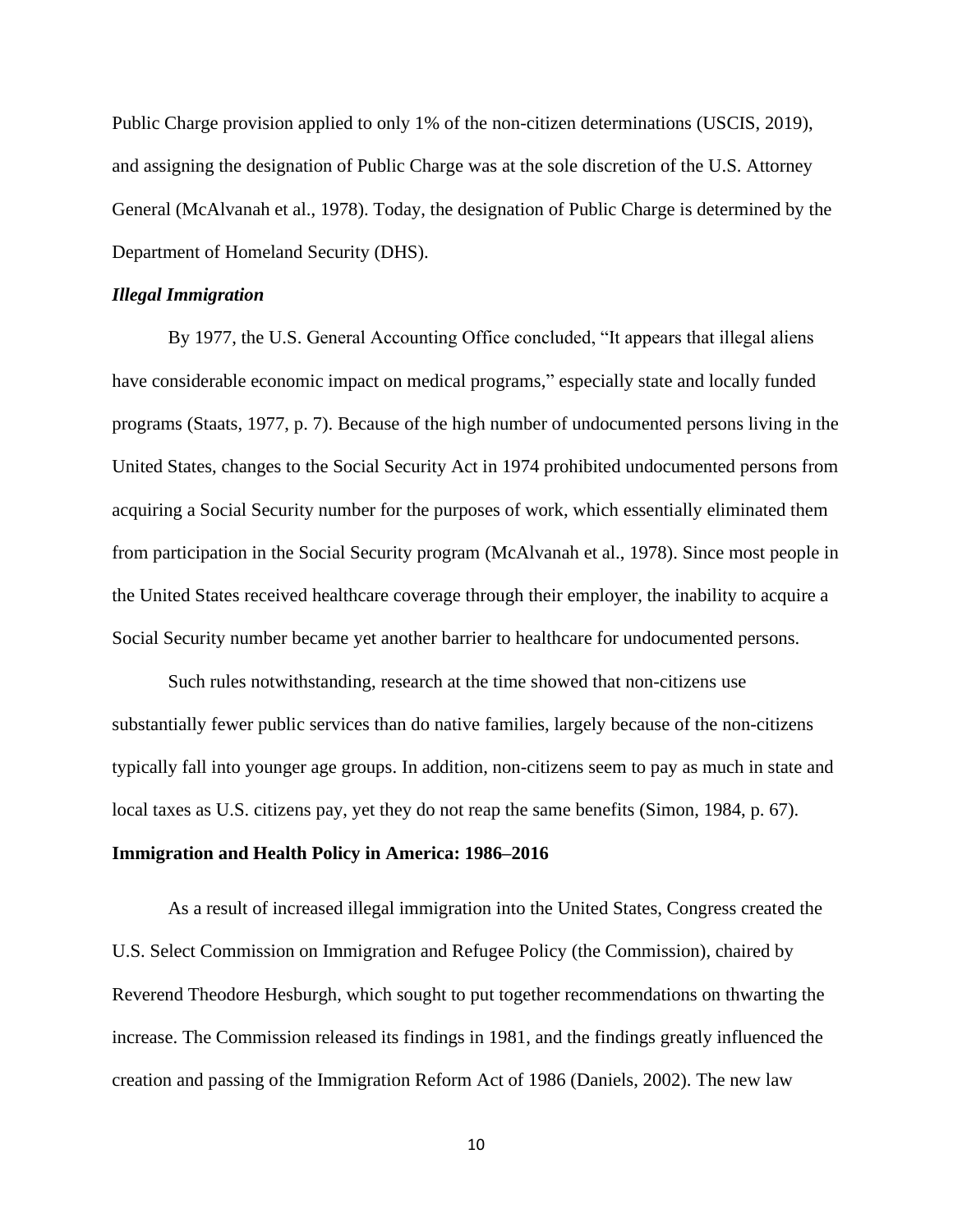Public Charge provision applied to only 1% of the non-citizen determinations (USCIS, 2019), and assigning the designation of Public Charge was at the sole discretion of the U.S. Attorney General (McAlvanah et al., 1978). Today, the designation of Public Charge is determined by the Department of Homeland Security (DHS).

#### *Illegal Immigration*

By 1977, the U.S. General Accounting Office concluded, "It appears that illegal aliens have considerable economic impact on medical programs," especially state and locally funded programs (Staats, 1977, p. 7). Because of the high number of undocumented persons living in the United States, changes to the Social Security Act in 1974 prohibited undocumented persons from acquiring a Social Security number for the purposes of work, which essentially eliminated them from participation in the Social Security program (McAlvanah et al., 1978). Since most people in the United States received healthcare coverage through their employer, the inability to acquire a Social Security number became yet another barrier to healthcare for undocumented persons.

Such rules notwithstanding, research at the time showed that non-citizens use substantially fewer public services than do native families, largely because of the non-citizens typically fall into younger age groups. In addition, non-citizens seem to pay as much in state and local taxes as U.S. citizens pay, yet they do not reap the same benefits (Simon, 1984, p. 67).

#### **Immigration and Health Policy in America: 1986–2016**

As a result of increased illegal immigration into the United States, Congress created the U.S. Select Commission on Immigration and Refugee Policy (the Commission), chaired by Reverend Theodore Hesburgh, which sought to put together recommendations on thwarting the increase. The Commission released its findings in 1981, and the findings greatly influenced the creation and passing of the Immigration Reform Act of 1986 (Daniels, 2002). The new law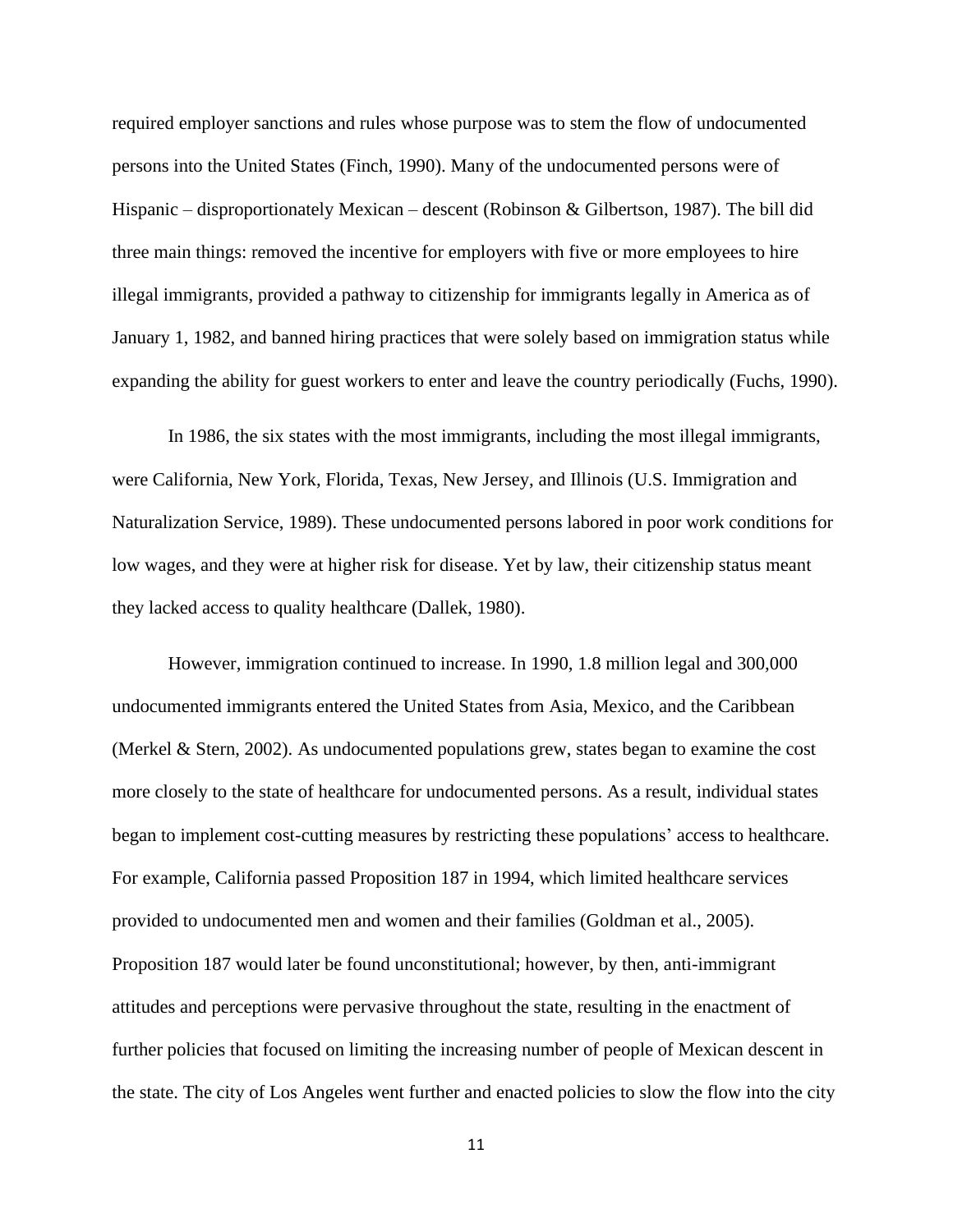required employer sanctions and rules whose purpose was to stem the flow of undocumented persons into the United States (Finch, 1990). Many of the undocumented persons were of Hispanic – disproportionately Mexican – descent (Robinson & Gilbertson, 1987). The bill did three main things: removed the incentive for employers with five or more employees to hire illegal immigrants, provided a pathway to citizenship for immigrants legally in America as of January 1, 1982, and banned hiring practices that were solely based on immigration status while expanding the ability for guest workers to enter and leave the country periodically (Fuchs, 1990).

In 1986, the six states with the most immigrants, including the most illegal immigrants, were California, New York, Florida, Texas, New Jersey, and Illinois (U.S. Immigration and Naturalization Service, 1989). These undocumented persons labored in poor work conditions for low wages, and they were at higher risk for disease. Yet by law, their citizenship status meant they lacked access to quality healthcare (Dallek, 1980).

However, immigration continued to increase. In 1990, 1.8 million legal and 300,000 undocumented immigrants entered the United States from Asia, Mexico, and the Caribbean (Merkel & Stern, 2002). As undocumented populations grew, states began to examine the cost more closely to the state of healthcare for undocumented persons. As a result, individual states began to implement cost-cutting measures by restricting these populations' access to healthcare. For example, California passed Proposition 187 in 1994, which limited healthcare services provided to undocumented men and women and their families (Goldman et al., 2005). Proposition 187 would later be found unconstitutional; however, by then, anti-immigrant attitudes and perceptions were pervasive throughout the state, resulting in the enactment of further policies that focused on limiting the increasing number of people of Mexican descent in the state. The city of Los Angeles went further and enacted policies to slow the flow into the city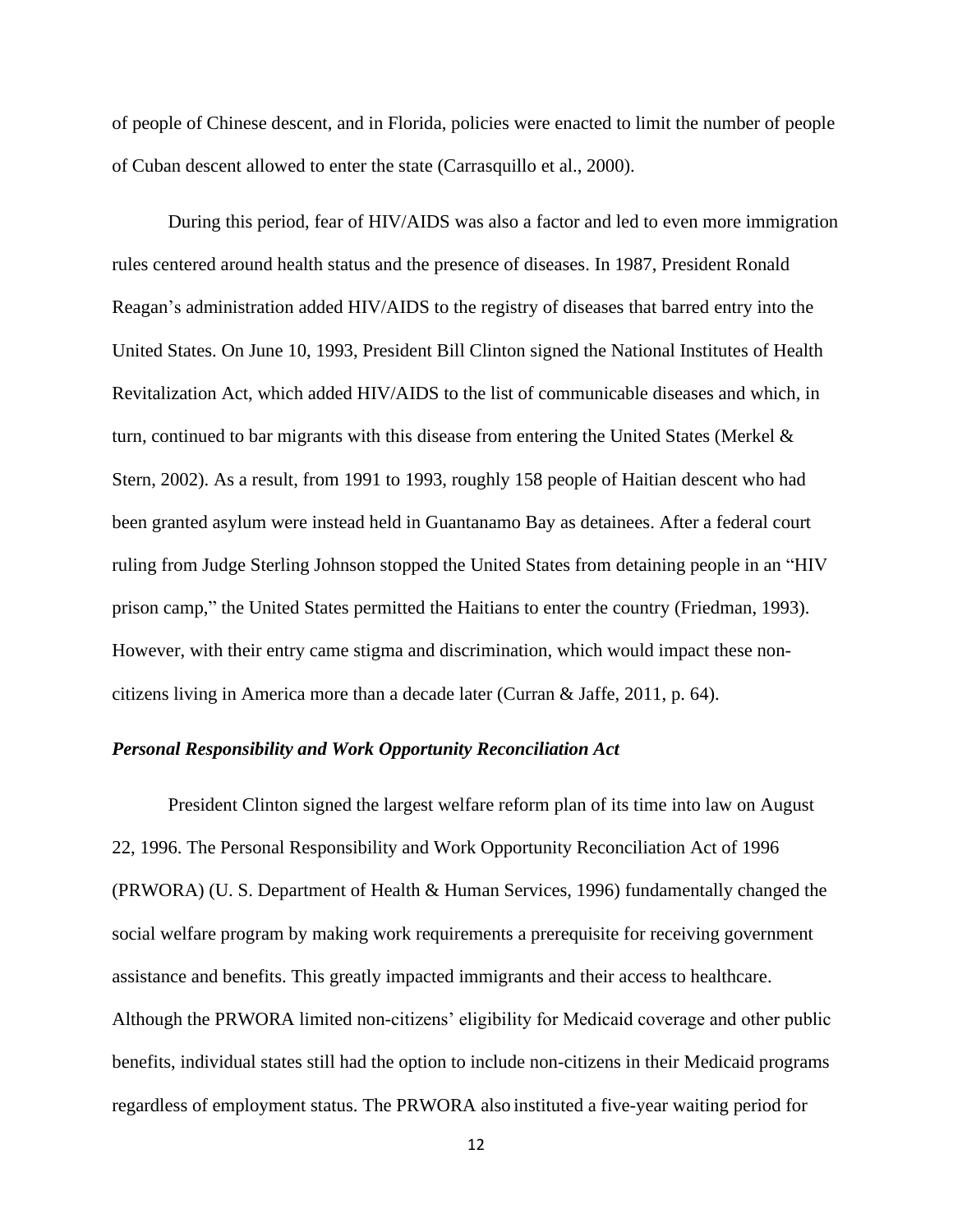of people of Chinese descent, and in Florida, policies were enacted to limit the number of people of Cuban descent allowed to enter the state (Carrasquillo et al., 2000).

During this period, fear of HIV/AIDS was also a factor and led to even more immigration rules centered around health status and the presence of diseases. In 1987, President Ronald Reagan's administration added HIV/AIDS to the registry of diseases that barred entry into the United States. On June 10, 1993, President Bill Clinton signed the National Institutes of Health Revitalization Act, which added HIV/AIDS to the list of communicable diseases and which, in turn, continued to bar migrants with this disease from entering the United States (Merkel & Stern, 2002). As a result, from 1991 to 1993, roughly 158 people of Haitian descent who had been granted asylum were instead held in Guantanamo Bay as detainees. After a federal court ruling from Judge Sterling Johnson stopped the United States from detaining people in an "HIV prison camp," the United States permitted the Haitians to enter the country (Friedman, 1993). However, with their entry came stigma and discrimination, which would impact these noncitizens living in America more than a decade later (Curran & Jaffe, 2011, p. 64).

#### *Personal Responsibility and Work Opportunity Reconciliation Act*

President Clinton signed the largest welfare reform plan of its time into law on August 22, 1996. The Personal Responsibility and Work Opportunity Reconciliation Act of 1996 (PRWORA) (U. S. Department of Health & Human Services, 1996) fundamentally changed the social welfare program by making work requirements a prerequisite for receiving government assistance and benefits. This greatly impacted immigrants and their access to healthcare. Although the PRWORA limited non-citizens' eligibility for Medicaid coverage and other public benefits, individual states still had the option to include non-citizens in their Medicaid programs regardless of employment status. The PRWORA also instituted a five-year waiting period for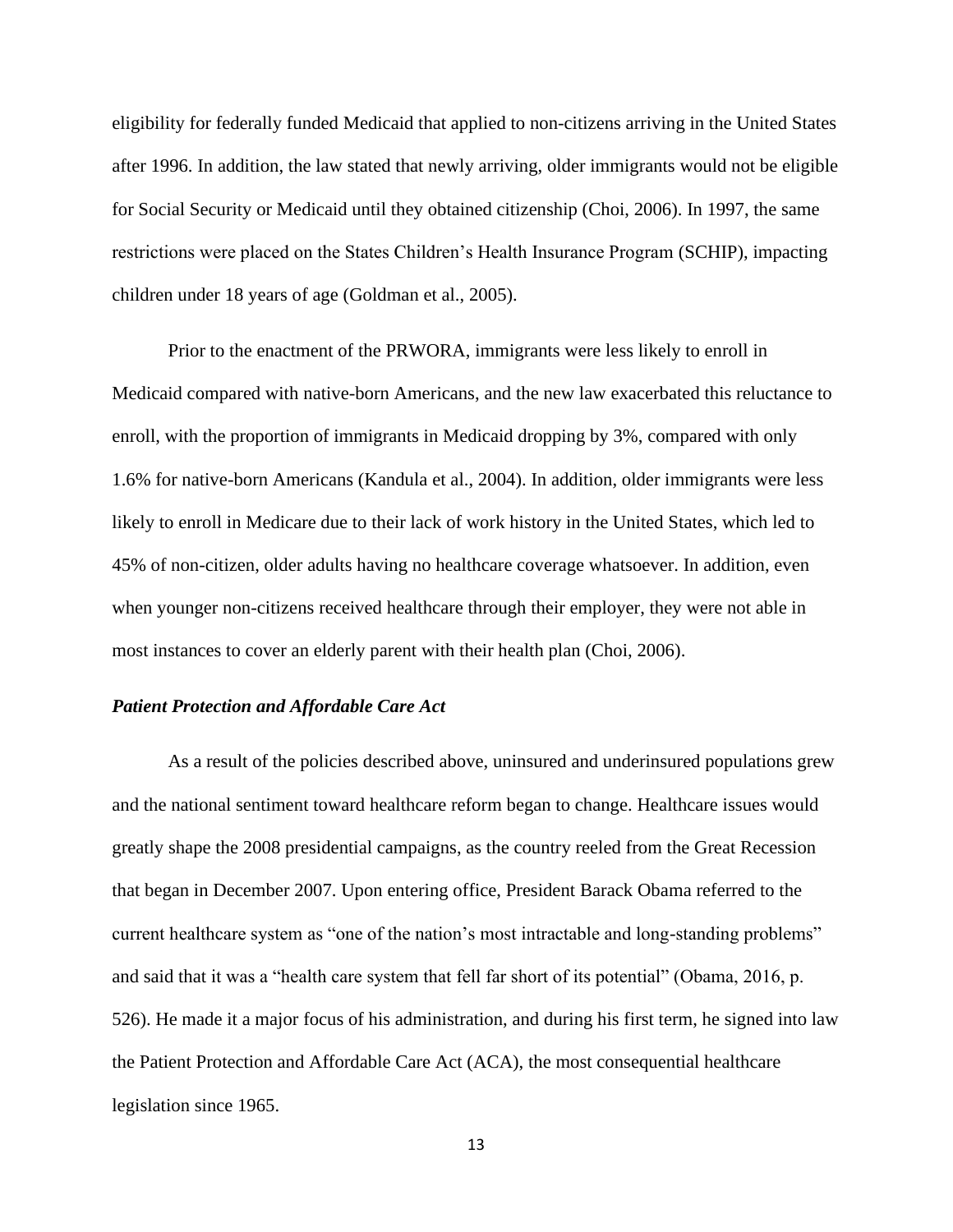eligibility for federally funded Medicaid that applied to non-citizens arriving in the United States after 1996. In addition, the law stated that newly arriving, older immigrants would not be eligible for Social Security or Medicaid until they obtained citizenship (Choi, 2006). In 1997, the same restrictions were placed on the States Children's Health Insurance Program (SCHIP), impacting children under 18 years of age (Goldman et al., 2005).

Prior to the enactment of the PRWORA, immigrants were less likely to enroll in Medicaid compared with native-born Americans, and the new law exacerbated this reluctance to enroll, with the proportion of immigrants in Medicaid dropping by 3%, compared with only 1.6% for native-born Americans (Kandula et al., 2004). In addition, older immigrants were less likely to enroll in Medicare due to their lack of work history in the United States, which led to 45% of non-citizen, older adults having no healthcare coverage whatsoever. In addition, even when younger non-citizens received healthcare through their employer, they were not able in most instances to cover an elderly parent with their health plan (Choi, 2006).

#### *Patient Protection and Affordable Care Act*

As a result of the policies described above, uninsured and underinsured populations grew and the national sentiment toward healthcare reform began to change. Healthcare issues would greatly shape the 2008 presidential campaigns, as the country reeled from the Great Recession that began in December 2007. Upon entering office, President Barack Obama referred to the current healthcare system as "one of the nation's most intractable and long-standing problems" and said that it was a "health care system that fell far short of its potential" (Obama, 2016, p. 526). He made it a major focus of his administration, and during his first term, he signed into law the Patient Protection and Affordable Care Act (ACA), the most consequential healthcare legislation since 1965.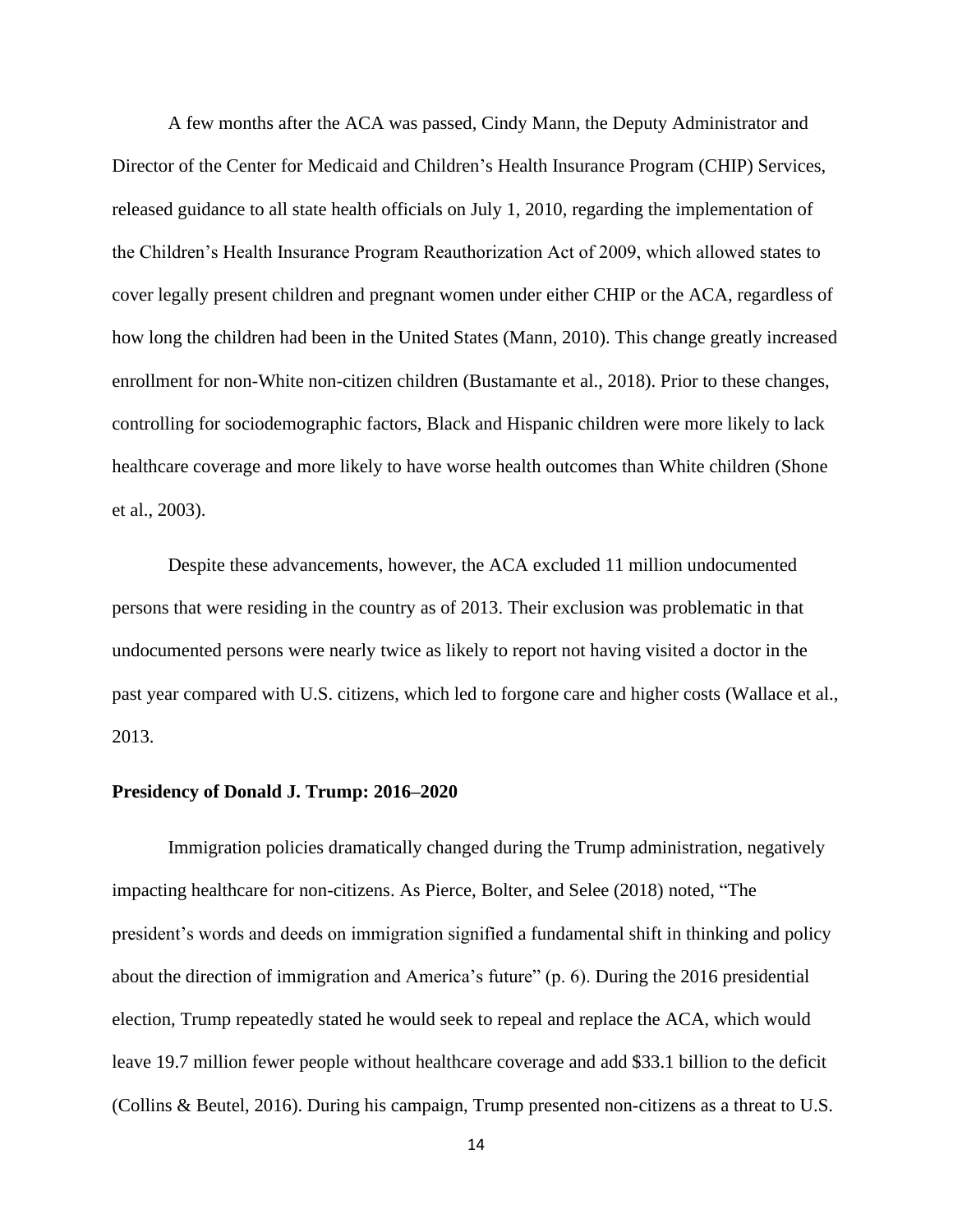A few months after the ACA was passed, Cindy Mann, the Deputy Administrator and Director of the Center for Medicaid and Children's Health Insurance Program (CHIP) Services, released guidance to all state health officials on July 1, 2010, regarding the implementation of the Children's Health Insurance Program Reauthorization Act of 2009, which allowed states to cover legally present children and pregnant women under either CHIP or the ACA, regardless of how long the children had been in the United States (Mann, 2010). This change greatly increased enrollment for non-White non-citizen children (Bustamante et al., 2018). Prior to these changes, controlling for sociodemographic factors, Black and Hispanic children were more likely to lack healthcare coverage and more likely to have worse health outcomes than White children (Shone et al., 2003).

Despite these advancements, however, the ACA excluded 11 million undocumented persons that were residing in the country as of 2013. Their exclusion was problematic in that undocumented persons were nearly twice as likely to report not having visited a doctor in the past year compared with U.S. citizens, which led to forgone care and higher costs (Wallace et al., 2013.

#### **Presidency of Donald J. Trump: 2016–2020**

Immigration policies dramatically changed during the Trump administration, negatively impacting healthcare for non-citizens. As Pierce, Bolter, and Selee (2018) noted, "The president's words and deeds on immigration signified a fundamental shift in thinking and policy about the direction of immigration and America's future" (p. 6). During the 2016 presidential election, Trump repeatedly stated he would seek to repeal and replace the ACA, which would leave 19.7 million fewer people without healthcare coverage and add \$33.1 billion to the deficit (Collins & Beutel, 2016). During his campaign, Trump presented non-citizens as a threat to U.S.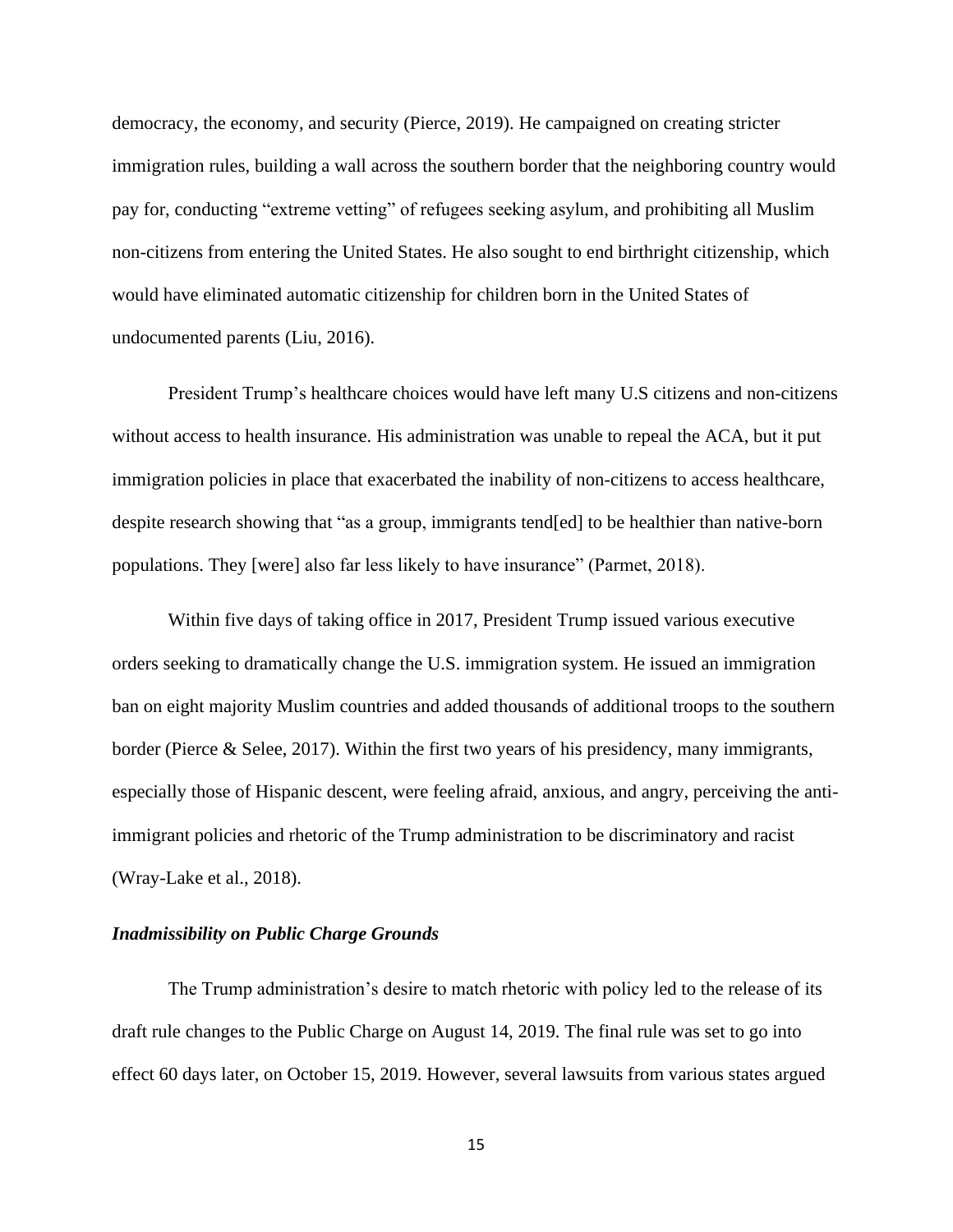democracy, the economy, and security (Pierce, 2019). He campaigned on creating stricter immigration rules, building a wall across the southern border that the neighboring country would pay for, conducting "extreme vetting" of refugees seeking asylum, and prohibiting all Muslim non-citizens from entering the United States. He also sought to end birthright citizenship, which would have eliminated automatic citizenship for children born in the United States of undocumented parents (Liu, 2016).

President Trump's healthcare choices would have left many U.S citizens and non-citizens without access to health insurance. His administration was unable to repeal the ACA, but it put immigration policies in place that exacerbated the inability of non-citizens to access healthcare, despite research showing that "as a group, immigrants tend[ed] to be healthier than native-born populations. They [were] also far less likely to have insurance" (Parmet, 2018).

Within five days of taking office in 2017, President Trump issued various executive orders seeking to dramatically change the U.S. immigration system. He issued an immigration ban on eight majority Muslim countries and added thousands of additional troops to the southern border (Pierce & Selee, 2017). Within the first two years of his presidency, many immigrants, especially those of Hispanic descent, were feeling afraid, anxious, and angry, perceiving the antiimmigrant policies and rhetoric of the Trump administration to be discriminatory and racist (Wray-Lake et al., 2018).

#### *Inadmissibility on Public Charge Grounds*

The Trump administration's desire to match rhetoric with policy led to the release of its draft rule changes to the Public Charge on August 14, 2019. The final rule was set to go into effect 60 days later, on October 15, 2019. However, several lawsuits from various states argued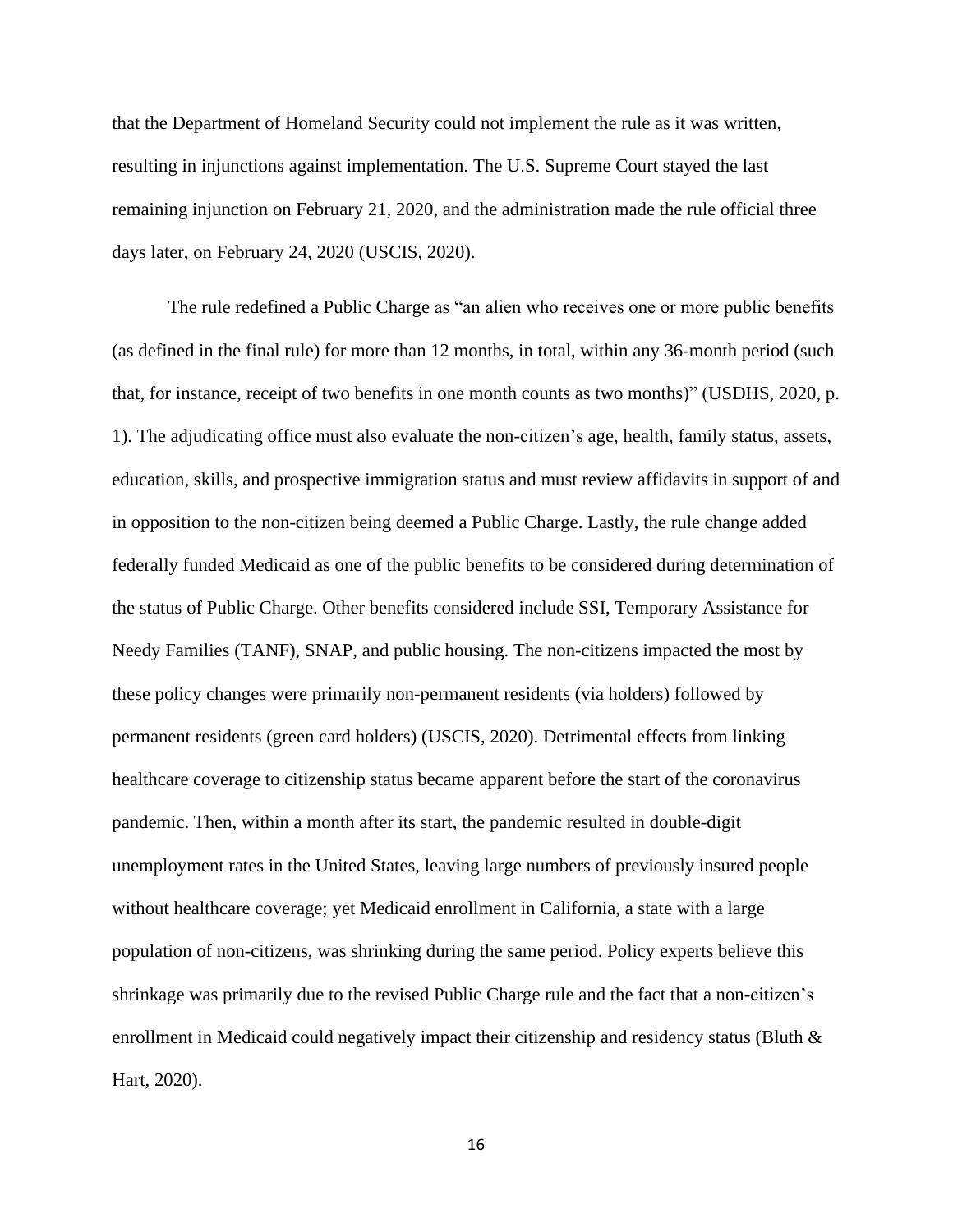that the Department of Homeland Security could not implement the rule as it was written, resulting in injunctions against implementation. The U.S. Supreme Court stayed the last remaining injunction on February 21, 2020, and the administration made the rule official three days later, on February 24, 2020 (USCIS, 2020).

The rule redefined a Public Charge as "an alien who receives one or more public benefits (as defined in the final rule) for more than 12 months, in total, within any 36-month period (such that, for instance, receipt of two benefits in one month counts as two months)" (USDHS, 2020, p. 1). The adjudicating office must also evaluate the non-citizen's age, health, family status, assets, education, skills, and prospective immigration status and must review affidavits in support of and in opposition to the non-citizen being deemed a Public Charge. Lastly, the rule change added federally funded Medicaid as one of the public benefits to be considered during determination of the status of Public Charge. Other benefits considered include SSI, Temporary Assistance for Needy Families (TANF), SNAP, and public housing. The non-citizens impacted the most by these policy changes were primarily non-permanent residents (via holders) followed by permanent residents (green card holders) (USCIS, 2020). Detrimental effects from linking healthcare coverage to citizenship status became apparent before the start of the coronavirus pandemic. Then, within a month after its start, the pandemic resulted in double-digit unemployment rates in the United States, leaving large numbers of previously insured people without healthcare coverage; yet Medicaid enrollment in California, a state with a large population of non-citizens, was shrinking during the same period. Policy experts believe this shrinkage was primarily due to the revised Public Charge rule and the fact that a non-citizen's enrollment in Medicaid could negatively impact their citizenship and residency status (Bluth & Hart, 2020).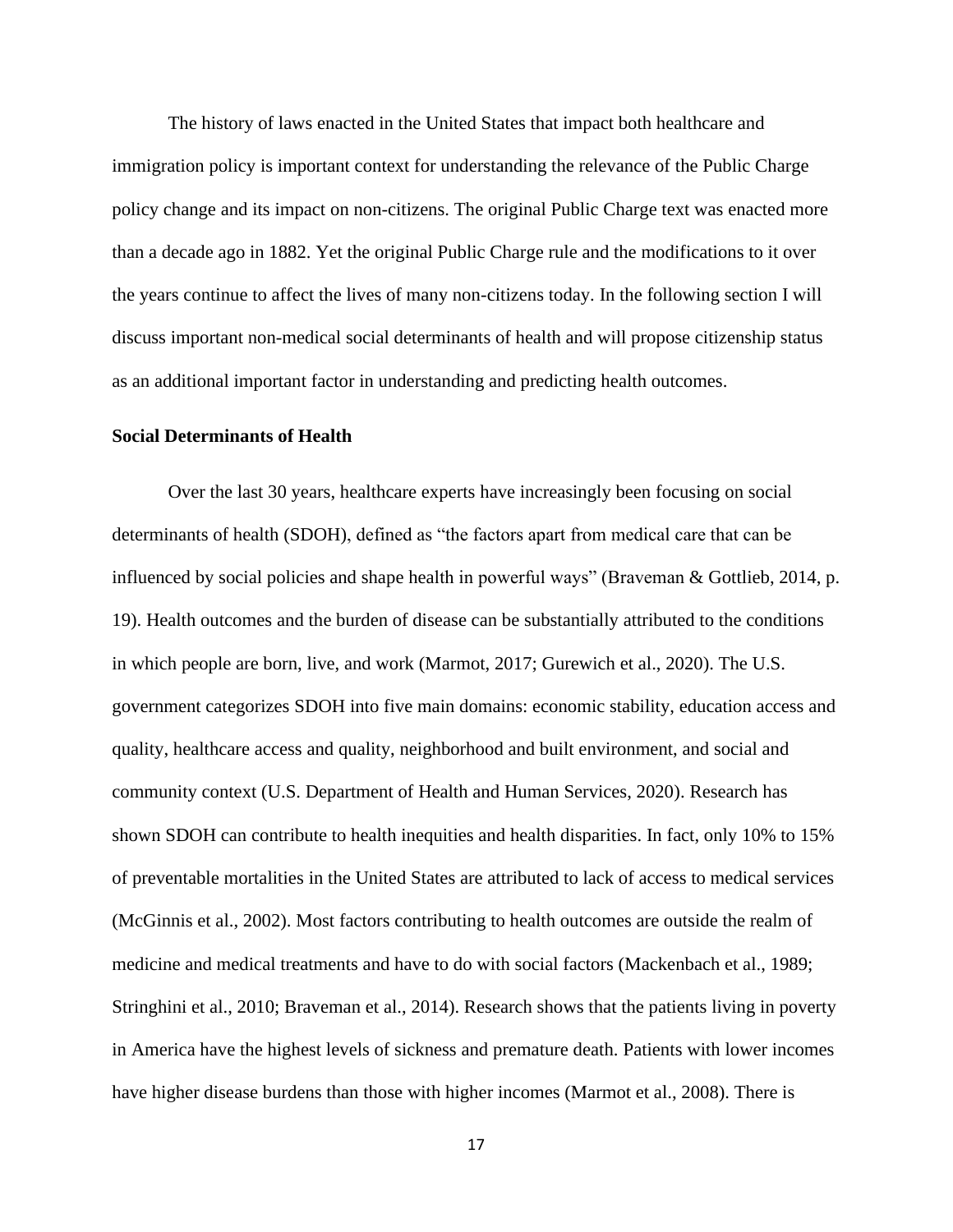The history of laws enacted in the United States that impact both healthcare and immigration policy is important context for understanding the relevance of the Public Charge policy change and its impact on non-citizens. The original Public Charge text was enacted more than a decade ago in 1882. Yet the original Public Charge rule and the modifications to it over the years continue to affect the lives of many non-citizens today. In the following section I will discuss important non-medical social determinants of health and will propose citizenship status as an additional important factor in understanding and predicting health outcomes.

#### **Social Determinants of Health**

Over the last 30 years, healthcare experts have increasingly been focusing on social determinants of health (SDOH), defined as "the factors apart from medical care that can be influenced by social policies and shape health in powerful ways" (Braveman & Gottlieb, 2014, p. 19). Health outcomes and the burden of disease can be substantially attributed to the conditions in which people are born, live, and work (Marmot, 2017; Gurewich et al., 2020). The U.S. government categorizes SDOH into five main domains: economic stability, education access and quality, healthcare access and quality, neighborhood and built environment, and social and community context (U.S. Department of Health and Human Services, 2020). Research has shown SDOH can contribute to health inequities and health disparities. In fact, only 10% to 15% of preventable mortalities in the United States are attributed to lack of access to medical services (McGinnis et al., 2002). Most factors contributing to health outcomes are outside the realm of medicine and medical treatments and have to do with social factors (Mackenbach et al., 1989; Stringhini et al., 2010; Braveman et al., 2014). Research shows that the patients living in poverty in America have the highest levels of sickness and premature death. Patients with lower incomes have higher disease burdens than those with higher incomes (Marmot et al., 2008). There is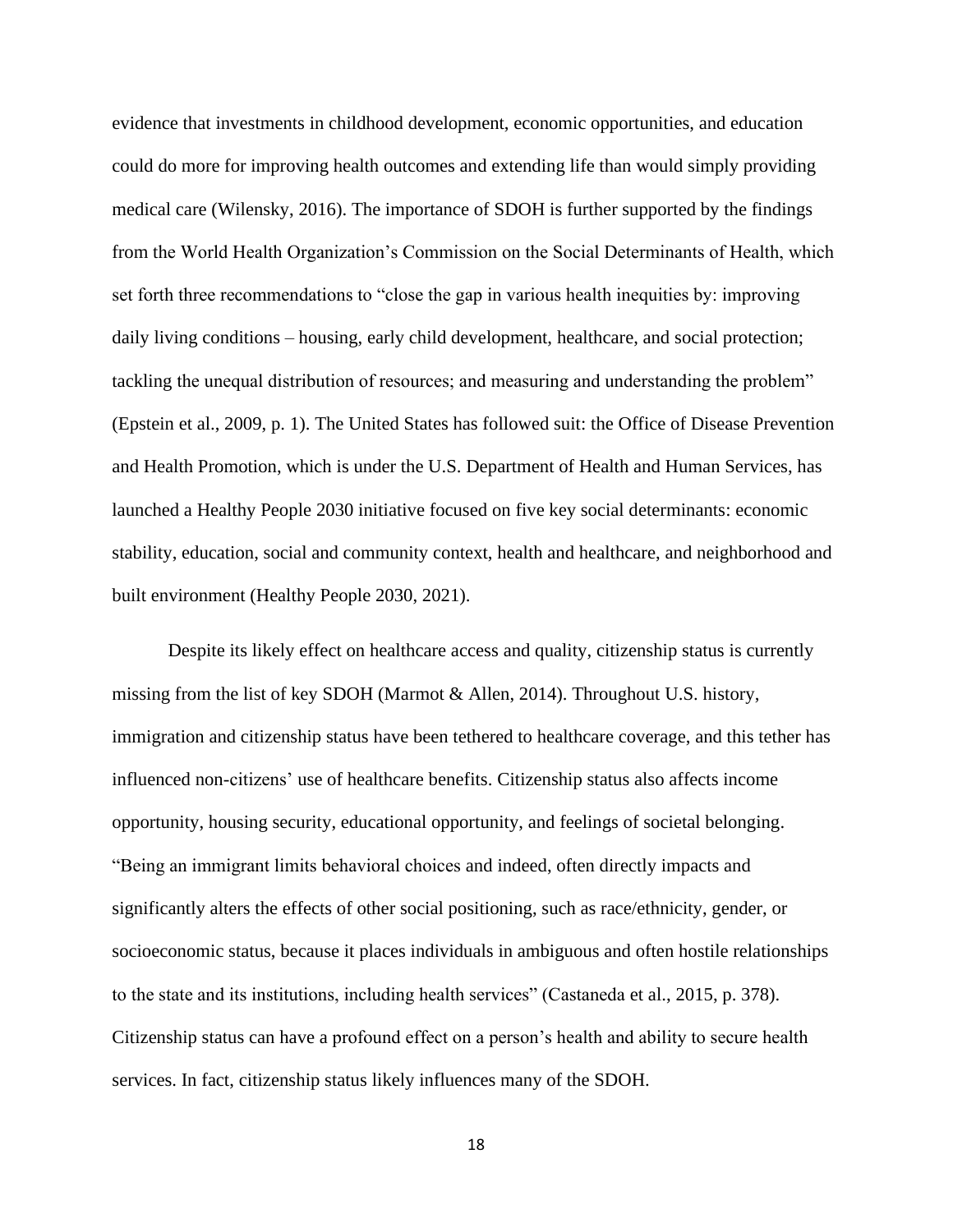evidence that investments in childhood development, economic opportunities, and education could do more for improving health outcomes and extending life than would simply providing medical care (Wilensky, 2016). The importance of SDOH is further supported by the findings from the World Health Organization's Commission on the Social Determinants of Health, which set forth three recommendations to "close the gap in various health inequities by: improving daily living conditions – housing, early child development, healthcare, and social protection; tackling the unequal distribution of resources; and measuring and understanding the problem" (Epstein et al., 2009, p. 1). The United States has followed suit: the Office of Disease Prevention and Health Promotion, which is under the U.S. Department of Health and Human Services, has launched a Healthy People 2030 initiative focused on five key social determinants: economic stability, education, social and community context, health and healthcare, and neighborhood and built environment (Healthy People 2030, 2021).

Despite its likely effect on healthcare access and quality, citizenship status is currently missing from the list of key SDOH (Marmot & Allen, 2014). Throughout U.S. history, immigration and citizenship status have been tethered to healthcare coverage, and this tether has influenced non-citizens' use of healthcare benefits. Citizenship status also affects income opportunity, housing security, educational opportunity, and feelings of societal belonging. "Being an immigrant limits behavioral choices and indeed, often directly impacts and significantly alters the effects of other social positioning, such as race/ethnicity, gender, or socioeconomic status, because it places individuals in ambiguous and often hostile relationships to the state and its institutions, including health services" (Castaneda et al., 2015, p. 378). Citizenship status can have a profound effect on a person's health and ability to secure health services. In fact, citizenship status likely influences many of the SDOH.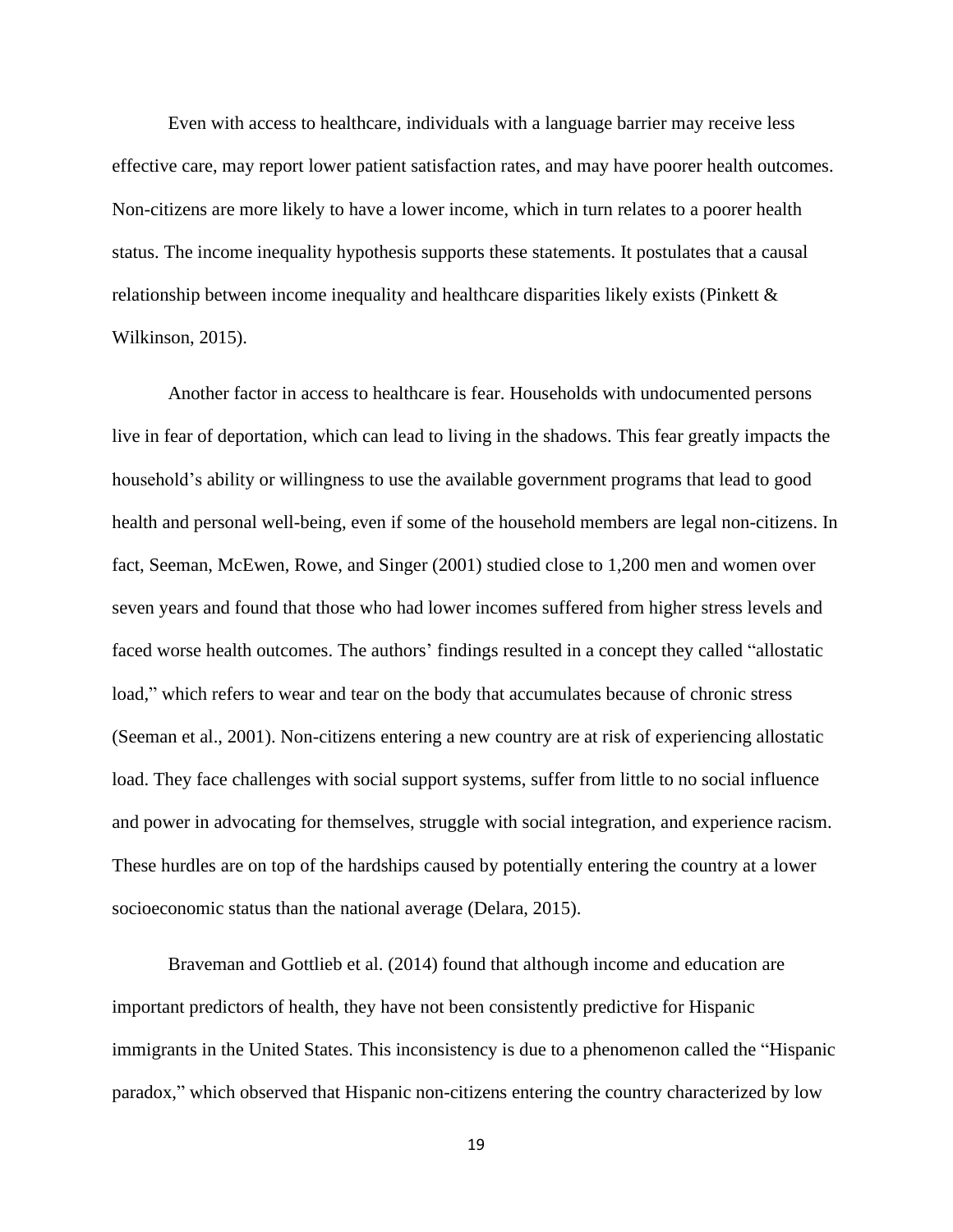Even with access to healthcare, individuals with a language barrier may receive less effective care, may report lower patient satisfaction rates, and may have poorer health outcomes. Non-citizens are more likely to have a lower income, which in turn relates to a poorer health status. The income inequality hypothesis supports these statements. It postulates that a causal relationship between income inequality and healthcare disparities likely exists (Pinkett & Wilkinson, 2015).

Another factor in access to healthcare is fear. Households with undocumented persons live in fear of deportation, which can lead to living in the shadows. This fear greatly impacts the household's ability or willingness to use the available government programs that lead to good health and personal well-being, even if some of the household members are legal non-citizens. In fact, Seeman, McEwen, Rowe, and Singer (2001) studied close to 1,200 men and women over seven years and found that those who had lower incomes suffered from higher stress levels and faced worse health outcomes. The authors' findings resulted in a concept they called "allostatic load," which refers to wear and tear on the body that accumulates because of chronic stress (Seeman et al., 2001). Non-citizens entering a new country are at risk of experiencing allostatic load. They face challenges with social support systems, suffer from little to no social influence and power in advocating for themselves, struggle with social integration, and experience racism. These hurdles are on top of the hardships caused by potentially entering the country at a lower socioeconomic status than the national average (Delara, 2015).

Braveman and Gottlieb et al. (2014) found that although income and education are important predictors of health, they have not been consistently predictive for Hispanic immigrants in the United States. This inconsistency is due to a phenomenon called the "Hispanic paradox," which observed that Hispanic non-citizens entering the country characterized by low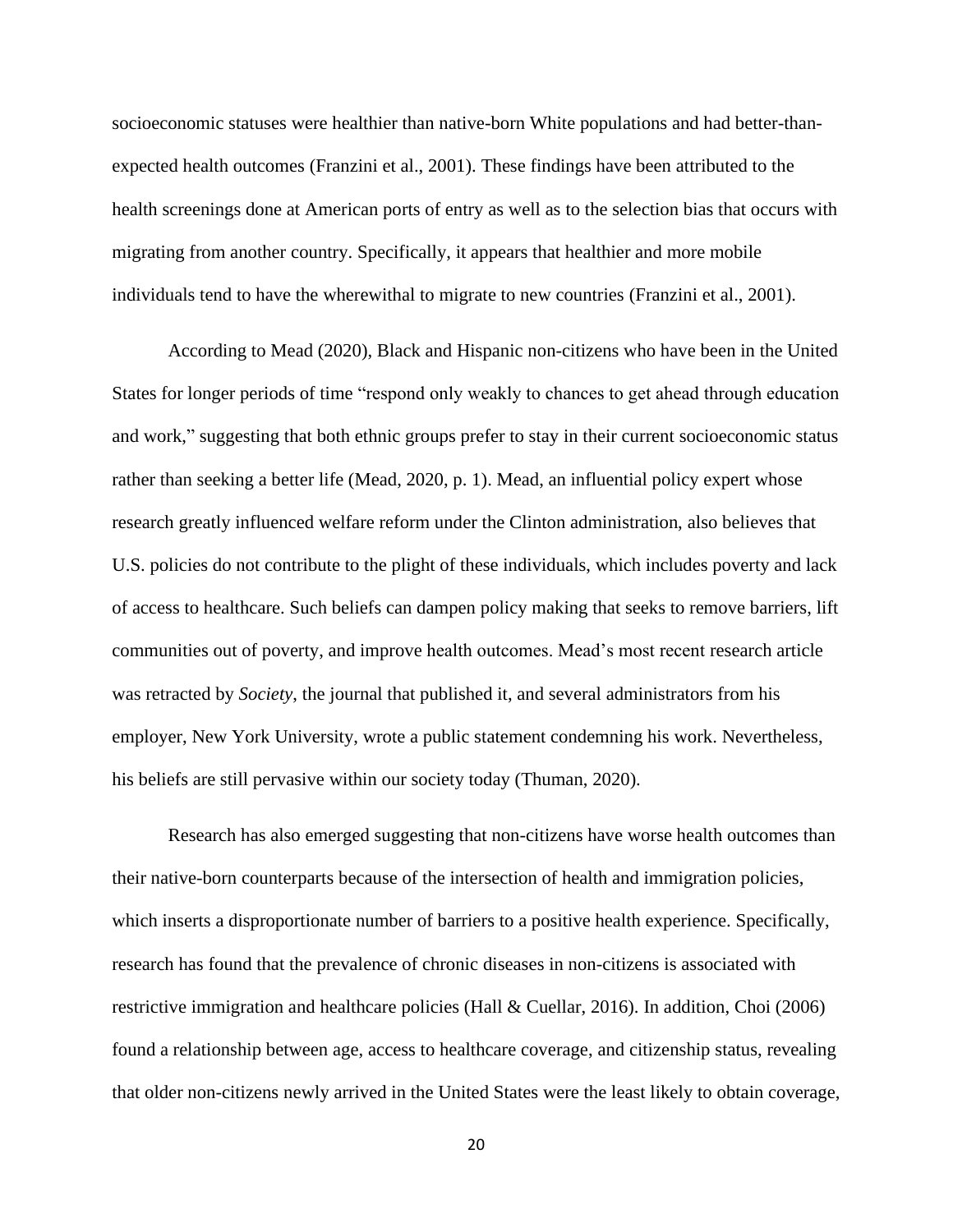socioeconomic statuses were healthier than native-born White populations and had better-thanexpected health outcomes (Franzini et al., 2001). These findings have been attributed to the health screenings done at American ports of entry as well as to the selection bias that occurs with migrating from another country. Specifically, it appears that healthier and more mobile individuals tend to have the wherewithal to migrate to new countries (Franzini et al., 2001).

According to Mead (2020), Black and Hispanic non-citizens who have been in the United States for longer periods of time "respond only weakly to chances to get ahead through education and work," suggesting that both ethnic groups prefer to stay in their current socioeconomic status rather than seeking a better life (Mead, 2020, p. 1). Mead, an influential policy expert whose research greatly influenced welfare reform under the Clinton administration, also believes that U.S. policies do not contribute to the plight of these individuals, which includes poverty and lack of access to healthcare. Such beliefs can dampen policy making that seeks to remove barriers, lift communities out of poverty, and improve health outcomes. Mead's most recent research article was retracted by *Society*, the journal that published it, and several administrators from his employer, New York University, wrote a public statement condemning his work. Nevertheless, his beliefs are still pervasive within our society today (Thuman, 2020).

Research has also emerged suggesting that non-citizens have worse health outcomes than their native-born counterparts because of the intersection of health and immigration policies, which inserts a disproportionate number of barriers to a positive health experience. Specifically, research has found that the prevalence of chronic diseases in non-citizens is associated with restrictive immigration and healthcare policies (Hall & Cuellar, 2016). In addition, Choi (2006) found a relationship between age, access to healthcare coverage, and citizenship status, revealing that older non-citizens newly arrived in the United States were the least likely to obtain coverage,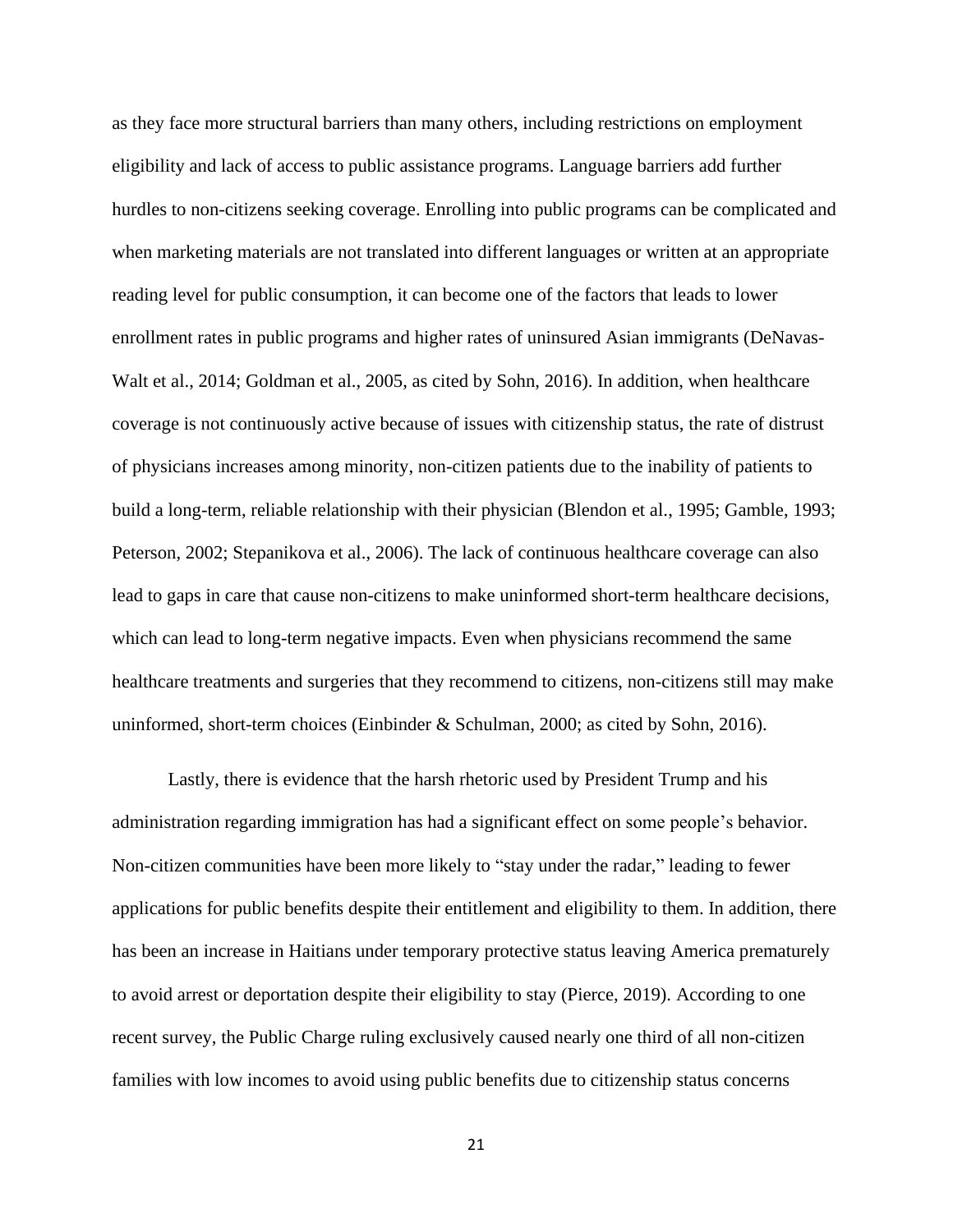as they face more structural barriers than many others, including restrictions on employment eligibility and lack of access to public assistance programs. Language barriers add further hurdles to non-citizens seeking coverage. Enrolling into public programs can be complicated and when marketing materials are not translated into different languages or written at an appropriate reading level for public consumption, it can become one of the factors that leads to lower enrollment rates in public programs and higher rates of uninsured Asian immigrants (DeNavas-Walt et al., 2014; Goldman et al., 2005, as cited by Sohn, 2016). In addition, when healthcare coverage is not continuously active because of issues with citizenship status, the rate of distrust of physicians increases among minority, non-citizen patients due to the inability of patients to build a long-term, reliable relationship with their physician (Blendon et al., 1995; Gamble, 1993; Peterson, 2002; Stepanikova et al., 2006). The lack of continuous healthcare coverage can also lead to gaps in care that cause non-citizens to make uninformed short-term healthcare decisions, which can lead to long-term negative impacts. Even when physicians recommend the same healthcare treatments and surgeries that they recommend to citizens, non-citizens still may make uninformed, short-term choices (Einbinder & Schulman, 2000; as cited by Sohn, 2016).

Lastly, there is evidence that the harsh rhetoric used by President Trump and his administration regarding immigration has had a significant effect on some people's behavior. Non-citizen communities have been more likely to "stay under the radar," leading to fewer applications for public benefits despite their entitlement and eligibility to them. In addition, there has been an increase in Haitians under temporary protective status leaving America prematurely to avoid arrest or deportation despite their eligibility to stay (Pierce, 2019). According to one recent survey, the Public Charge ruling exclusively caused nearly one third of all non-citizen families with low incomes to avoid using public benefits due to citizenship status concerns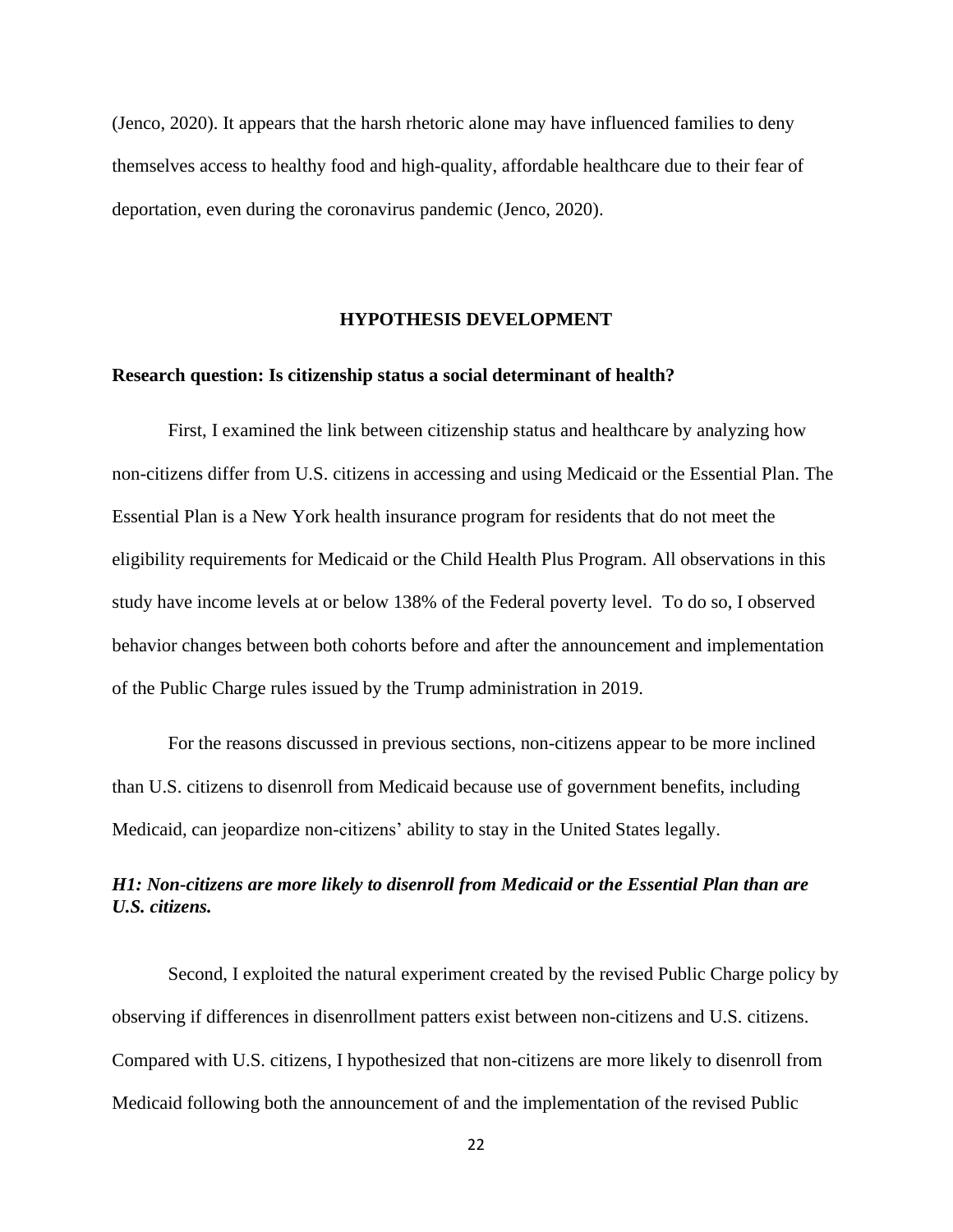(Jenco, 2020). It appears that the harsh rhetoric alone may have influenced families to deny themselves access to healthy food and high-quality, affordable healthcare due to their fear of deportation, even during the coronavirus pandemic (Jenco, 2020).

### **HYPOTHESIS DEVELOPMENT**

#### **Research question: Is citizenship status a social determinant of health?**

First, I examined the link between citizenship status and healthcare by analyzing how non-citizens differ from U.S. citizens in accessing and using Medicaid or the Essential Plan. The Essential Plan is a New York health insurance program for residents that do not meet the eligibility requirements for Medicaid or the Child Health Plus Program. All observations in this study have income levels at or below 138% of the Federal poverty level. To do so, I observed behavior changes between both cohorts before and after the announcement and implementation of the Public Charge rules issued by the Trump administration in 2019.

For the reasons discussed in previous sections, non-citizens appear to be more inclined than U.S. citizens to disenroll from Medicaid because use of government benefits, including Medicaid, can jeopardize non-citizens' ability to stay in the United States legally.

### *H1: Non-citizens are more likely to disenroll from Medicaid or the Essential Plan than are U.S. citizens.*

Second, I exploited the natural experiment created by the revised Public Charge policy by observing if differences in disenrollment patters exist between non-citizens and U.S. citizens. Compared with U.S. citizens, I hypothesized that non-citizens are more likely to disenroll from Medicaid following both the announcement of and the implementation of the revised Public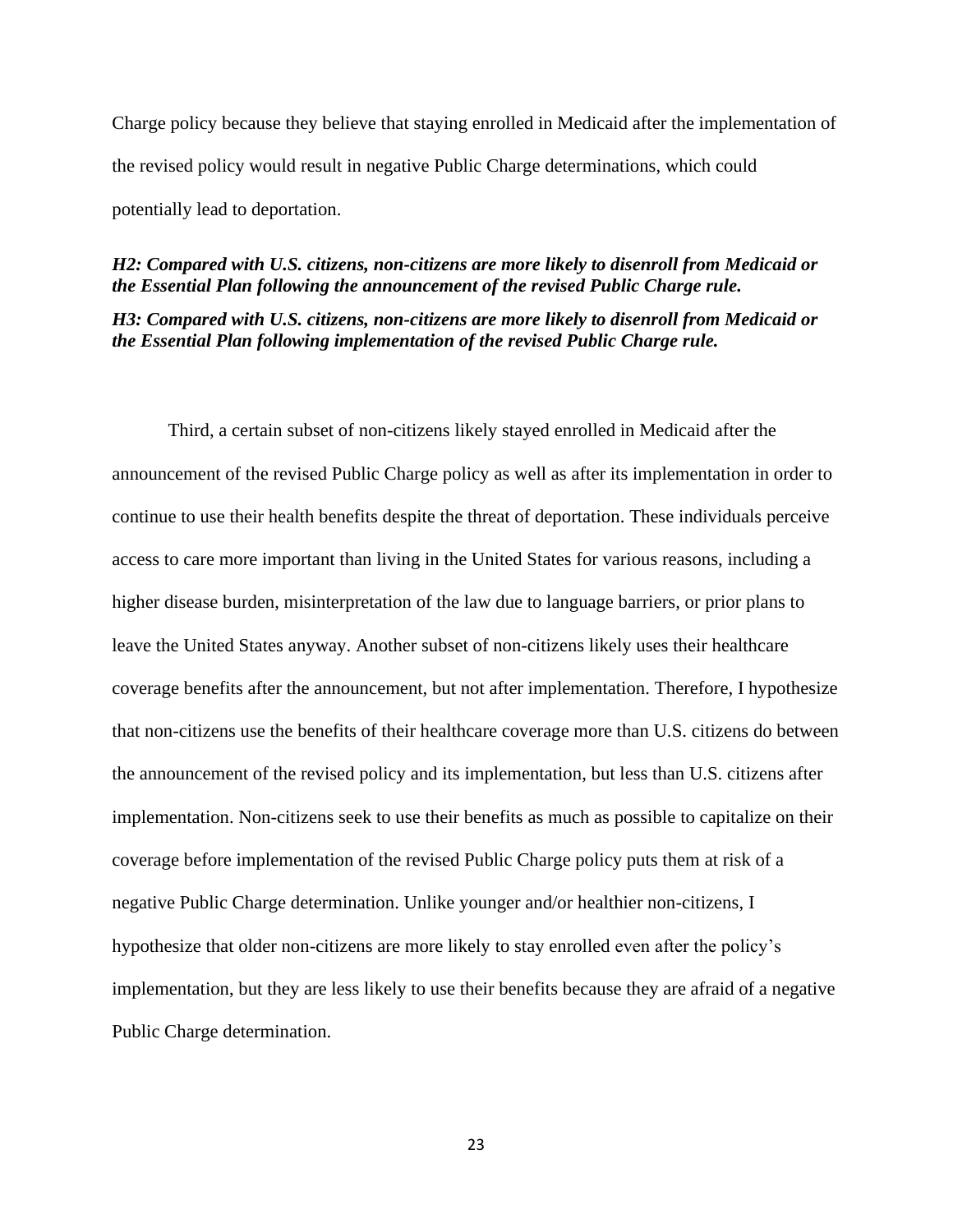Charge policy because they believe that staying enrolled in Medicaid after the implementation of the revised policy would result in negative Public Charge determinations, which could potentially lead to deportation.

#### *H2: Compared with U.S. citizens, non-citizens are more likely to disenroll from Medicaid or the Essential Plan following the announcement of the revised Public Charge rule.*

*H3: Compared with U.S. citizens, non-citizens are more likely to disenroll from Medicaid or the Essential Plan following implementation of the revised Public Charge rule.* 

Third, a certain subset of non-citizens likely stayed enrolled in Medicaid after the announcement of the revised Public Charge policy as well as after its implementation in order to continue to use their health benefits despite the threat of deportation. These individuals perceive access to care more important than living in the United States for various reasons, including a higher disease burden, misinterpretation of the law due to language barriers, or prior plans to leave the United States anyway. Another subset of non-citizens likely uses their healthcare coverage benefits after the announcement, but not after implementation. Therefore, I hypothesize that non-citizens use the benefits of their healthcare coverage more than U.S. citizens do between the announcement of the revised policy and its implementation, but less than U.S. citizens after implementation. Non-citizens seek to use their benefits as much as possible to capitalize on their coverage before implementation of the revised Public Charge policy puts them at risk of a negative Public Charge determination. Unlike younger and/or healthier non-citizens, I hypothesize that older non-citizens are more likely to stay enrolled even after the policy's implementation, but they are less likely to use their benefits because they are afraid of a negative Public Charge determination.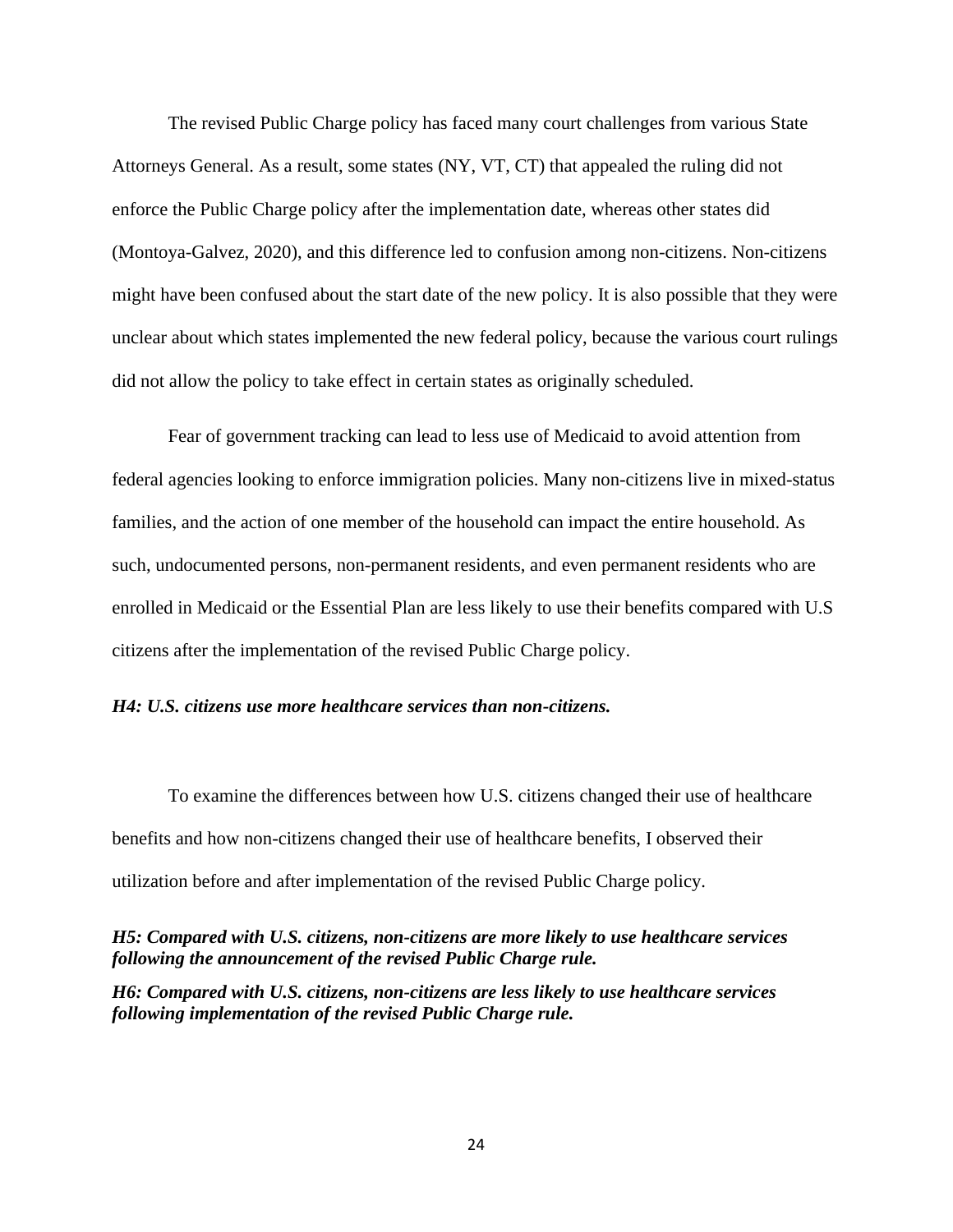The revised Public Charge policy has faced many court challenges from various State Attorneys General. As a result, some states (NY, VT, CT) that appealed the ruling did not enforce the Public Charge policy after the implementation date, whereas other states did (Montoya-Galvez, 2020), and this difference led to confusion among non-citizens. Non-citizens might have been confused about the start date of the new policy. It is also possible that they were unclear about which states implemented the new federal policy, because the various court rulings did not allow the policy to take effect in certain states as originally scheduled.

Fear of government tracking can lead to less use of Medicaid to avoid attention from federal agencies looking to enforce immigration policies. Many non-citizens live in mixed-status families, and the action of one member of the household can impact the entire household. As such, undocumented persons, non-permanent residents, and even permanent residents who are enrolled in Medicaid or the Essential Plan are less likely to use their benefits compared with U.S citizens after the implementation of the revised Public Charge policy.

#### *H4: U.S. citizens use more healthcare services than non-citizens.*

To examine the differences between how U.S. citizens changed their use of healthcare benefits and how non-citizens changed their use of healthcare benefits, I observed their utilization before and after implementation of the revised Public Charge policy.

*H5: Compared with U.S. citizens, non-citizens are more likely to use healthcare services following the announcement of the revised Public Charge rule.* 

*H6: Compared with U.S. citizens, non-citizens are less likely to use healthcare services following implementation of the revised Public Charge rule.*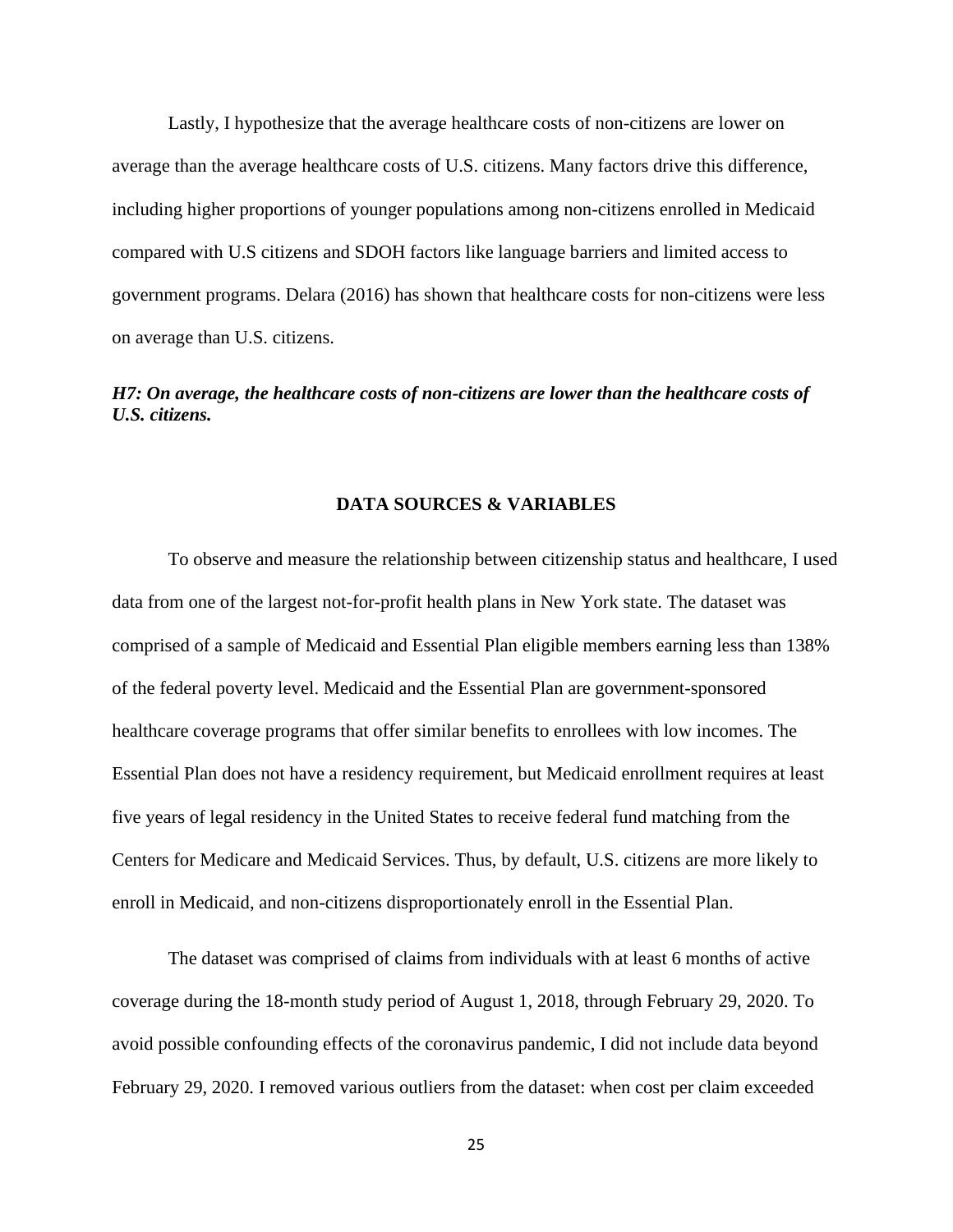Lastly, I hypothesize that the average healthcare costs of non-citizens are lower on average than the average healthcare costs of U.S. citizens. Many factors drive this difference, including higher proportions of younger populations among non-citizens enrolled in Medicaid compared with U.S citizens and SDOH factors like language barriers and limited access to government programs. Delara (2016) has shown that healthcare costs for non-citizens were less on average than U.S. citizens.

## *H7: On average, the healthcare costs of non-citizens are lower than the healthcare costs of U.S. citizens.*

#### **DATA SOURCES & VARIABLES**

To observe and measure the relationship between citizenship status and healthcare, I used data from one of the largest not-for-profit health plans in New York state. The dataset was comprised of a sample of Medicaid and Essential Plan eligible members earning less than 138% of the federal poverty level. Medicaid and the Essential Plan are government-sponsored healthcare coverage programs that offer similar benefits to enrollees with low incomes. The Essential Plan does not have a residency requirement, but Medicaid enrollment requires at least five years of legal residency in the United States to receive federal fund matching from the Centers for Medicare and Medicaid Services. Thus, by default, U.S. citizens are more likely to enroll in Medicaid, and non-citizens disproportionately enroll in the Essential Plan.

The dataset was comprised of claims from individuals with at least 6 months of active coverage during the 18-month study period of August 1, 2018, through February 29, 2020. To avoid possible confounding effects of the coronavirus pandemic, I did not include data beyond February 29, 2020. I removed various outliers from the dataset: when cost per claim exceeded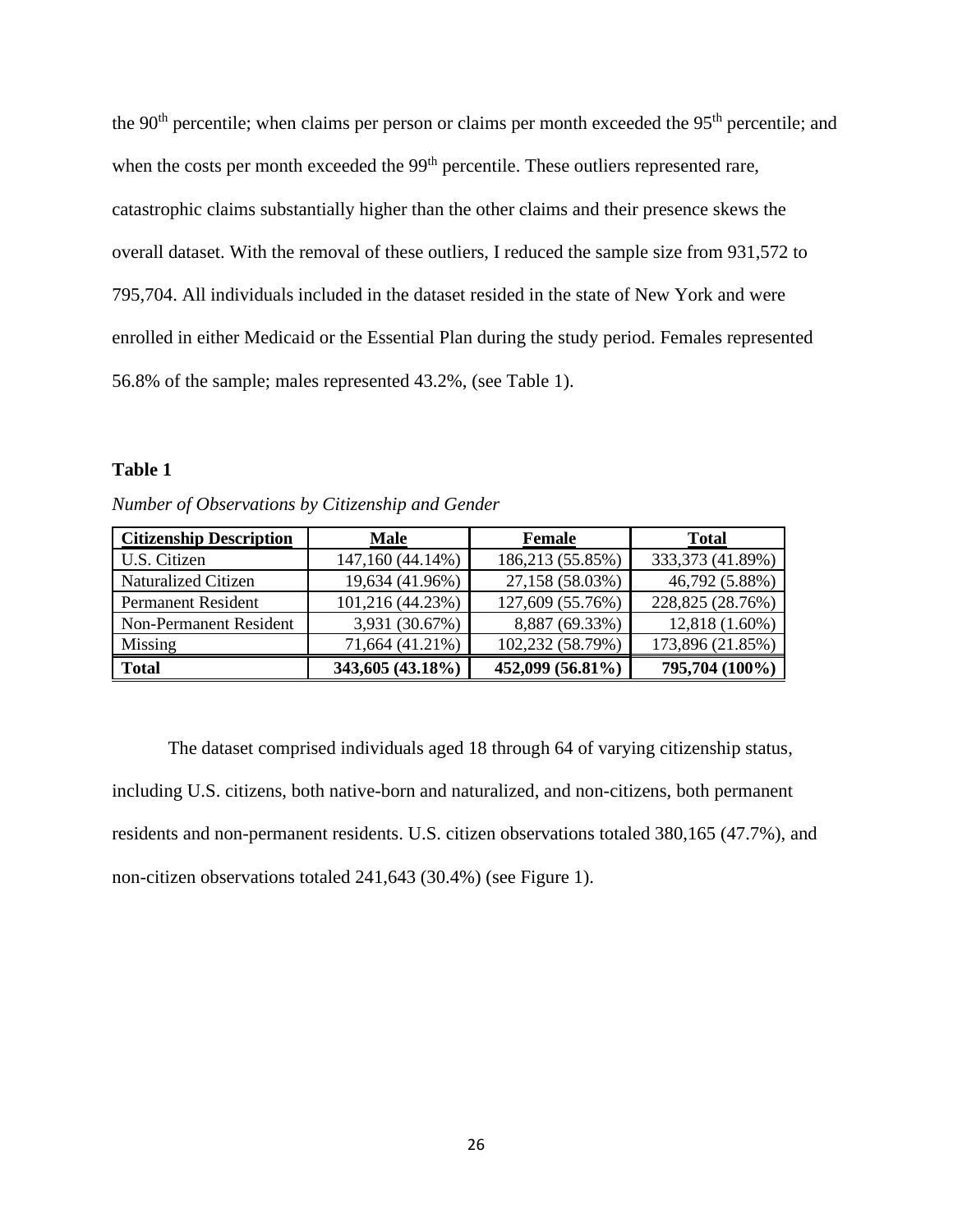the 90<sup>th</sup> percentile; when claims per person or claims per month exceeded the 95<sup>th</sup> percentile; and when the costs per month exceeded the 99<sup>th</sup> percentile. These outliers represented rare, catastrophic claims substantially higher than the other claims and their presence skews the overall dataset. With the removal of these outliers, I reduced the sample size from 931,572 to 795,704. All individuals included in the dataset resided in the state of New York and were enrolled in either Medicaid or the Essential Plan during the study period. Females represented 56.8% of the sample; males represented 43.2%, (see Table 1).

#### **Table 1**

| <b>Citizenship Description</b> | <b>Male</b>      | Female           | <b>Total</b>     |
|--------------------------------|------------------|------------------|------------------|
| U.S. Citizen                   | 147,160 (44.14%) | 186,213 (55.85%) | 333,373 (41.89%) |
| <b>Naturalized Citizen</b>     | 19,634 (41.96%)  | 27,158 (58.03%)  | 46,792 (5.88%)   |
| <b>Permanent Resident</b>      | 101,216 (44.23%) | 127,609 (55.76%) | 228,825 (28.76%) |
| <b>Non-Permanent Resident</b>  | 3,931 (30.67%)   | 8,887 (69.33%)   | 12,818 (1.60%)   |
| Missing                        | 71,664 (41.21%)  | 102,232 (58.79%) | 173,896 (21.85%) |
| <b>Total</b>                   | 343,605 (43.18%) | 452,099 (56.81%) | 795,704 (100%)   |

*Number of Observations by Citizenship and Gender*

The dataset comprised individuals aged 18 through 64 of varying citizenship status, including U.S. citizens, both native-born and naturalized, and non-citizens, both permanent residents and non-permanent residents. U.S. citizen observations totaled 380,165 (47.7%), and non-citizen observations totaled 241,643 (30.4%) (see Figure 1).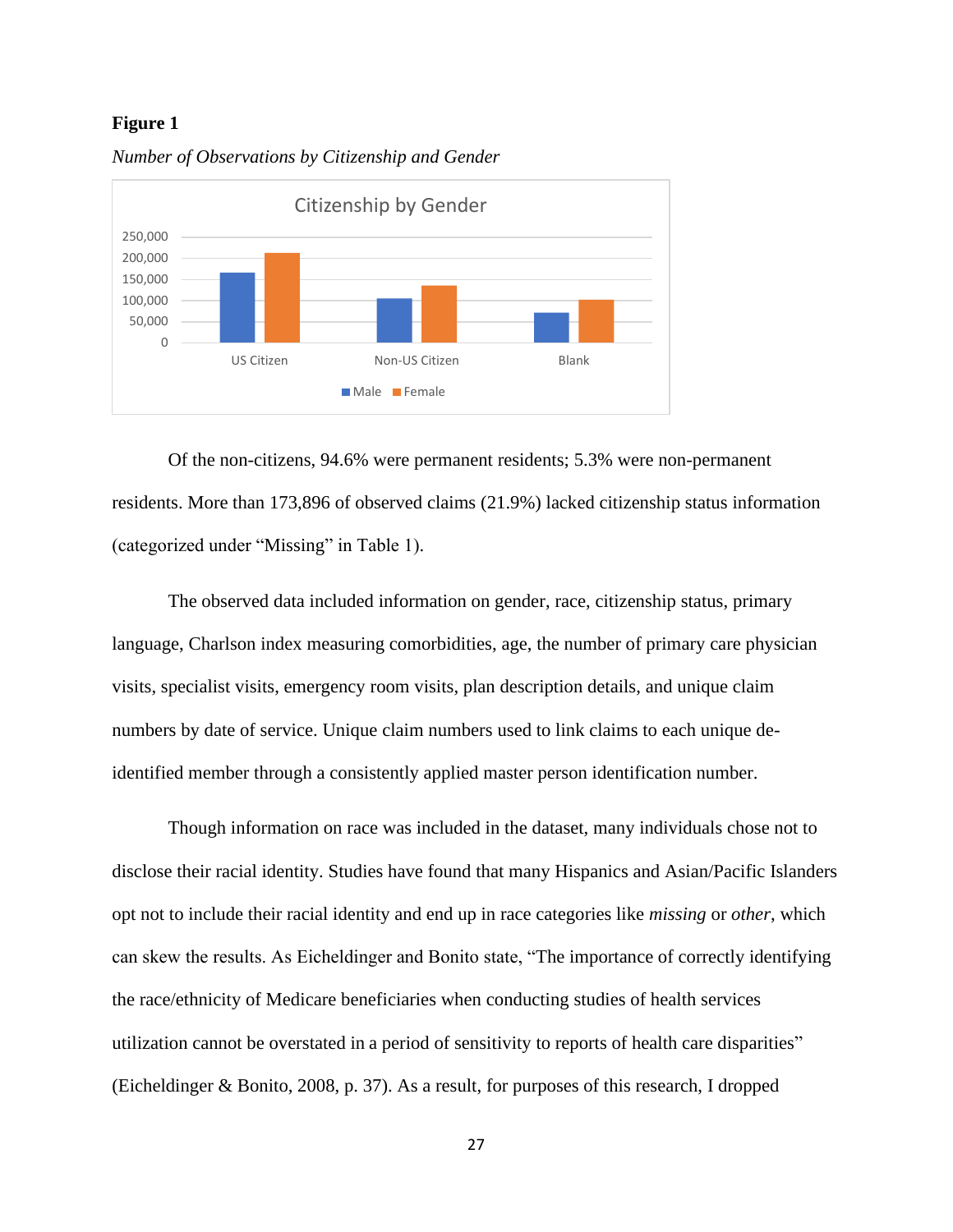#### **Figure 1**



*Number of Observations by Citizenship and Gender*

Of the non-citizens, 94.6% were permanent residents; 5.3% were non-permanent residents. More than 173,896 of observed claims (21.9%) lacked citizenship status information (categorized under "Missing" in Table 1).

The observed data included information on gender, race, citizenship status, primary language, Charlson index measuring comorbidities, age, the number of primary care physician visits, specialist visits, emergency room visits, plan description details, and unique claim numbers by date of service. Unique claim numbers used to link claims to each unique deidentified member through a consistently applied master person identification number.

Though information on race was included in the dataset, many individuals chose not to disclose their racial identity. Studies have found that many Hispanics and Asian/Pacific Islanders opt not to include their racial identity and end up in race categories like *missing* or *other*, which can skew the results. As Eicheldinger and Bonito state, "The importance of correctly identifying the race/ethnicity of Medicare beneficiaries when conducting studies of health services utilization cannot be overstated in a period of sensitivity to reports of health care disparities" (Eicheldinger & Bonito, 2008, p. 37). As a result, for purposes of this research, I dropped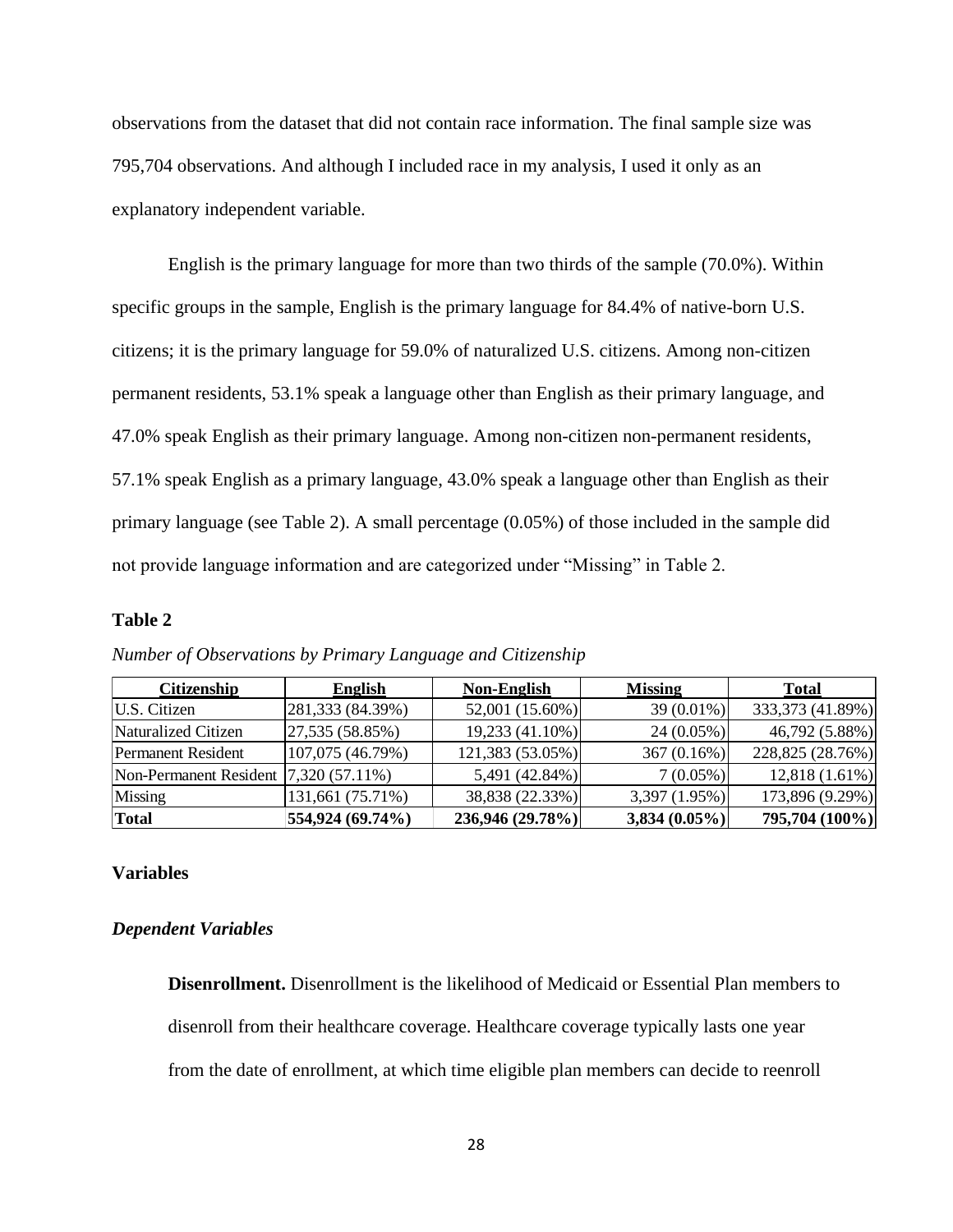observations from the dataset that did not contain race information. The final sample size was 795,704 observations. And although I included race in my analysis, I used it only as an explanatory independent variable.

English is the primary language for more than two thirds of the sample (70.0%). Within specific groups in the sample, English is the primary language for 84.4% of native-born U.S. citizens; it is the primary language for 59.0% of naturalized U.S. citizens. Among non-citizen permanent residents, 53.1% speak a language other than English as their primary language, and 47.0% speak English as their primary language. Among non-citizen non-permanent residents, 57.1% speak English as a primary language, 43.0% speak a language other than English as their primary language (see Table 2). A small percentage (0.05%) of those included in the sample did not provide language information and are categorized under "Missing" in Table 2.

## **Table 2**

| <b>Citizenship</b>                    | <b>English</b>   | <b>Non-English</b> | <b>Missing</b>  | <b>Total</b>     |
|---------------------------------------|------------------|--------------------|-----------------|------------------|
| U.S. Citizen                          | 281,333 (84.39%) | 52,001 (15.60%)    | 39 (0.01%)      | 333,373 (41.89%) |
| Naturalized Citizen                   | 27,535 (58.85%)  | 19,233 (41.10%)    | $24(0.05\%)$    | 46,792 (5.88%)   |
| <b>Permanent Resident</b>             | 107,075 (46.79%) | 121,383 (53.05%)   | 367(0.16%)      | 228,825 (28.76%) |
| Non-Permanent Resident 7,320 (57.11%) |                  | 5,491 (42.84%)     | $7(0.05\%)$     | 12,818 (1.61%)   |
| Missing                               | 131,661 (75.71%) | 38,838 (22.33%)    | 3,397 (1.95%)   | 173,896 (9.29%)  |
| <b>Total</b>                          | 554,924 (69.74%) | 236,946 (29.78%)   | $3,834(0.05\%)$ | 795,704 (100%)   |

*Number of Observations by Primary Language and Citizenship*

## **Variables**

#### *Dependent Variables*

**Disenrollment.** Disenrollment is the likelihood of Medicaid or Essential Plan members to disenroll from their healthcare coverage. Healthcare coverage typically lasts one year from the date of enrollment, at which time eligible plan members can decide to reenroll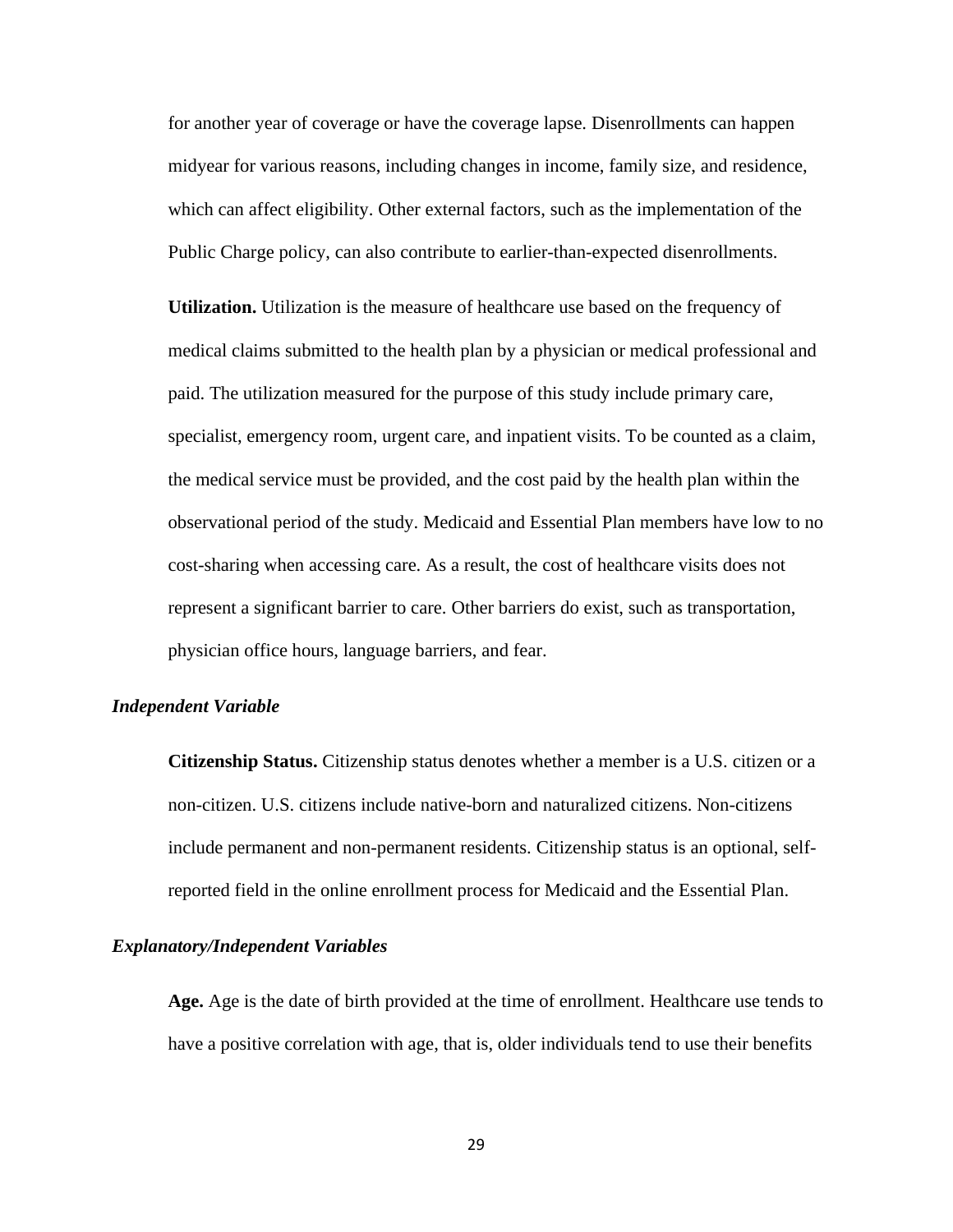for another year of coverage or have the coverage lapse. Disenrollments can happen midyear for various reasons, including changes in income, family size, and residence, which can affect eligibility. Other external factors, such as the implementation of the Public Charge policy, can also contribute to earlier-than-expected disenrollments.

**Utilization.** Utilization is the measure of healthcare use based on the frequency of medical claims submitted to the health plan by a physician or medical professional and paid. The utilization measured for the purpose of this study include primary care, specialist, emergency room, urgent care, and inpatient visits. To be counted as a claim, the medical service must be provided, and the cost paid by the health plan within the observational period of the study. Medicaid and Essential Plan members have low to no cost-sharing when accessing care. As a result, the cost of healthcare visits does not represent a significant barrier to care. Other barriers do exist, such as transportation, physician office hours, language barriers, and fear.

#### *Independent Variable*

**Citizenship Status.** Citizenship status denotes whether a member is a U.S. citizen or a non-citizen. U.S. citizens include native-born and naturalized citizens. Non-citizens include permanent and non-permanent residents. Citizenship status is an optional, selfreported field in the online enrollment process for Medicaid and the Essential Plan.

## *Explanatory/Independent Variables*

Age. Age is the date of birth provided at the time of enrollment. Healthcare use tends to have a positive correlation with age, that is, older individuals tend to use their benefits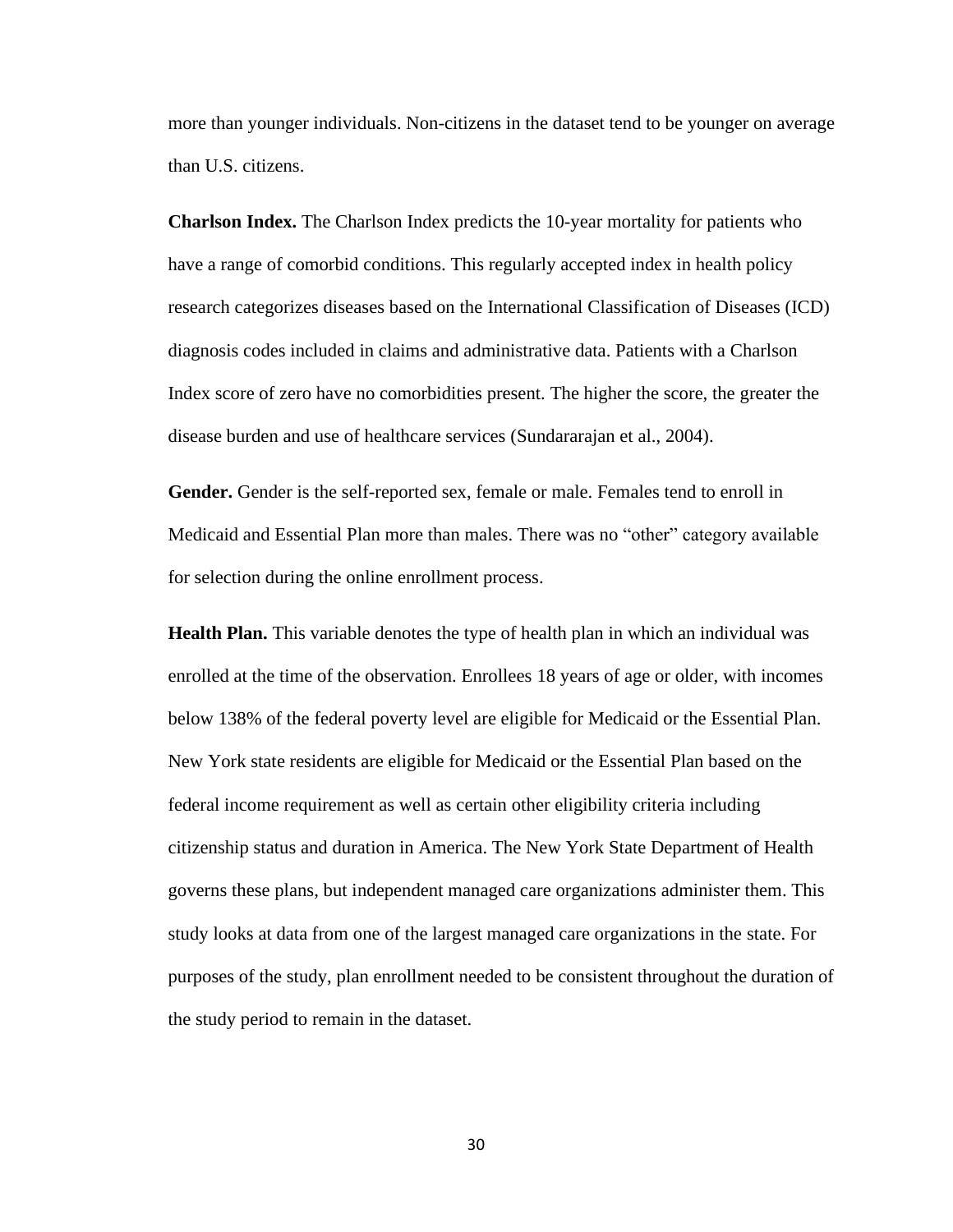more than younger individuals. Non-citizens in the dataset tend to be younger on average than U.S. citizens.

**Charlson Index.** The Charlson Index predicts the 10-year mortality for patients who have a range of comorbid conditions. This regularly accepted index in health policy research categorizes diseases based on the International Classification of Diseases (ICD) diagnosis codes included in claims and administrative data. Patients with a Charlson Index score of zero have no comorbidities present. The higher the score, the greater the disease burden and use of healthcare services (Sundararajan et al., 2004).

**Gender.** Gender is the self-reported sex, female or male. Females tend to enroll in Medicaid and Essential Plan more than males. There was no "other" category available for selection during the online enrollment process.

**Health Plan.** This variable denotes the type of health plan in which an individual was enrolled at the time of the observation. Enrollees 18 years of age or older, with incomes below 138% of the federal poverty level are eligible for Medicaid or the Essential Plan. New York state residents are eligible for Medicaid or the Essential Plan based on the federal income requirement as well as certain other eligibility criteria including citizenship status and duration in America. The New York State Department of Health governs these plans, but independent managed care organizations administer them. This study looks at data from one of the largest managed care organizations in the state. For purposes of the study, plan enrollment needed to be consistent throughout the duration of the study period to remain in the dataset.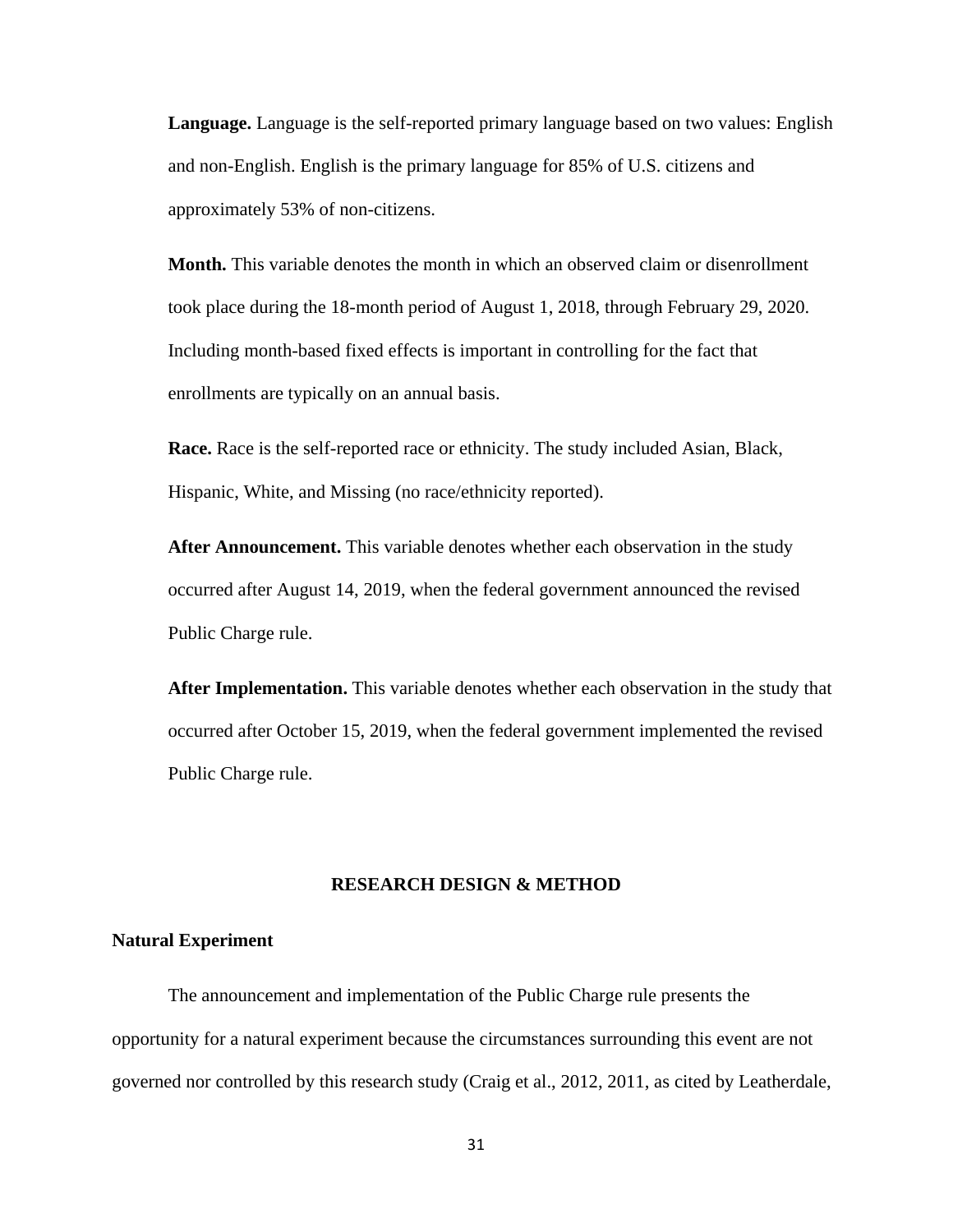**Language.** Language is the self-reported primary language based on two values: English and non-English. English is the primary language for 85% of U.S. citizens and approximately 53% of non-citizens.

**Month.** This variable denotes the month in which an observed claim or disenrollment took place during the 18-month period of August 1, 2018, through February 29, 2020. Including month-based fixed effects is important in controlling for the fact that enrollments are typically on an annual basis.

**Race.** Race is the self-reported race or ethnicity. The study included Asian, Black, Hispanic, White, and Missing (no race/ethnicity reported).

**After Announcement.** This variable denotes whether each observation in the study occurred after August 14, 2019, when the federal government announced the revised Public Charge rule.

**After Implementation.** This variable denotes whether each observation in the study that occurred after October 15, 2019, when the federal government implemented the revised Public Charge rule.

## **RESEARCH DESIGN & METHOD**

### **Natural Experiment**

The announcement and implementation of the Public Charge rule presents the opportunity for a natural experiment because the circumstances surrounding this event are not governed nor controlled by this research study (Craig et al., 2012, 2011, as cited by Leatherdale,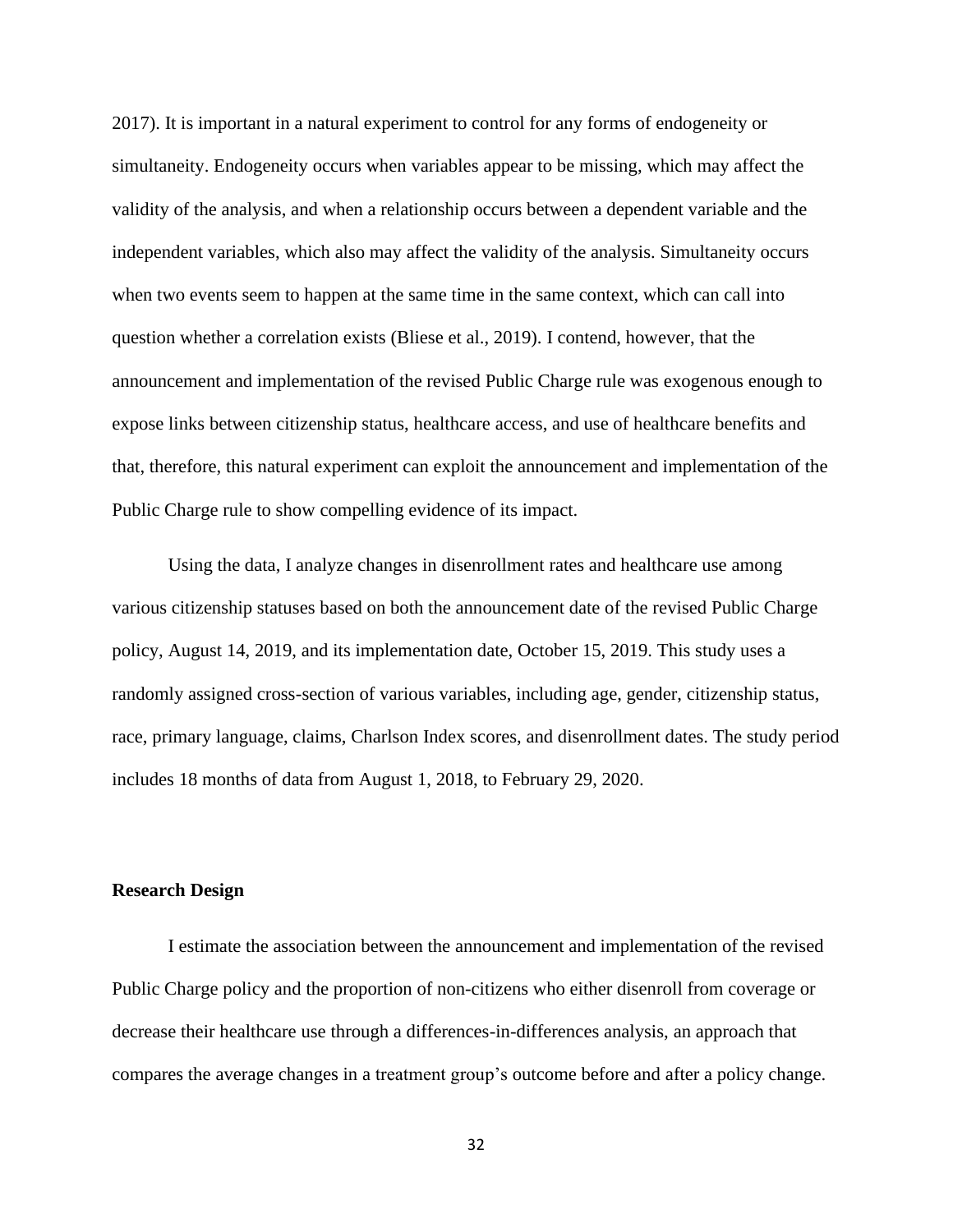2017). It is important in a natural experiment to control for any forms of endogeneity or simultaneity. Endogeneity occurs when variables appear to be missing, which may affect the validity of the analysis, and when a relationship occurs between a dependent variable and the independent variables, which also may affect the validity of the analysis. Simultaneity occurs when two events seem to happen at the same time in the same context, which can call into question whether a correlation exists (Bliese et al., 2019). I contend, however, that the announcement and implementation of the revised Public Charge rule was exogenous enough to expose links between citizenship status, healthcare access, and use of healthcare benefits and that, therefore, this natural experiment can exploit the announcement and implementation of the Public Charge rule to show compelling evidence of its impact.

Using the data, I analyze changes in disenrollment rates and healthcare use among various citizenship statuses based on both the announcement date of the revised Public Charge policy, August 14, 2019, and its implementation date, October 15, 2019. This study uses a randomly assigned cross-section of various variables, including age, gender, citizenship status, race, primary language, claims, Charlson Index scores, and disenrollment dates. The study period includes 18 months of data from August 1, 2018, to February 29, 2020.

## **Research Design**

I estimate the association between the announcement and implementation of the revised Public Charge policy and the proportion of non-citizens who either disenroll from coverage or decrease their healthcare use through a differences-in-differences analysis, an approach that compares the average changes in a treatment group's outcome before and after a policy change.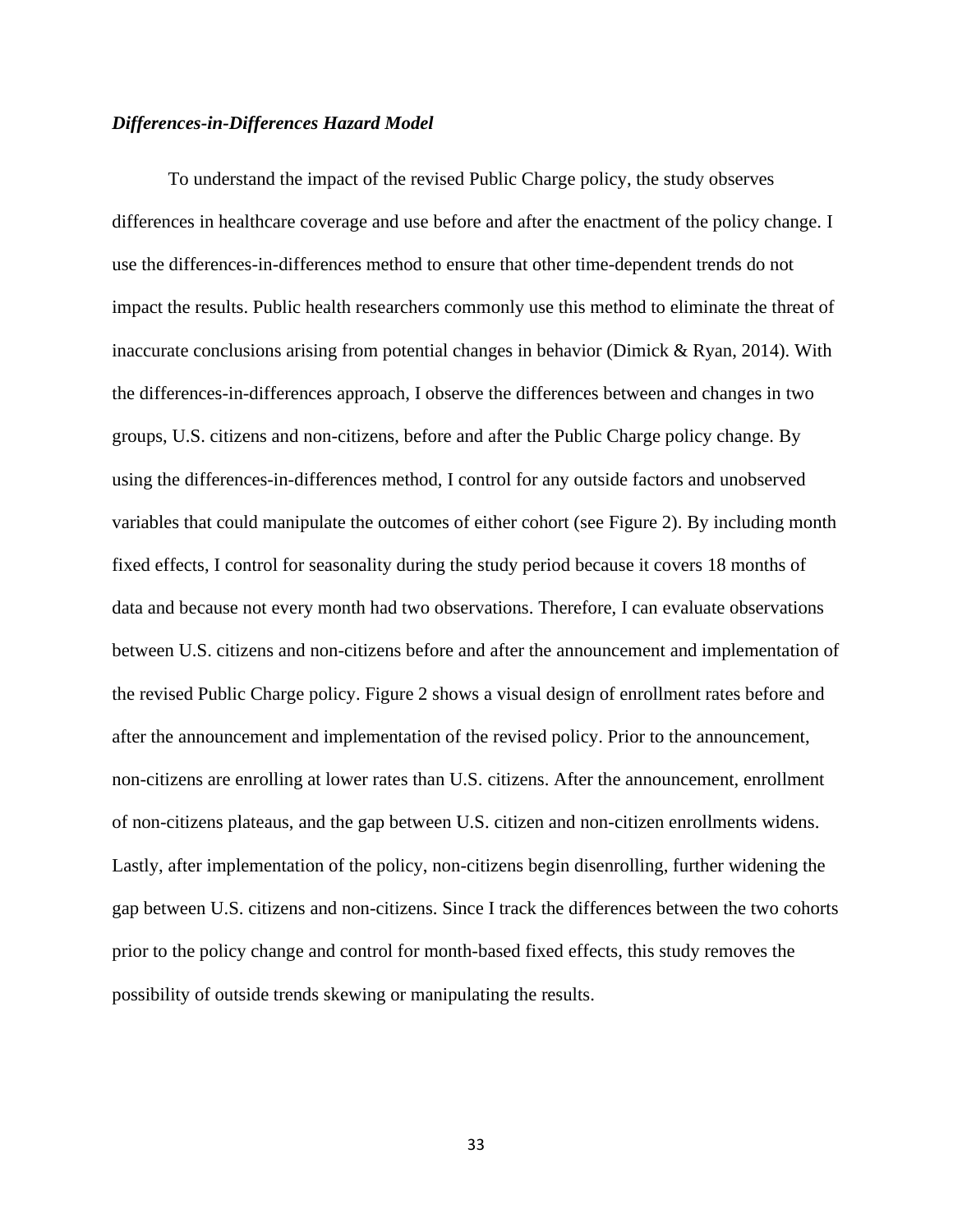## *Differences-in-Differences Hazard Model*

To understand the impact of the revised Public Charge policy, the study observes differences in healthcare coverage and use before and after the enactment of the policy change. I use the differences-in-differences method to ensure that other time-dependent trends do not impact the results. Public health researchers commonly use this method to eliminate the threat of inaccurate conclusions arising from potential changes in behavior (Dimick & Ryan, 2014). With the differences-in-differences approach, I observe the differences between and changes in two groups, U.S. citizens and non-citizens, before and after the Public Charge policy change. By using the differences-in-differences method, I control for any outside factors and unobserved variables that could manipulate the outcomes of either cohort (see Figure 2). By including month fixed effects, I control for seasonality during the study period because it covers 18 months of data and because not every month had two observations. Therefore, I can evaluate observations between U.S. citizens and non-citizens before and after the announcement and implementation of the revised Public Charge policy. Figure 2 shows a visual design of enrollment rates before and after the announcement and implementation of the revised policy. Prior to the announcement, non-citizens are enrolling at lower rates than U.S. citizens. After the announcement, enrollment of non-citizens plateaus, and the gap between U.S. citizen and non-citizen enrollments widens. Lastly, after implementation of the policy, non-citizens begin disenrolling, further widening the gap between U.S. citizens and non-citizens. Since I track the differences between the two cohorts prior to the policy change and control for month-based fixed effects, this study removes the possibility of outside trends skewing or manipulating the results.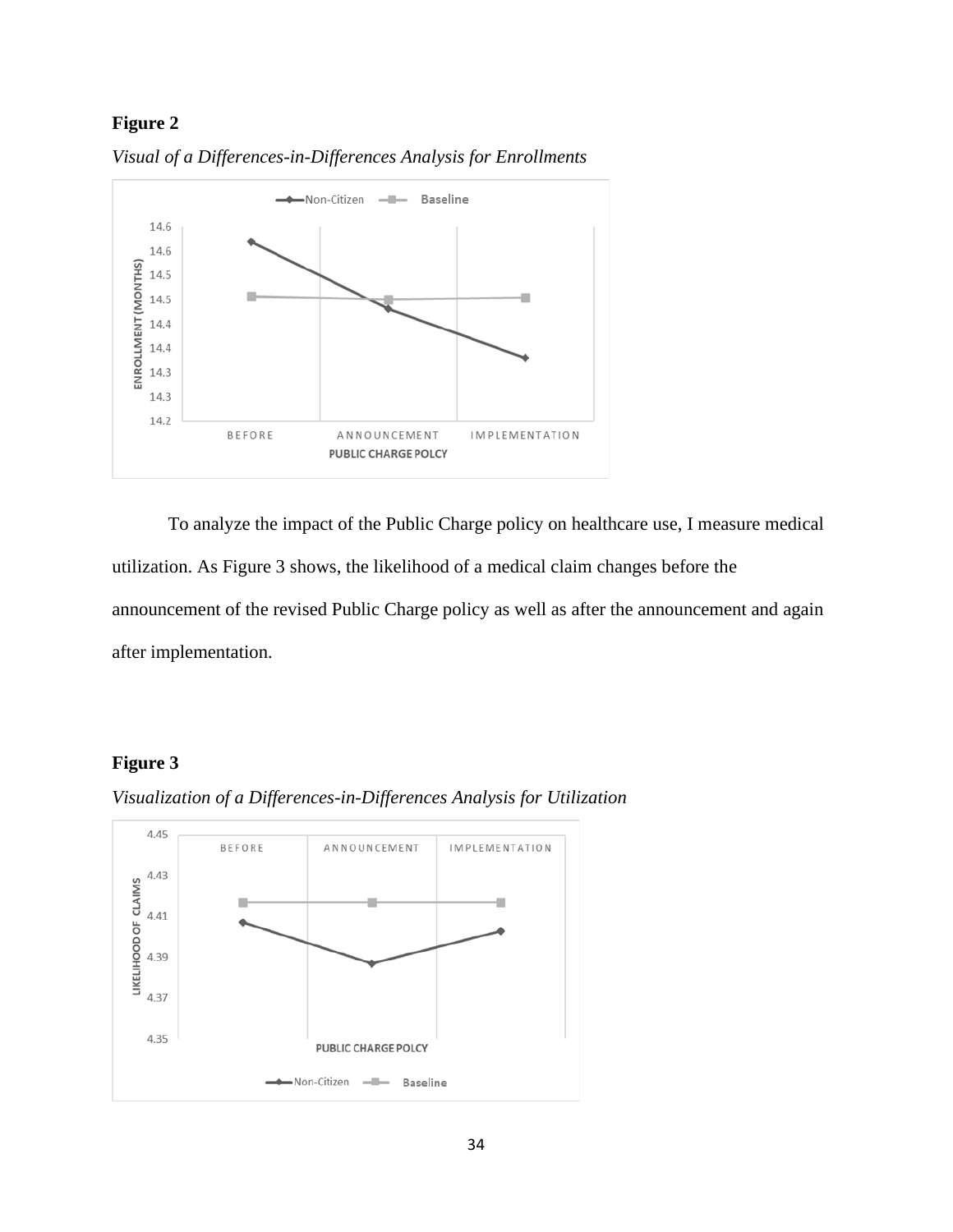# **Figure 2**



*Visual of a Differences-in-Differences Analysis for Enrollments*

To analyze the impact of the Public Charge policy on healthcare use, I measure medical utilization. As Figure 3 shows, the likelihood of a medical claim changes before the announcement of the revised Public Charge policy as well as after the announcement and again after implementation.

# **Figure 3**



*Visualization of a Differences-in-Differences Analysis for Utilization*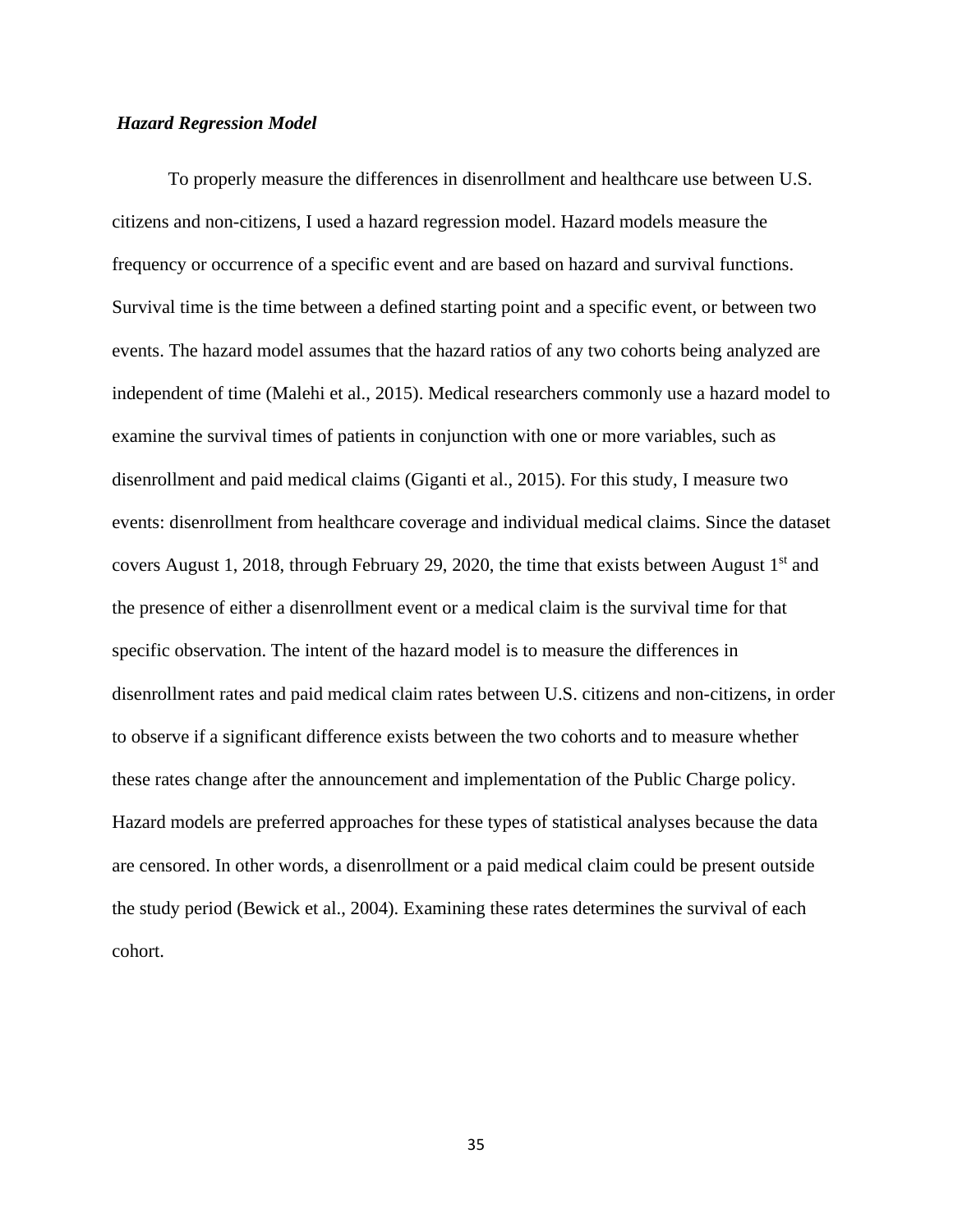## *Hazard Regression Model*

To properly measure the differences in disenrollment and healthcare use between U.S. citizens and non-citizens, I used a hazard regression model. Hazard models measure the frequency or occurrence of a specific event and are based on hazard and survival functions. Survival time is the time between a defined starting point and a specific event, or between two events. The hazard model assumes that the hazard ratios of any two cohorts being analyzed are independent of time (Malehi et al., 2015). Medical researchers commonly use a hazard model to examine the survival times of patients in conjunction with one or more variables, such as disenrollment and paid medical claims (Giganti et al., 2015). For this study, I measure two events: disenrollment from healthcare coverage and individual medical claims. Since the dataset covers August 1, 2018, through February 29, 2020, the time that exists between August  $1<sup>st</sup>$  and the presence of either a disenrollment event or a medical claim is the survival time for that specific observation. The intent of the hazard model is to measure the differences in disenrollment rates and paid medical claim rates between U.S. citizens and non-citizens, in order to observe if a significant difference exists between the two cohorts and to measure whether these rates change after the announcement and implementation of the Public Charge policy. Hazard models are preferred approaches for these types of statistical analyses because the data are censored. In other words, a disenrollment or a paid medical claim could be present outside the study period (Bewick et al., 2004). Examining these rates determines the survival of each cohort.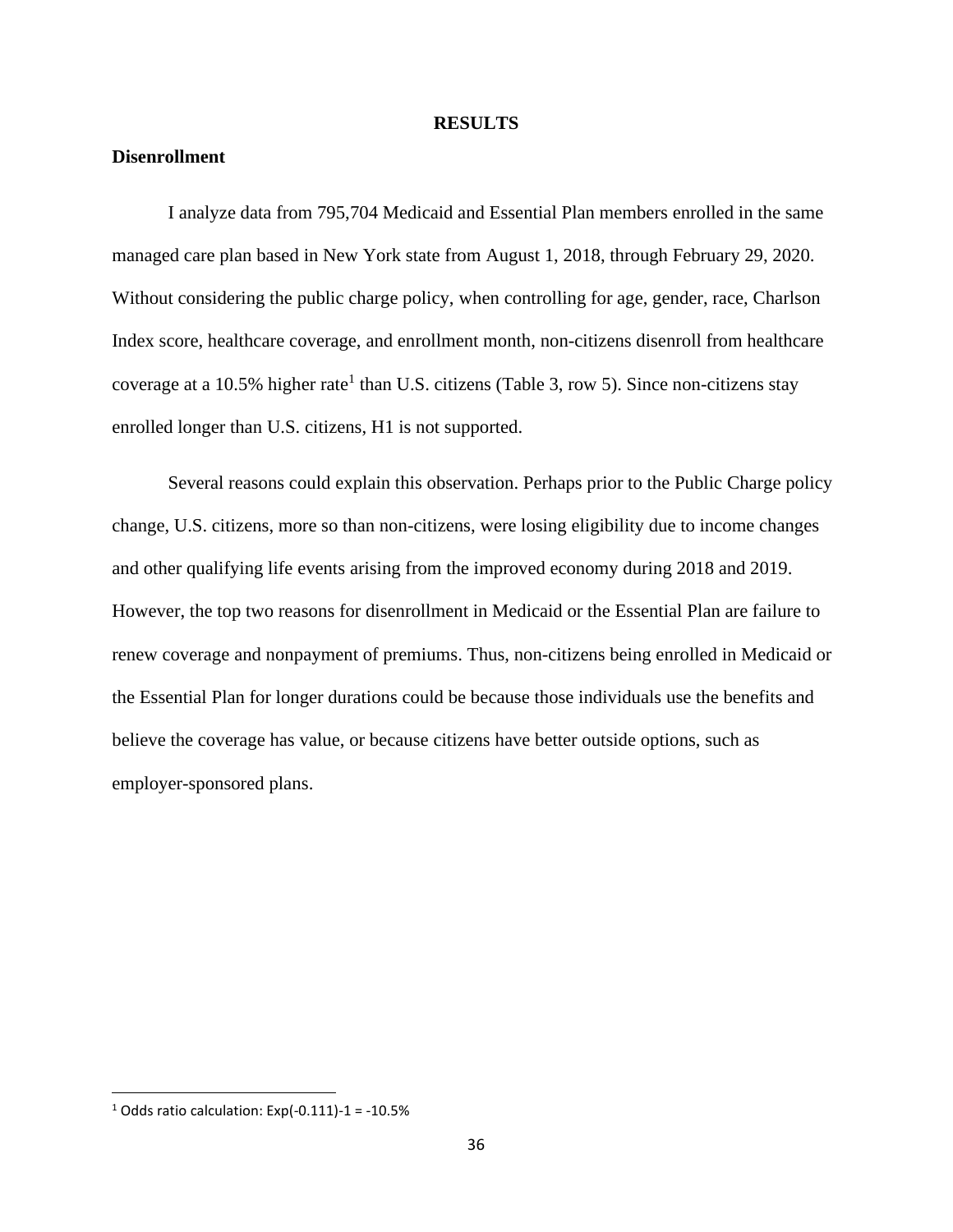#### **RESULTS**

# **Disenrollment**

I analyze data from 795,704 Medicaid and Essential Plan members enrolled in the same managed care plan based in New York state from August 1, 2018, through February 29, 2020. Without considering the public charge policy, when controlling for age, gender, race, Charlson Index score, healthcare coverage, and enrollment month, non-citizens disenroll from healthcare coverage at a 10.5% higher rate<sup>1</sup> than U.S. citizens (Table 3, row 5). Since non-citizens stay enrolled longer than U.S. citizens, H1 is not supported.

Several reasons could explain this observation. Perhaps prior to the Public Charge policy change, U.S. citizens, more so than non-citizens, were losing eligibility due to income changes and other qualifying life events arising from the improved economy during 2018 and 2019. However, the top two reasons for disenrollment in Medicaid or the Essential Plan are failure to renew coverage and nonpayment of premiums. Thus, non-citizens being enrolled in Medicaid or the Essential Plan for longer durations could be because those individuals use the benefits and believe the coverage has value, or because citizens have better outside options, such as employer-sponsored plans.

 $1$  Odds ratio calculation: Exp(-0.111)-1 = -10.5%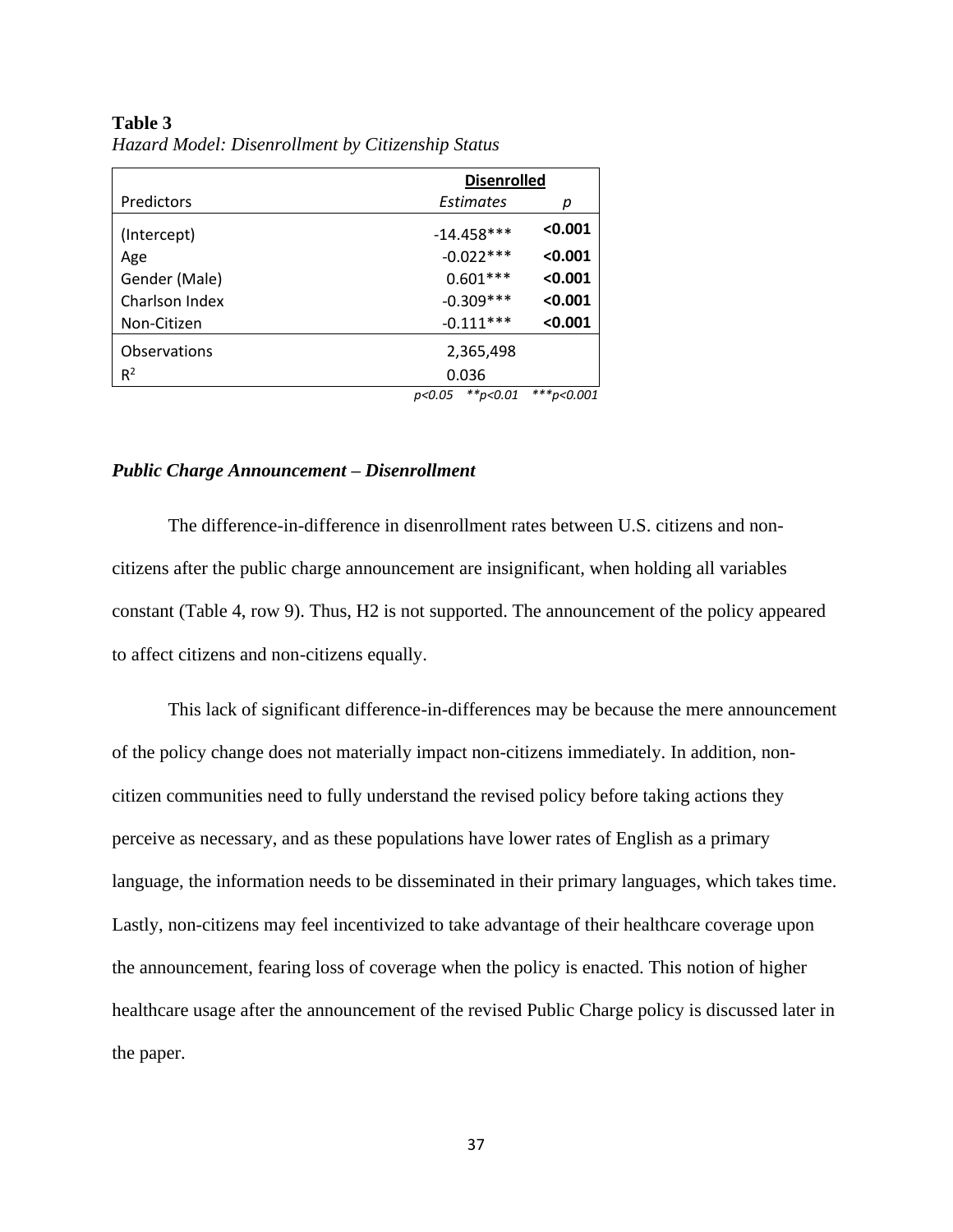### **Table 3**

|                   |                          | <b>Disenrolled</b> |  |  |
|-------------------|--------------------------|--------------------|--|--|
| <b>Predictors</b> | Estimates                | р                  |  |  |
| (Intercept)       | $-14.458***$             | < 0.001            |  |  |
| Age               | $-0.022***$              | < 0.001            |  |  |
| Gender (Male)     | $0.601***$               | < 0.001            |  |  |
| Charlson Index    | $-0.309***$<br>< 0.001   |                    |  |  |
| Non-Citizen       | $-0.111***$<br>< 0.001   |                    |  |  |
| Observations      | 2,365,498                |                    |  |  |
| R <sup>2</sup>    | 0.036                    |                    |  |  |
|                   | $*$ $*$ p<0.01<br>p<0.05 | $***p<0.001$       |  |  |

*Hazard Model: Disenrollment by Citizenship Status*

## *Public Charge Announcement – Disenrollment*

The difference-in-difference in disenrollment rates between U.S. citizens and noncitizens after the public charge announcement are insignificant, when holding all variables constant (Table 4, row 9). Thus, H2 is not supported. The announcement of the policy appeared to affect citizens and non-citizens equally.

This lack of significant difference-in-differences may be because the mere announcement of the policy change does not materially impact non-citizens immediately. In addition, noncitizen communities need to fully understand the revised policy before taking actions they perceive as necessary, and as these populations have lower rates of English as a primary language, the information needs to be disseminated in their primary languages, which takes time. Lastly, non-citizens may feel incentivized to take advantage of their healthcare coverage upon the announcement, fearing loss of coverage when the policy is enacted. This notion of higher healthcare usage after the announcement of the revised Public Charge policy is discussed later in the paper.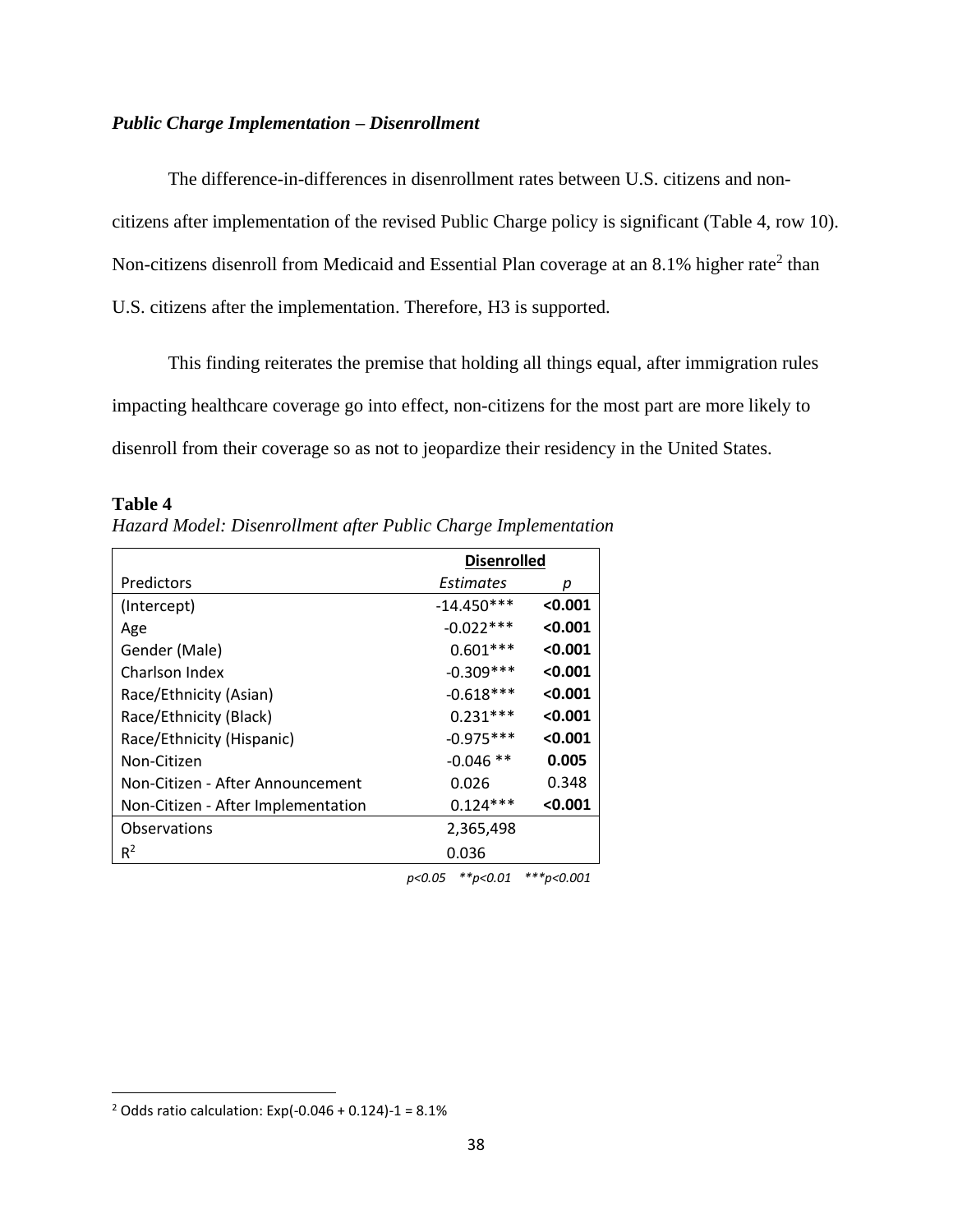## *Public Charge Implementation – Disenrollment*

The difference-in-differences in disenrollment rates between U.S. citizens and noncitizens after implementation of the revised Public Charge policy is significant (Table 4, row 10). Non-citizens disenroll from Medicaid and Essential Plan coverage at an 8.1% higher rate<sup>2</sup> than U.S. citizens after the implementation. Therefore, H3 is supported.

This finding reiterates the premise that holding all things equal, after immigration rules impacting healthcare coverage go into effect, non-citizens for the most part are more likely to disenroll from their coverage so as not to jeopardize their residency in the United States.

#### **Table 4**

*Hazard Model: Disenrollment after Public Charge Implementation* 

|                                    | <b>Disenrolled</b> |         |  |
|------------------------------------|--------------------|---------|--|
| Predictors                         | Estimates          | р       |  |
| (Intercept)                        | $-14.450***$       | < 0.001 |  |
| Age                                | $-0.022***$        | < 0.001 |  |
| Gender (Male)                      | $0.601***$         | < 0.001 |  |
| Charlson Index                     | $-0.309***$        | < 0.001 |  |
| Race/Ethnicity (Asian)             | $-0.618***$        | < 0.001 |  |
| Race/Ethnicity (Black)             | $0.231***$         | < 0.001 |  |
| Race/Ethnicity (Hispanic)          | $-0.975***$        | < 0.001 |  |
| Non-Citizen                        | $-0.046$ **        | 0.005   |  |
| Non-Citizen - After Announcement   | 0.026              | 0.348   |  |
| Non-Citizen - After Implementation | $0.124***$         | < 0.001 |  |
| Observations                       | 2,365,498          |         |  |
| $R^2$                              | 0.036              |         |  |

*p<0.05 \*\*p<0.01 \*\*\*p<0.001*

<sup>&</sup>lt;sup>2</sup> Odds ratio calculation: Exp(-0.046 + 0.124)-1 =  $8.1\%$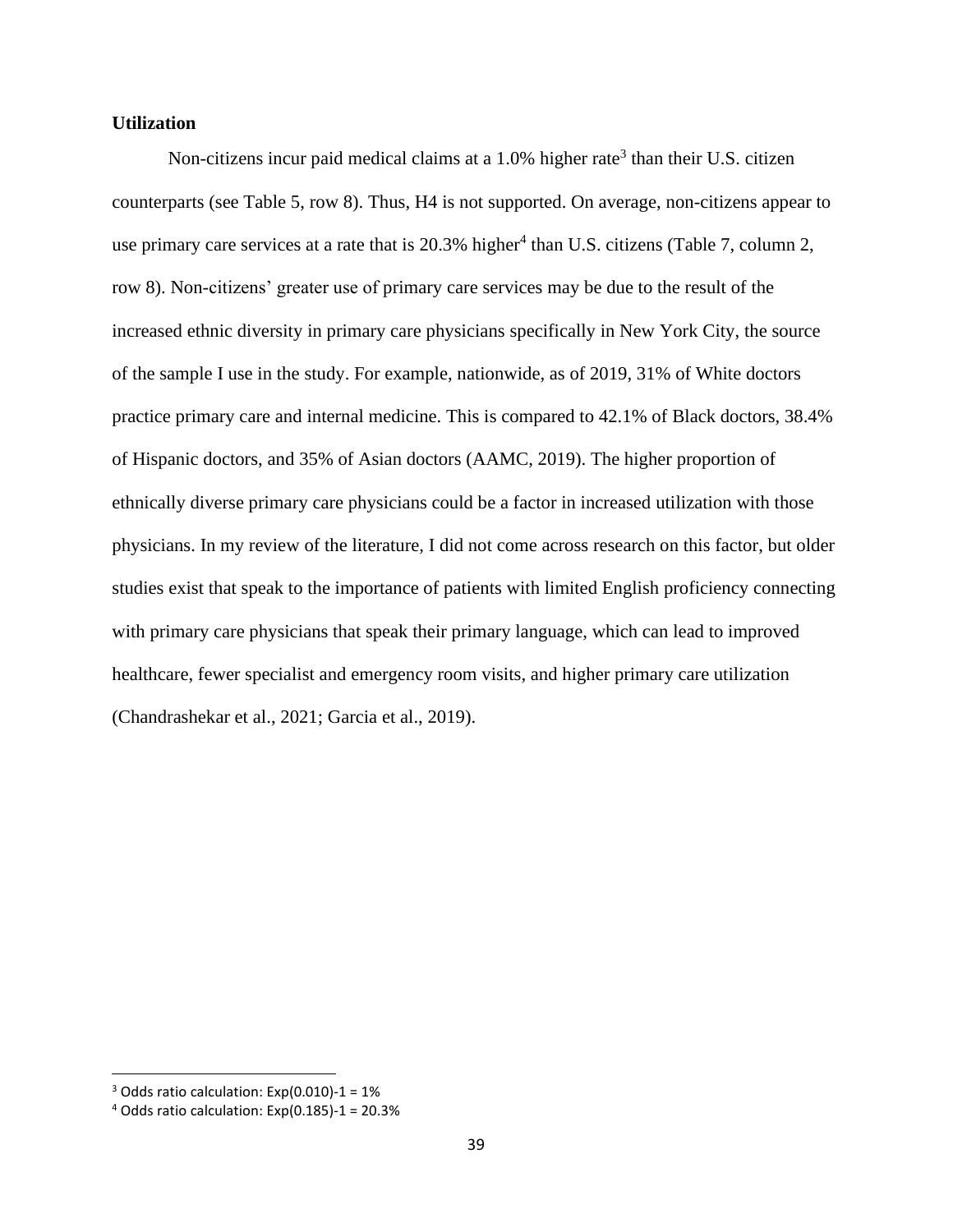# **Utilization**

Non-citizens incur paid medical claims at a 1.0% higher rate<sup>3</sup> than their U.S. citizen counterparts (see Table 5, row 8). Thus, H4 is not supported. On average, non-citizens appear to use primary care services at a rate that is  $20.3\%$  higher<sup>4</sup> than U.S. citizens (Table 7, column 2, row 8). Non-citizens' greater use of primary care services may be due to the result of the increased ethnic diversity in primary care physicians specifically in New York City, the source of the sample I use in the study. For example, nationwide, as of 2019, 31% of White doctors practice primary care and internal medicine. This is compared to 42.1% of Black doctors, 38.4% of Hispanic doctors, and 35% of Asian doctors (AAMC, 2019). The higher proportion of ethnically diverse primary care physicians could be a factor in increased utilization with those physicians. In my review of the literature, I did not come across research on this factor, but older studies exist that speak to the importance of patients with limited English proficiency connecting with primary care physicians that speak their primary language, which can lead to improved healthcare, fewer specialist and emergency room visits, and higher primary care utilization (Chandrashekar et al., 2021; Garcia et al., 2019).

 $3$  Odds ratio calculation: Exp(0.010)-1 = 1%

 $4$  Odds ratio calculation: Exp(0.185)-1 = 20.3%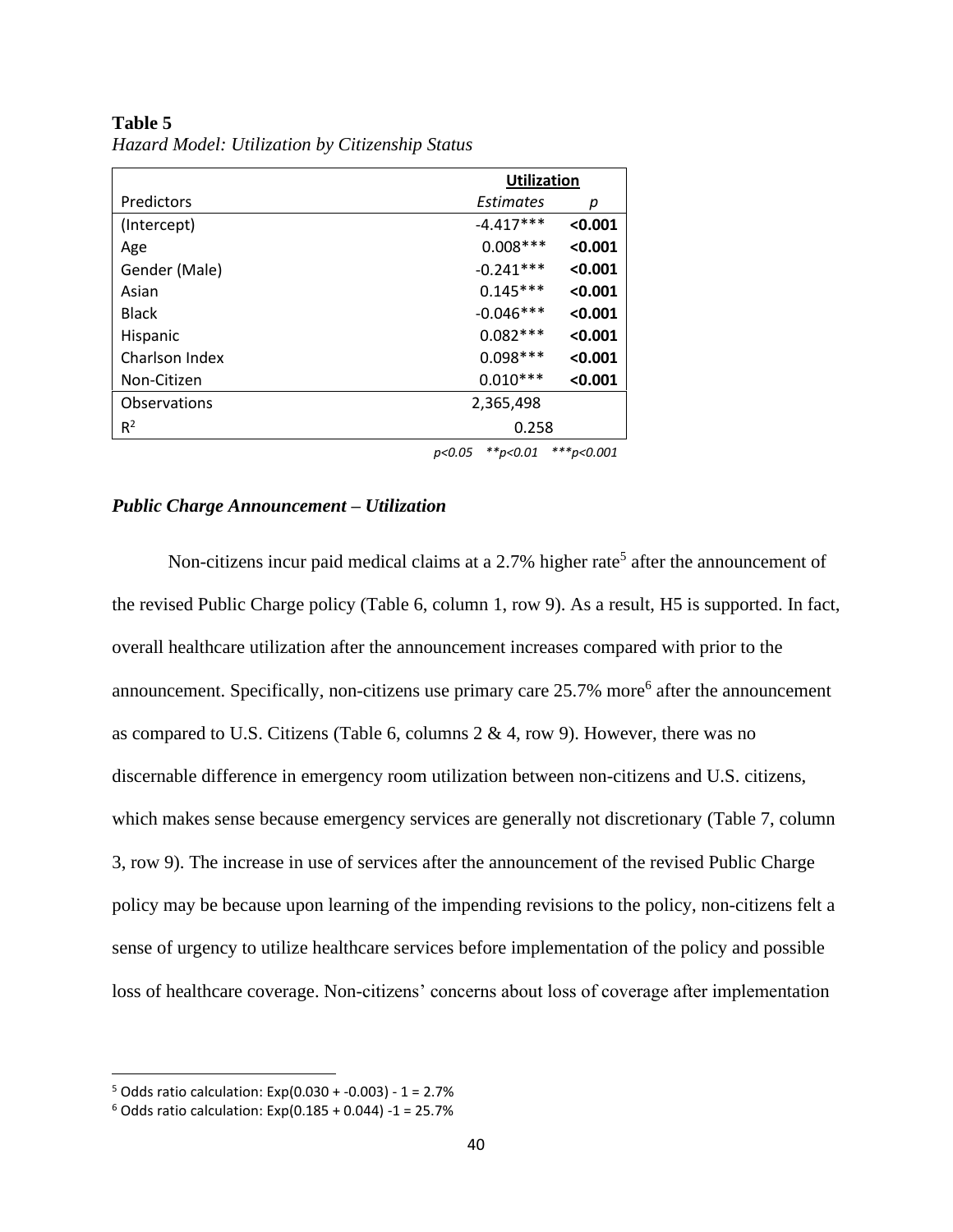|                |             | <b>Utilization</b> |  |  |
|----------------|-------------|--------------------|--|--|
| Predictors     | Estimates   | р                  |  |  |
| (Intercept)    | $-4.417***$ | < 0.001            |  |  |
| Age            | $0.008***$  | < 0.001            |  |  |
| Gender (Male)  | $-0.241***$ | < 0.001            |  |  |
| Asian          | $0.145***$  | < 0.001            |  |  |
| <b>Black</b>   | $-0.046***$ | < 0.001            |  |  |
| Hispanic       | $0.082***$  | < 0.001            |  |  |
| Charlson Index | $0.098***$  | < 0.001            |  |  |
| Non-Citizen    | $0.010***$  | < 0.001            |  |  |
| Observations   | 2,365,498   |                    |  |  |
| $R^2$          | 0.258       |                    |  |  |

**Table 5** *Hazard Model: Utilization by Citizenship Status*

*p<0.05 \*\*p<0.01 \*\*\*p<0.001*

#### *Public Charge Announcement – Utilization*

Non-citizens incur paid medical claims at a 2.7% higher rate<sup>5</sup> after the announcement of the revised Public Charge policy (Table 6, column 1, row 9). As a result, H5 is supported. In fact, overall healthcare utilization after the announcement increases compared with prior to the announcement. Specifically, non-citizens use primary care  $25.7\%$  more<sup>6</sup> after the announcement as compared to U.S. Citizens (Table 6, columns  $2 \& 4$ , row 9). However, there was no discernable difference in emergency room utilization between non-citizens and U.S. citizens, which makes sense because emergency services are generally not discretionary (Table 7, column 3, row 9). The increase in use of services after the announcement of the revised Public Charge policy may be because upon learning of the impending revisions to the policy, non-citizens felt a sense of urgency to utilize healthcare services before implementation of the policy and possible loss of healthcare coverage. Non-citizens' concerns about loss of coverage after implementation

 $5$  Odds ratio calculation: Exp(0.030 + -0.003) - 1 = 2.7%

 $6$  Odds ratio calculation: Exp(0.185 + 0.044) -1 = 25.7%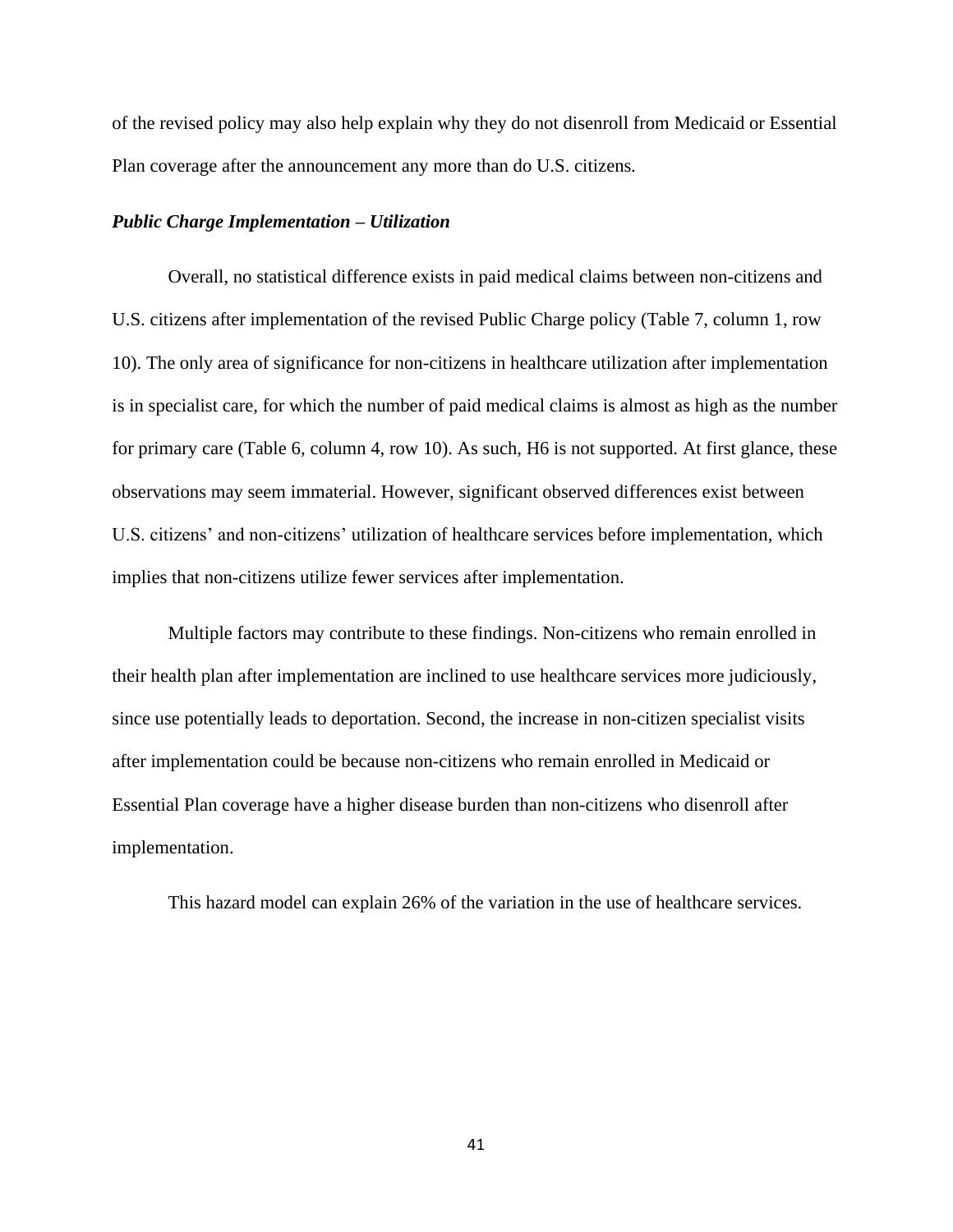of the revised policy may also help explain why they do not disenroll from Medicaid or Essential Plan coverage after the announcement any more than do U.S. citizens*.* 

## *Public Charge Implementation – Utilization*

Overall, no statistical difference exists in paid medical claims between non-citizens and U.S. citizens after implementation of the revised Public Charge policy (Table 7, column 1, row 10). The only area of significance for non-citizens in healthcare utilization after implementation is in specialist care, for which the number of paid medical claims is almost as high as the number for primary care (Table 6, column 4, row 10). As such, H6 is not supported. At first glance, these observations may seem immaterial. However, significant observed differences exist between U.S. citizens' and non-citizens' utilization of healthcare services before implementation, which implies that non-citizens utilize fewer services after implementation.

Multiple factors may contribute to these findings. Non-citizens who remain enrolled in their health plan after implementation are inclined to use healthcare services more judiciously, since use potentially leads to deportation. Second, the increase in non-citizen specialist visits after implementation could be because non-citizens who remain enrolled in Medicaid or Essential Plan coverage have a higher disease burden than non-citizens who disenroll after implementation.

This hazard model can explain 26% of the variation in the use of healthcare services.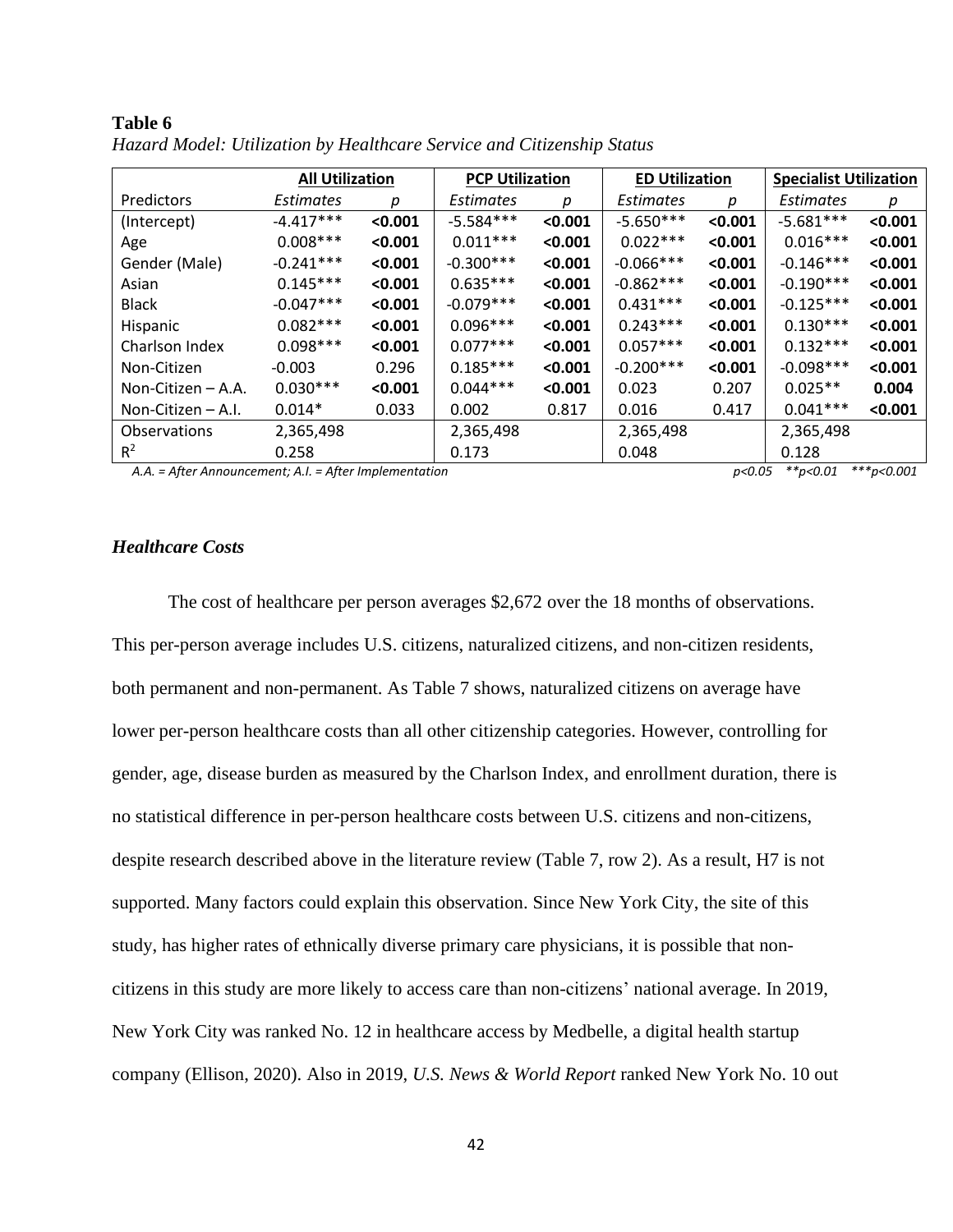|                      |                  | <b>All Utilization</b><br><b>PCP Utilization</b> |             | <b>ED Utilization</b> |             | <b>Specialist Utilization</b> |                  |         |
|----------------------|------------------|--------------------------------------------------|-------------|-----------------------|-------------|-------------------------------|------------------|---------|
| Predictors           | <b>Estimates</b> | р                                                | Estimates   | р                     | Estimates   | р                             | <b>Estimates</b> | р       |
| (Intercept)          | $-4.417***$      | < 0.001                                          | $-5.584***$ | < 0.001               | $-5.650***$ | < 0.001                       | $-5.681***$      | < 0.001 |
| Age                  | $0.008***$       | < 0.001                                          | $0.011***$  | < 0.001               | $0.022***$  | < 0.001                       | $0.016***$       | < 0.001 |
| Gender (Male)        | $-0.241***$      | < 0.001                                          | $-0.300***$ | < 0.001               | $-0.066***$ | < 0.001                       | $-0.146***$      | < 0.001 |
| Asian                | $0.145***$       | < 0.001                                          | $0.635***$  | < 0.001               | $-0.862***$ | < 0.001                       | $-0.190***$      | < 0.001 |
| <b>Black</b>         | $-0.047***$      | < 0.001                                          | $-0.079***$ | < 0.001               | $0.431***$  | < 0.001                       | $-0.125***$      | < 0.001 |
| Hispanic             | $0.082***$       | < 0.001                                          | $0.096***$  | < 0.001               | $0.243***$  | < 0.001                       | $0.130***$       | < 0.001 |
| Charlson Index       | $0.098***$       | < 0.001                                          | $0.077***$  | < 0.001               | $0.057***$  | < 0.001                       | $0.132***$       | < 0.001 |
| Non-Citizen          | $-0.003$         | 0.296                                            | $0.185***$  | < 0.001               | $-0.200***$ | < 0.001                       | $-0.098***$      | < 0.001 |
| Non-Citizen $-$ A.A. | $0.030***$       | < 0.001                                          | $0.044***$  | < 0.001               | 0.023       | 0.207                         | $0.025**$        | 0.004   |
| Non-Citizen $-$ A.I. | $0.014*$         | 0.033                                            | 0.002       | 0.817                 | 0.016       | 0.417                         | $0.041***$       | < 0.001 |
| Observations         | 2,365,498        |                                                  | 2,365,498   |                       | 2,365,498   |                               | 2,365,498        |         |
| $R^2$                | 0.258            |                                                  | 0.173       |                       | 0.048       |                               | 0.128            |         |

**Table 6** *Hazard Model: Utilization by Healthcare Service and Citizenship Status*

*A.A. = After Announcement; A.I. = After Implementation p<0.05 \*\*p<0.01 \*\*\*p<0.001*

# *Healthcare Costs*

The cost of healthcare per person averages \$2,672 over the 18 months of observations. This per-person average includes U.S. citizens, naturalized citizens, and non-citizen residents, both permanent and non-permanent. As Table 7 shows, naturalized citizens on average have lower per-person healthcare costs than all other citizenship categories. However, controlling for gender, age, disease burden as measured by the Charlson Index, and enrollment duration, there is no statistical difference in per-person healthcare costs between U.S. citizens and non-citizens, despite research described above in the literature review (Table 7, row 2). As a result, H7 is not supported. Many factors could explain this observation. Since New York City, the site of this study, has higher rates of ethnically diverse primary care physicians, it is possible that noncitizens in this study are more likely to access care than non-citizens' national average. In 2019, New York City was ranked No. 12 in healthcare access by Medbelle, a digital health startup company (Ellison, 2020). Also in 2019, *U.S. News & World Report* ranked New York No. 10 out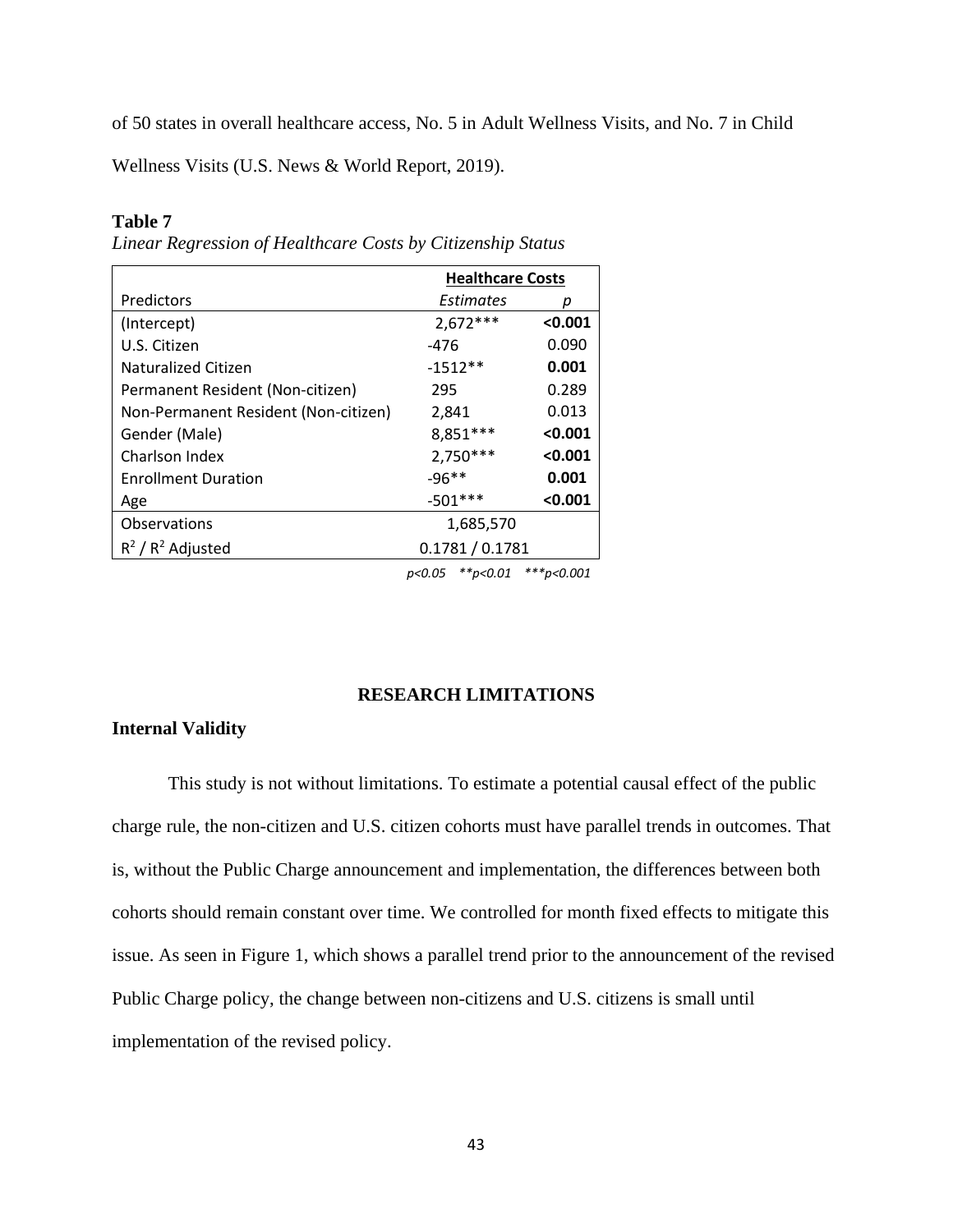of 50 states in overall healthcare access, No. 5 in Adult Wellness Visits, and No. 7 in Child

Wellness Visits (U.S. News & World Report, 2019).

# **Table 7**

*Linear Regression of Healthcare Costs by Citizenship Status*

|                                      | <b>Healthcare Costs</b> |         |  |
|--------------------------------------|-------------------------|---------|--|
| Predictors                           | Estimates               | р       |  |
| (Intercept)                          | $2,672***$              | < 0.001 |  |
| U.S. Citizen                         | -476                    | 0.090   |  |
| Naturalized Citizen                  | $-1512**$               | 0.001   |  |
| Permanent Resident (Non-citizen)     | 295                     | 0.289   |  |
| Non-Permanent Resident (Non-citizen) | 2,841                   | 0.013   |  |
| Gender (Male)                        | $8,851***$              | < 0.001 |  |
| Charlson Index                       | $2,750***$              | < 0.001 |  |
| <b>Enrollment Duration</b>           | $-96**$                 | 0.001   |  |
| Age                                  | $-501***$               | < 0.001 |  |
| Observations                         | 1,685,570               |         |  |
| $R^2/R^2$ Adjusted                   | 0.1781/0.1781           |         |  |
|                                      |                         |         |  |

*p<0.05 \*\*p<0.01 \*\*\*p<0.001*

## **RESEARCH LIMITATIONS**

# **Internal Validity**

This study is not without limitations. To estimate a potential causal effect of the public charge rule, the non-citizen and U.S. citizen cohorts must have parallel trends in outcomes. That is, without the Public Charge announcement and implementation, the differences between both cohorts should remain constant over time. We controlled for month fixed effects to mitigate this issue. As seen in Figure 1, which shows a parallel trend prior to the announcement of the revised Public Charge policy, the change between non-citizens and U.S. citizens is small until implementation of the revised policy.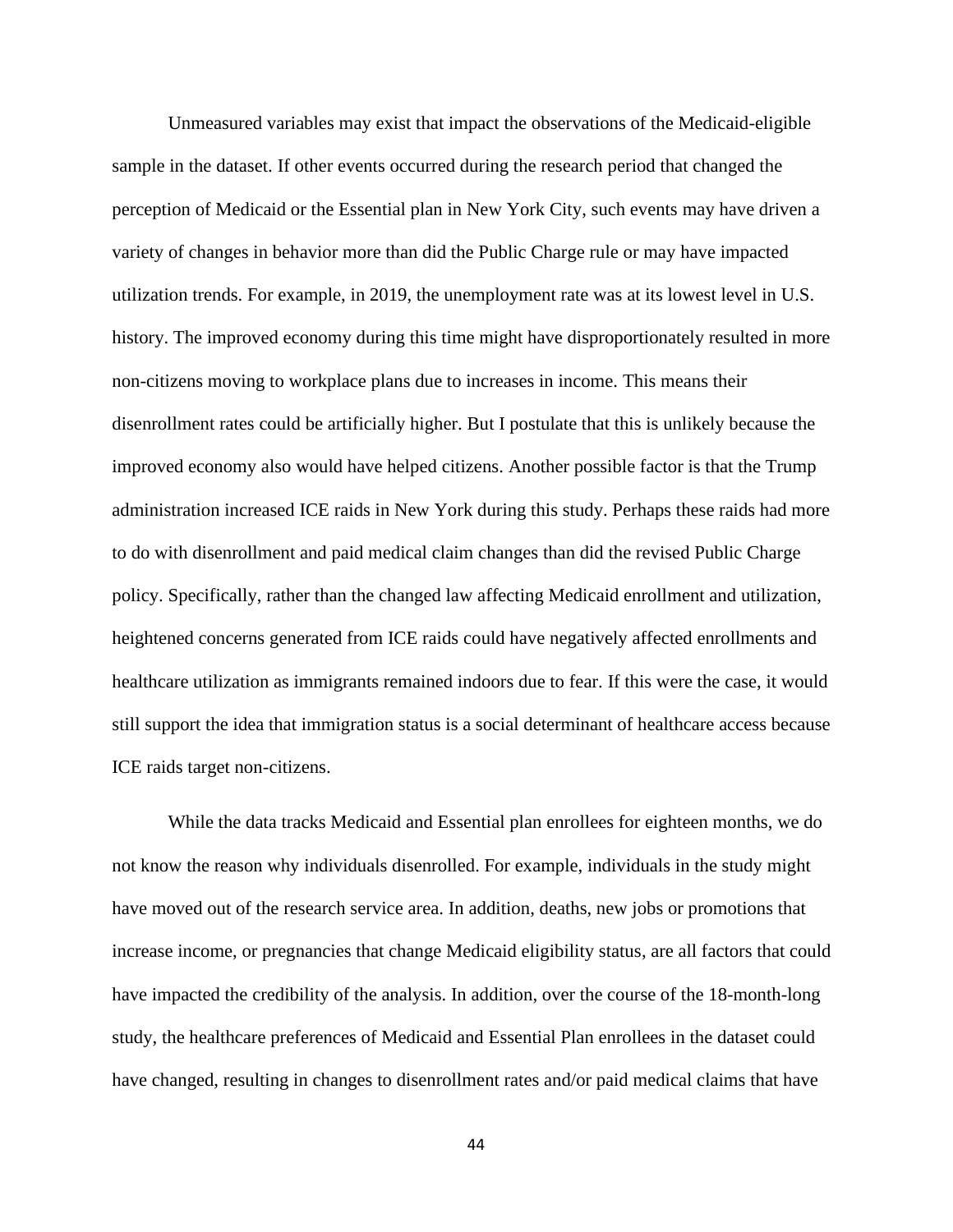Unmeasured variables may exist that impact the observations of the Medicaid-eligible sample in the dataset. If other events occurred during the research period that changed the perception of Medicaid or the Essential plan in New York City, such events may have driven a variety of changes in behavior more than did the Public Charge rule or may have impacted utilization trends. For example, in 2019, the unemployment rate was at its lowest level in U.S. history. The improved economy during this time might have disproportionately resulted in more non-citizens moving to workplace plans due to increases in income. This means their disenrollment rates could be artificially higher. But I postulate that this is unlikely because the improved economy also would have helped citizens. Another possible factor is that the Trump administration increased ICE raids in New York during this study. Perhaps these raids had more to do with disenrollment and paid medical claim changes than did the revised Public Charge policy. Specifically, rather than the changed law affecting Medicaid enrollment and utilization, heightened concerns generated from ICE raids could have negatively affected enrollments and healthcare utilization as immigrants remained indoors due to fear. If this were the case, it would still support the idea that immigration status is a social determinant of healthcare access because ICE raids target non-citizens.

While the data tracks Medicaid and Essential plan enrollees for eighteen months, we do not know the reason why individuals disenrolled. For example, individuals in the study might have moved out of the research service area. In addition, deaths, new jobs or promotions that increase income, or pregnancies that change Medicaid eligibility status, are all factors that could have impacted the credibility of the analysis. In addition, over the course of the 18-month-long study, the healthcare preferences of Medicaid and Essential Plan enrollees in the dataset could have changed, resulting in changes to disenrollment rates and/or paid medical claims that have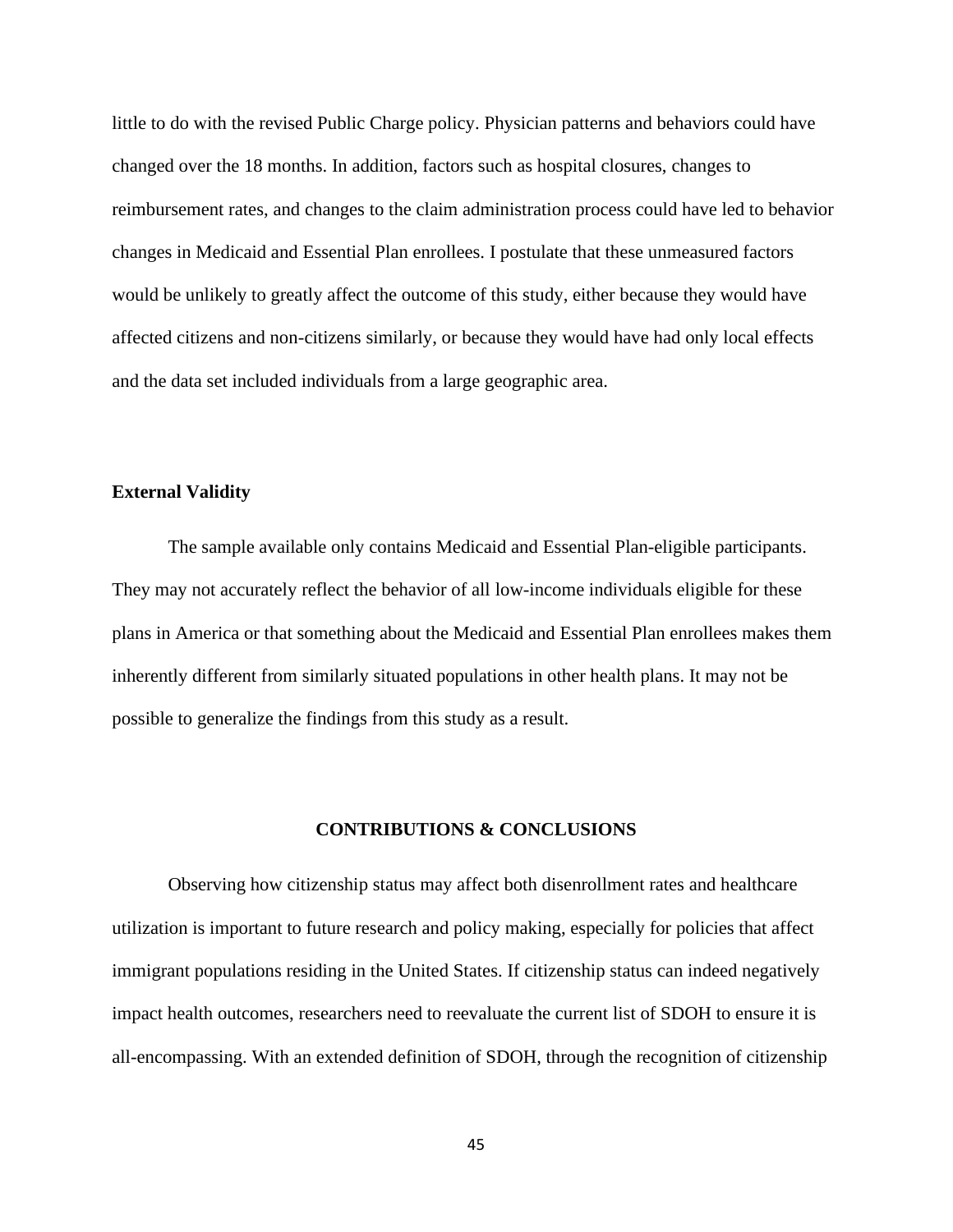little to do with the revised Public Charge policy. Physician patterns and behaviors could have changed over the 18 months. In addition, factors such as hospital closures, changes to reimbursement rates, and changes to the claim administration process could have led to behavior changes in Medicaid and Essential Plan enrollees. I postulate that these unmeasured factors would be unlikely to greatly affect the outcome of this study, either because they would have affected citizens and non-citizens similarly, or because they would have had only local effects and the data set included individuals from a large geographic area.

## **External Validity**

The sample available only contains Medicaid and Essential Plan-eligible participants. They may not accurately reflect the behavior of all low-income individuals eligible for these plans in America or that something about the Medicaid and Essential Plan enrollees makes them inherently different from similarly situated populations in other health plans. It may not be possible to generalize the findings from this study as a result.

## **CONTRIBUTIONS & CONCLUSIONS**

Observing how citizenship status may affect both disenrollment rates and healthcare utilization is important to future research and policy making, especially for policies that affect immigrant populations residing in the United States. If citizenship status can indeed negatively impact health outcomes, researchers need to reevaluate the current list of SDOH to ensure it is all-encompassing. With an extended definition of SDOH, through the recognition of citizenship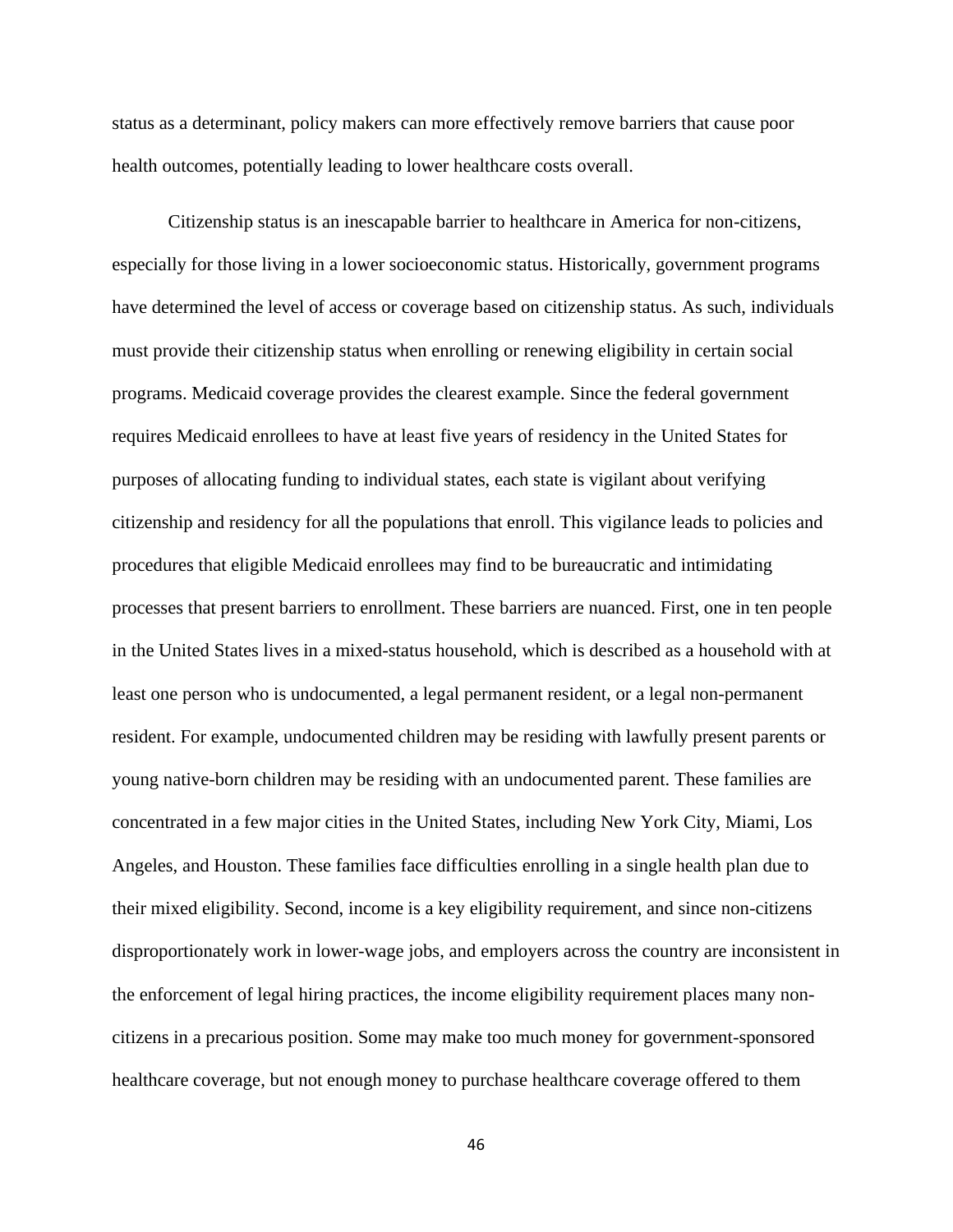status as a determinant, policy makers can more effectively remove barriers that cause poor health outcomes, potentially leading to lower healthcare costs overall.

Citizenship status is an inescapable barrier to healthcare in America for non-citizens, especially for those living in a lower socioeconomic status. Historically, government programs have determined the level of access or coverage based on citizenship status. As such, individuals must provide their citizenship status when enrolling or renewing eligibility in certain social programs. Medicaid coverage provides the clearest example. Since the federal government requires Medicaid enrollees to have at least five years of residency in the United States for purposes of allocating funding to individual states, each state is vigilant about verifying citizenship and residency for all the populations that enroll. This vigilance leads to policies and procedures that eligible Medicaid enrollees may find to be bureaucratic and intimidating processes that present barriers to enrollment. These barriers are nuanced. First, one in ten people in the United States lives in a mixed-status household, which is described as a household with at least one person who is undocumented, a legal permanent resident, or a legal non-permanent resident. For example, undocumented children may be residing with lawfully present parents or young native-born children may be residing with an undocumented parent. These families are concentrated in a few major cities in the United States, including New York City, Miami, Los Angeles, and Houston. These families face difficulties enrolling in a single health plan due to their mixed eligibility. Second, income is a key eligibility requirement, and since non-citizens disproportionately work in lower-wage jobs, and employers across the country are inconsistent in the enforcement of legal hiring practices, the income eligibility requirement places many noncitizens in a precarious position. Some may make too much money for government-sponsored healthcare coverage, but not enough money to purchase healthcare coverage offered to them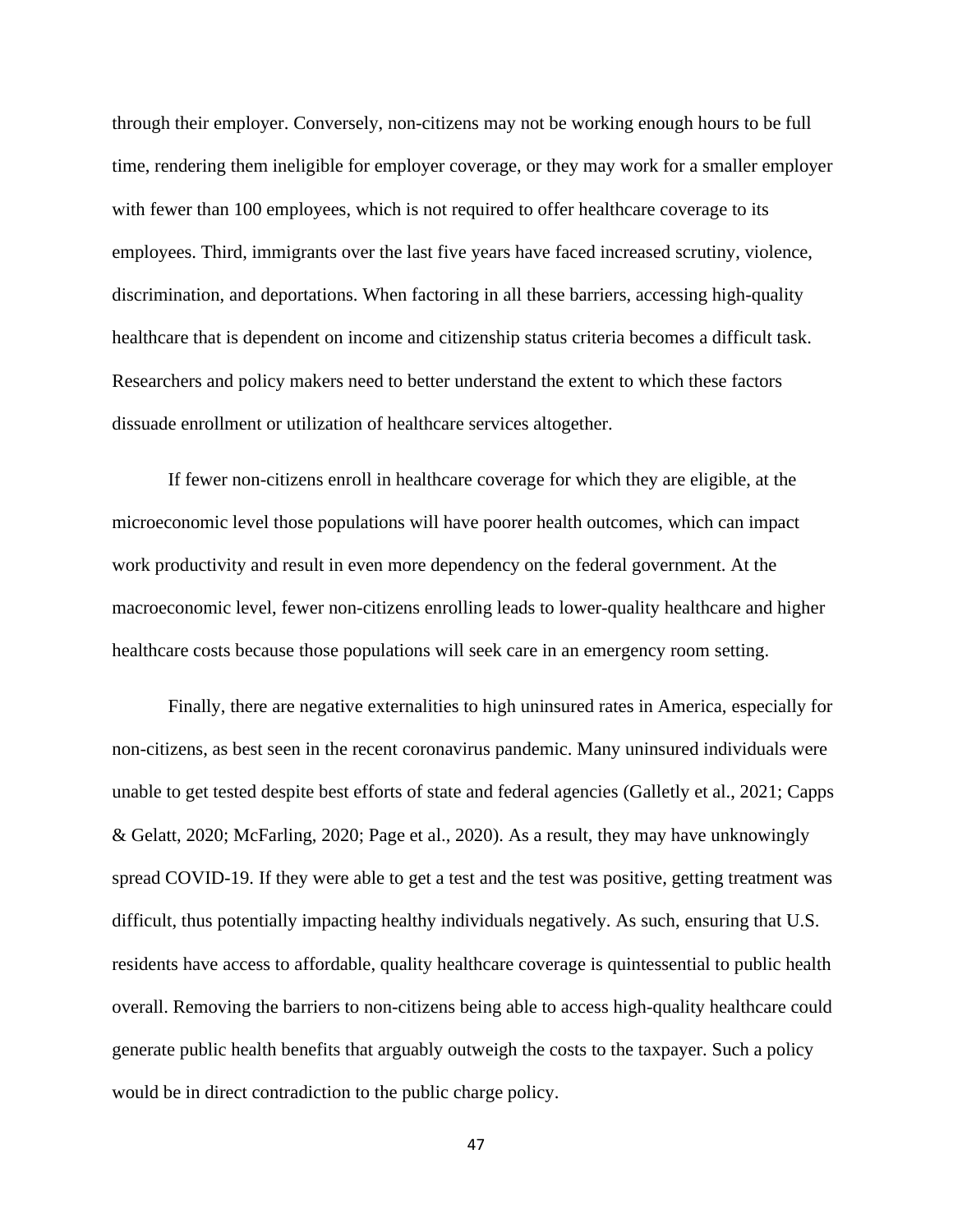through their employer. Conversely, non-citizens may not be working enough hours to be full time, rendering them ineligible for employer coverage, or they may work for a smaller employer with fewer than 100 employees, which is not required to offer healthcare coverage to its employees. Third, immigrants over the last five years have faced increased scrutiny, violence, discrimination, and deportations. When factoring in all these barriers, accessing high-quality healthcare that is dependent on income and citizenship status criteria becomes a difficult task. Researchers and policy makers need to better understand the extent to which these factors dissuade enrollment or utilization of healthcare services altogether.

If fewer non-citizens enroll in healthcare coverage for which they are eligible, at the microeconomic level those populations will have poorer health outcomes, which can impact work productivity and result in even more dependency on the federal government. At the macroeconomic level, fewer non-citizens enrolling leads to lower-quality healthcare and higher healthcare costs because those populations will seek care in an emergency room setting.

Finally, there are negative externalities to high uninsured rates in America, especially for non-citizens, as best seen in the recent coronavirus pandemic. Many uninsured individuals were unable to get tested despite best efforts of state and federal agencies (Galletly et al., 2021; Capps & Gelatt, 2020; McFarling, 2020; Page et al., 2020). As a result, they may have unknowingly spread COVID-19. If they were able to get a test and the test was positive, getting treatment was difficult, thus potentially impacting healthy individuals negatively. As such, ensuring that U.S. residents have access to affordable, quality healthcare coverage is quintessential to public health overall. Removing the barriers to non-citizens being able to access high-quality healthcare could generate public health benefits that arguably outweigh the costs to the taxpayer. Such a policy would be in direct contradiction to the public charge policy.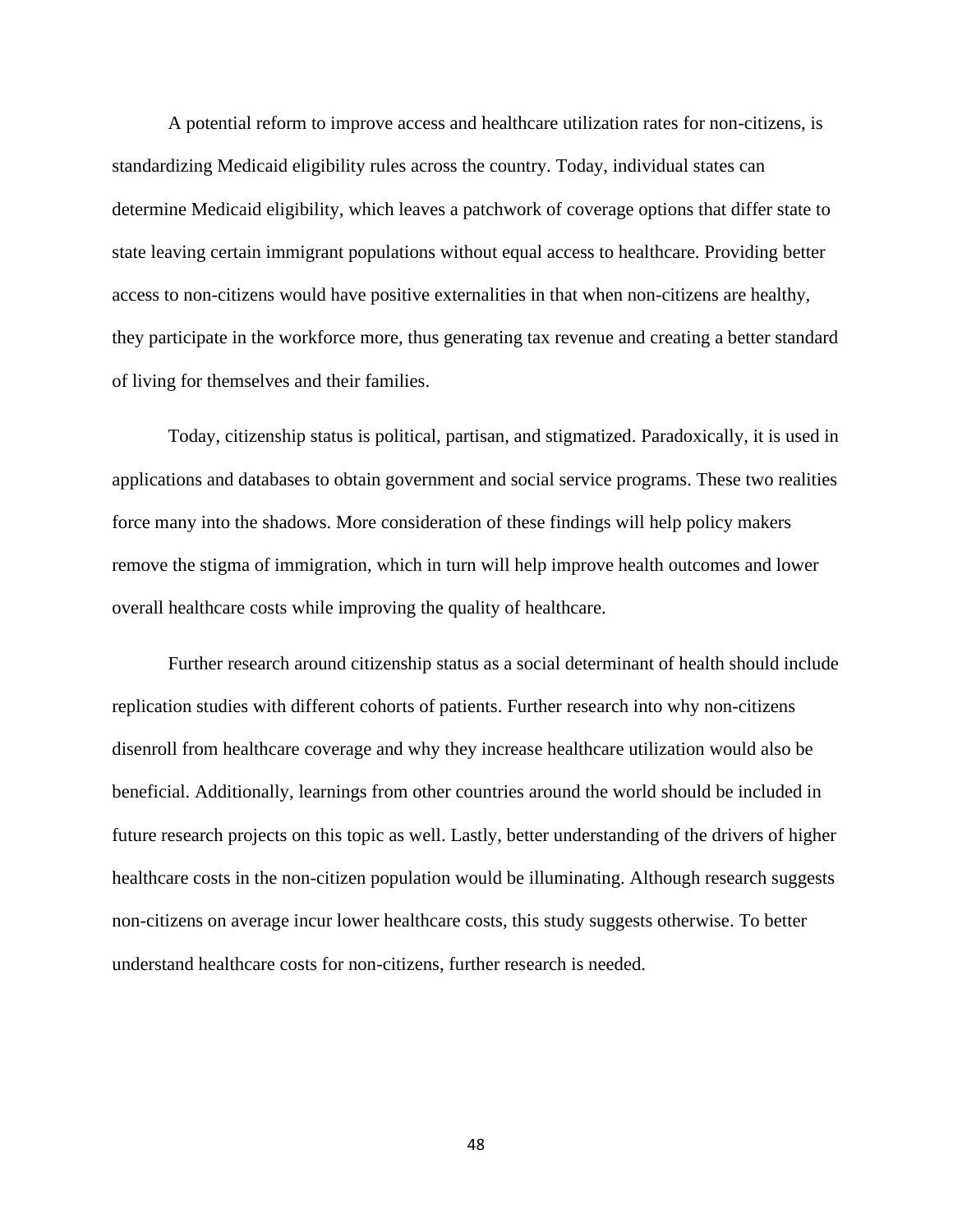A potential reform to improve access and healthcare utilization rates for non-citizens, is standardizing Medicaid eligibility rules across the country. Today, individual states can determine Medicaid eligibility, which leaves a patchwork of coverage options that differ state to state leaving certain immigrant populations without equal access to healthcare. Providing better access to non-citizens would have positive externalities in that when non-citizens are healthy, they participate in the workforce more, thus generating tax revenue and creating a better standard of living for themselves and their families.

Today, citizenship status is political, partisan, and stigmatized. Paradoxically, it is used in applications and databases to obtain government and social service programs. These two realities force many into the shadows. More consideration of these findings will help policy makers remove the stigma of immigration, which in turn will help improve health outcomes and lower overall healthcare costs while improving the quality of healthcare.

Further research around citizenship status as a social determinant of health should include replication studies with different cohorts of patients. Further research into why non-citizens disenroll from healthcare coverage and why they increase healthcare utilization would also be beneficial. Additionally, learnings from other countries around the world should be included in future research projects on this topic as well. Lastly, better understanding of the drivers of higher healthcare costs in the non-citizen population would be illuminating. Although research suggests non-citizens on average incur lower healthcare costs, this study suggests otherwise. To better understand healthcare costs for non-citizens, further research is needed.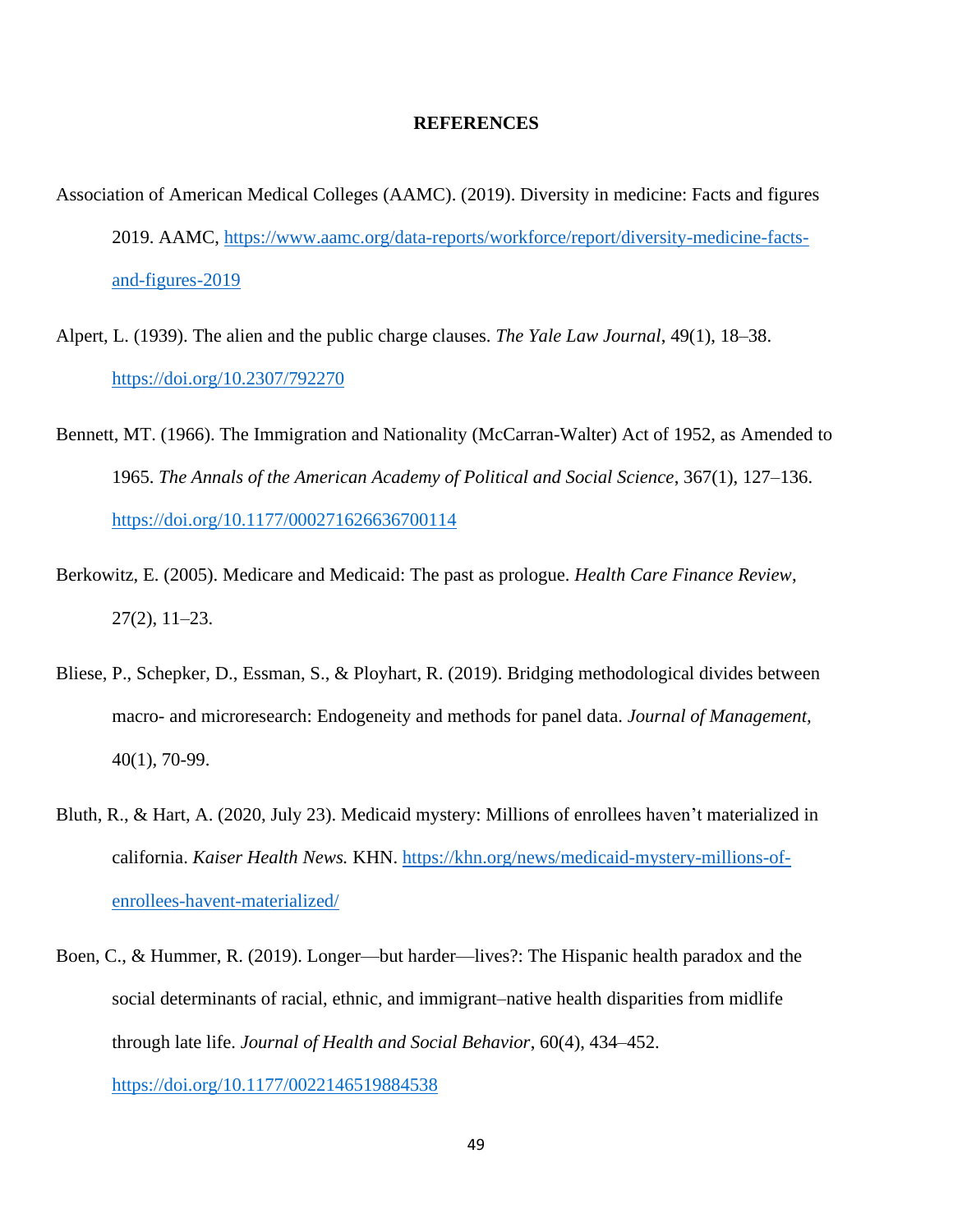#### **REFERENCES**

- Association of American Medical Colleges (AAMC). (2019). Diversity in medicine: Facts and figures 2019. AAMC, [https://www.aamc.org/data-reports/workforce/report/diversity-medicine-facts](https://www.aamc.org/data-reports/workforce/report/diversity-medicine-facts-and-figures-2019)[and-figures-2019](https://www.aamc.org/data-reports/workforce/report/diversity-medicine-facts-and-figures-2019)
- Alpert, L. (1939). The alien and the public charge clauses. *The Yale Law Journal*, 49(1), 18–38. <https://doi.org/10.2307/792270>
- Bennett, MT. (1966). The Immigration and Nationality (McCarran-Walter) Act of 1952, as Amended to 1965. *The Annals of the American Academy of Political and Social Science*, 367(1), 127–136. [https://doi.org/10.1177/000271626636700114](https://doi.org/10.1177%2F000271626636700114)
- Berkowitz, E. (2005). Medicare and Medicaid: The past as prologue. *Health Care Finance Review*, 27(2), 11–23.
- Bliese, P., Schepker, D., Essman, S., & Ployhart, R. (2019). Bridging methodological divides between macro- and microresearch: Endogeneity and methods for panel data. *Journal of Management,*  40(1), 70-99.
- Bluth, R., & Hart, A. (2020, July 23). Medicaid mystery: Millions of enrollees haven't materialized in california. *Kaiser Health News.* KHN. [https://khn.org/news/medicaid-mystery-millions-of](https://khn.org/news/medicaid-mystery-millions-of-enrollees-havent-materialized/)[enrollees-havent-materialized/](https://khn.org/news/medicaid-mystery-millions-of-enrollees-havent-materialized/)
- Boen, C., & Hummer, R. (2019). Longer—but harder—lives?: The Hispanic health paradox and the social determinants of racial, ethnic, and immigrant–native health disparities from midlife through late life. *Journal of Health and Social Behavior*, 60(4), 434–452. [https://doi.org/10.1177/0022146519884538](https://doi.org/10.1177%2F0022146519884538)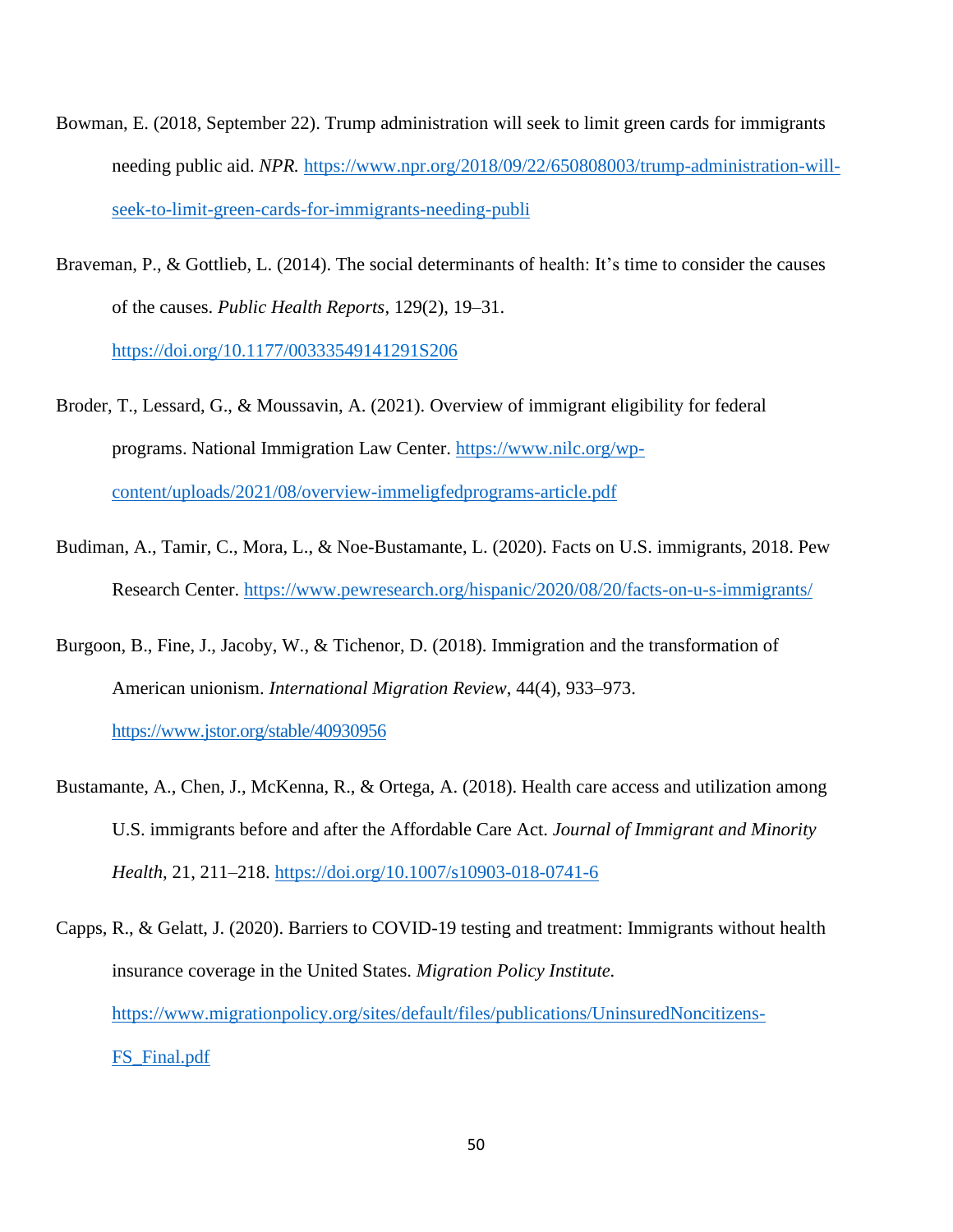- Bowman, E. (2018, September 22). Trump administration will seek to limit green cards for immigrants needing public aid. *NPR.* [https://www.npr.org/2018/09/22/650808003/trump-administration-will](https://www.npr.org/2018/09/22/650808003/trump-administration-will-seek-to-limit-green-cards-for-immigrants-needing-publi)[seek-to-limit-green-cards-for-immigrants-needing-publi](https://www.npr.org/2018/09/22/650808003/trump-administration-will-seek-to-limit-green-cards-for-immigrants-needing-publi)
- Braveman, P., & Gottlieb, L. (2014). The social determinants of health: It's time to consider the causes of the causes. *Public Health Reports*, 129(2), 19–31. [https://doi.org/10.1177/00333549141291S206](https://doi.org/10.1177%2F00333549141291S206)
- Broder, T., Lessard, G., & Moussavin, A. (2021). Overview of immigrant eligibility for federal programs. National Immigration Law Center. [https://www.nilc.org/wp](https://www.nilc.org/wp-content/uploads/2021/08/overview-immeligfedprograms-article.pdf)[content/uploads/2021/08/overview-immeligfedprograms-article.pdf](https://www.nilc.org/wp-content/uploads/2021/08/overview-immeligfedprograms-article.pdf)
- Budiman, A., Tamir, C., Mora, L., & Noe-Bustamante, L. (2020). Facts on U.S. immigrants, 2018. Pew Research Center.<https://www.pewresearch.org/hispanic/2020/08/20/facts-on-u-s-immigrants/>
- Burgoon, B., Fine, J., Jacoby, W., & Tichenor, D. (2018). Immigration and the transformation of American unionism. *International Migration Review*, 44(4), 933–973. <https://www.jstor.org/stable/40930956>
- Bustamante, A., Chen, J., McKenna, R., & Ortega, A. (2018). Health care access and utilization among U.S. immigrants before and after the Affordable Care Act. *Journal of Immigrant and Minority Health*, 21, 211–218. <https://doi.org/10.1007/s10903-018-0741-6>
- Capps, R., & Gelatt, J. (2020). Barriers to COVID-19 testing and treatment: Immigrants without health insurance coverage in the United States. *Migration Policy Institute.* [https://www.migrationpolicy.org/sites/default/files/publications/UninsuredNoncitizens-](https://www.migrationpolicy.org/sites/default/files/publications/UninsuredNoncitizens-FS_Final.pdf)FS Final.pdf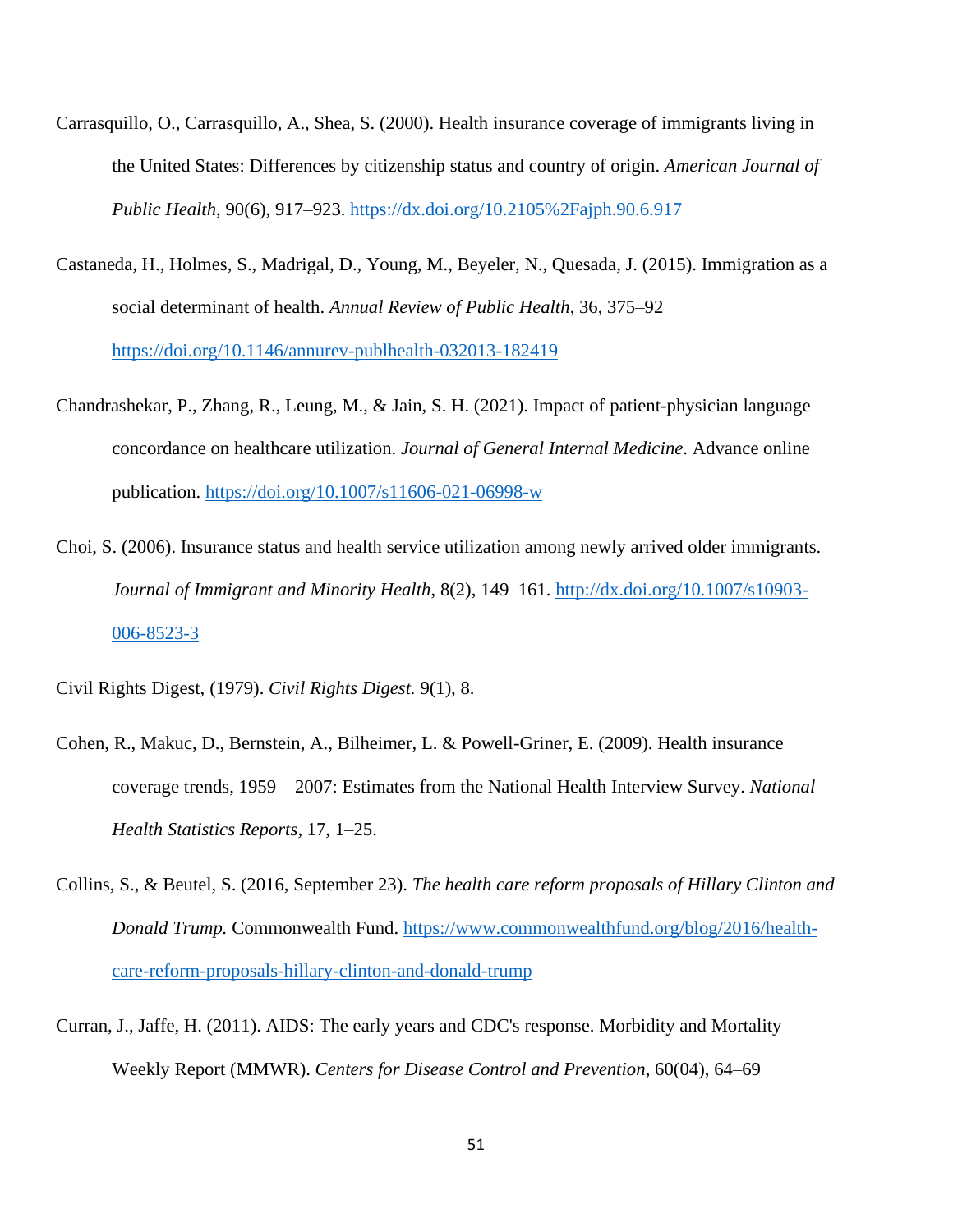- Carrasquillo, O., Carrasquillo, A., Shea, S. (2000). Health insurance coverage of immigrants living in the United States: Differences by citizenship status and country of origin. *American Journal of Public Health*, 90(6), 917–923.<https://dx.doi.org/10.2105%2Fajph.90.6.917>
- Castaneda, H., Holmes, S., Madrigal, D., Young, M., Beyeler, N., Quesada, J. (2015). Immigration as a social determinant of health. *Annual Review of Public Health*, 36, 375–92 <https://doi.org/10.1146/annurev-publhealth-032013-182419>
- Chandrashekar, P., Zhang, R., Leung, M., & Jain, S. H. (2021). Impact of patient-physician language concordance on healthcare utilization. *Journal of General Internal Medicine*. Advance online publication.<https://doi.org/10.1007/s11606-021-06998-w>
- Choi, S. (2006). Insurance status and health service utilization among newly arrived older immigrants. *Journal of Immigrant and Minority Health*, 8(2), 149–161. [http://dx.doi.org/10.1007/s10903-](http://dx.doi.org/10.1007/s10903-006-8523-3) [006-8523-3](http://dx.doi.org/10.1007/s10903-006-8523-3)
- Civil Rights Digest, (1979). *Civil Rights Digest.* 9(1), 8.
- Cohen, R., Makuc, D., Bernstein, A., Bilheimer, L. & Powell-Griner, E. (2009). Health insurance coverage trends, 1959 – 2007: Estimates from the National Health Interview Survey. *National Health Statistics Reports,* 17, 1–25.
- Collins, S., & Beutel, S. (2016, September 23). *The health care reform proposals of Hillary Clinton and Donald Trump.* Commonwealth Fund. [https://www.commonwealthfund.org/blog/2016/health](https://www.commonwealthfund.org/blog/2016/health-care-reform-proposals-hillary-clinton-and-donald-trump)[care-reform-proposals-hillary-clinton-and-donald-trump](https://www.commonwealthfund.org/blog/2016/health-care-reform-proposals-hillary-clinton-and-donald-trump)
- Curran, J., Jaffe, H. (2011). AIDS: The early years and CDC's response. Morbidity and Mortality Weekly Report (MMWR). *Centers for Disease Control and Prevention*, 60(04), 64–69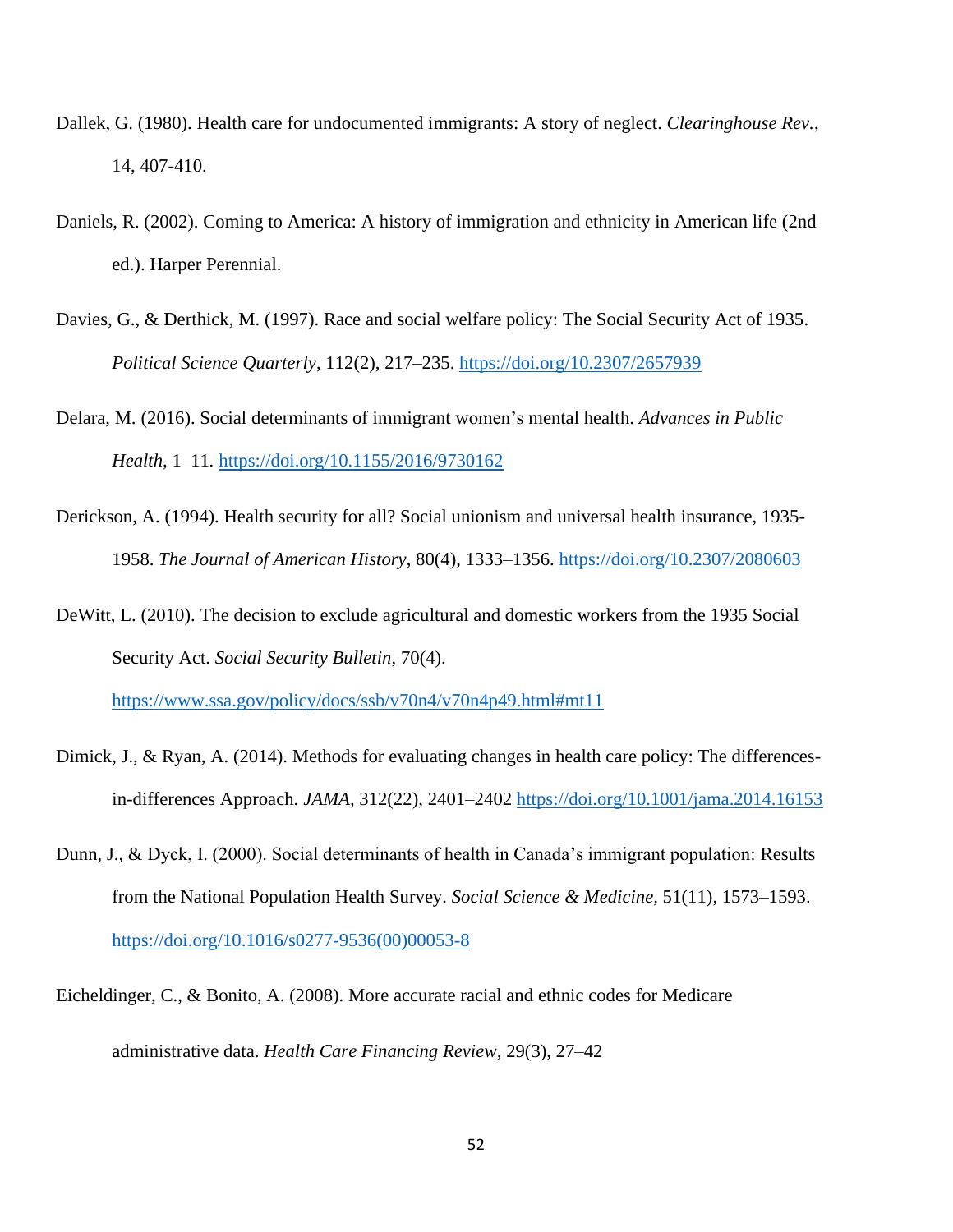- Dallek, G. (1980). Health care for undocumented immigrants: A story of neglect. *Clearinghouse Rev.*, 14, 407-410.
- Daniels, R. (2002). Coming to America: A history of immigration and ethnicity in American life (2nd ed.). Harper Perennial.
- Davies, G., & Derthick, M. (1997). Race and social welfare policy: The Social Security Act of 1935. *Political Science Quarterly*, 112(2), 217–235. <https://doi.org/10.2307/2657939>
- Delara, M. (2016). Social determinants of immigrant women's mental health. *Advances in Public Health,* 1–11*.* <https://doi.org/10.1155/2016/9730162>
- Derickson, A. (1994). Health security for all? Social unionism and universal health insurance, 1935- 1958. *The Journal of American History*, 80(4), 1333–1356.<https://doi.org/10.2307/2080603>
- DeWitt, L. (2010). The decision to exclude agricultural and domestic workers from the 1935 Social Security Act. *Social Security Bulletin*, 70(4).

<https://www.ssa.gov/policy/docs/ssb/v70n4/v70n4p49.html#mt11>

- Dimick, J., & Ryan, A. (2014). Methods for evaluating changes in health care policy: The differencesin-differences Approach. *JAMA,* 312(22), 2401–2402 <https://doi.org/10.1001/jama.2014.16153>
- Dunn, J., & Dyck, I. (2000). Social determinants of health in Canada's immigrant population: Results from the National Population Health Survey. *Social Science & Medicine,* 51(11), 1573–1593. [https://doi.org/10.1016/s0277-9536\(00\)00053-8](https://doi.org/10.1016/s0277-9536(00)00053-8)
- Eicheldinger, C., & Bonito, A. (2008). More accurate racial and ethnic codes for Medicare administrative data. *Health Care Financing Review,* 29(3), 27–42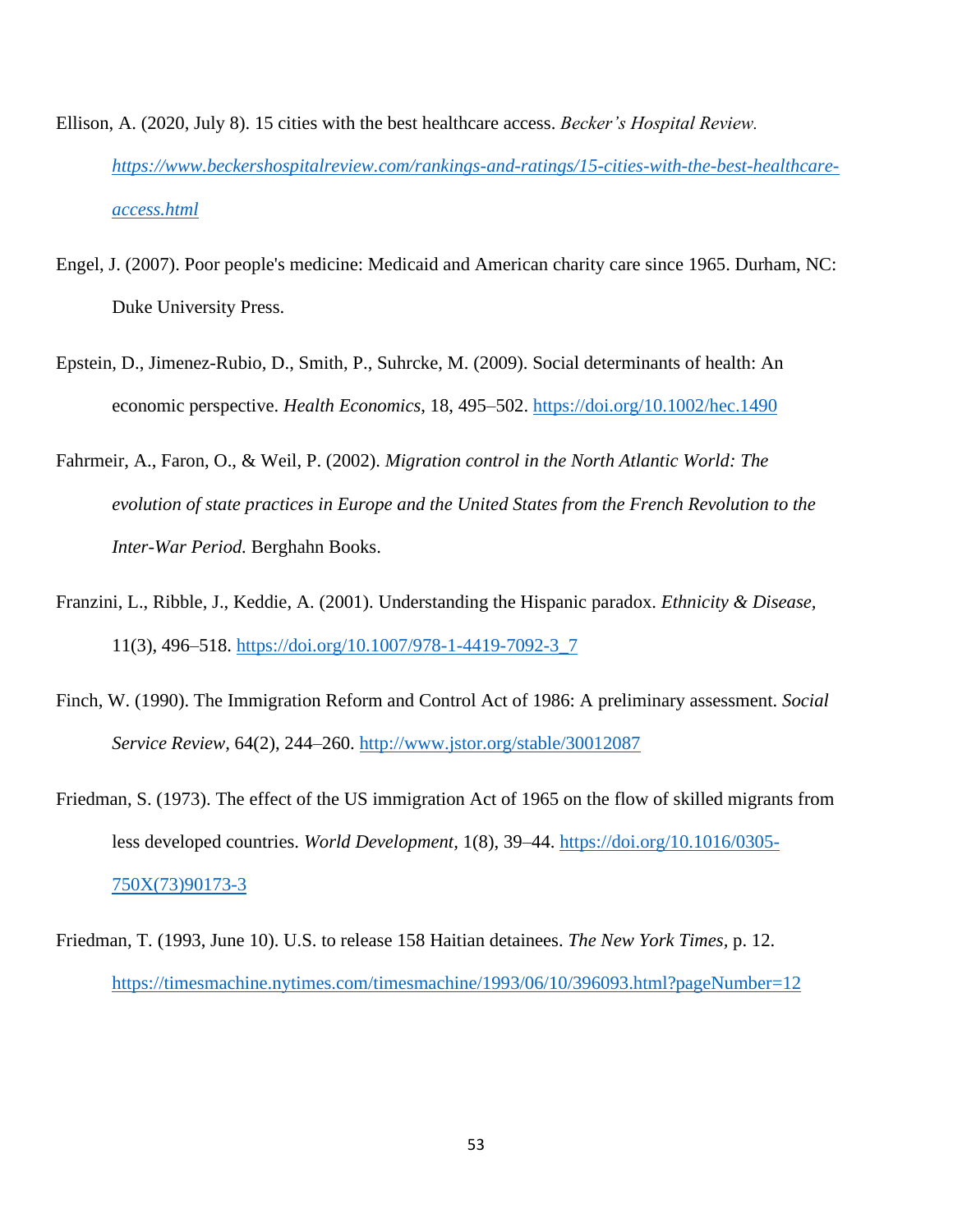- Ellison, A. (2020, July 8). 15 cities with the best healthcare access. *Becker's Hospital Review. [https://www.beckershospitalreview.com/rankings-and-ratings/15-cities-with-the-best-healthcare](https://www.beckershospitalreview.com/rankings-and-ratings/15-cities-with-the-best-healthcare-access.html)[access.html](https://www.beckershospitalreview.com/rankings-and-ratings/15-cities-with-the-best-healthcare-access.html)*
- Engel, J. (2007). Poor people's medicine: Medicaid and American charity care since 1965. Durham, NC: Duke University Press.
- Epstein, D., Jimenez-Rubio, D., Smith, P., Suhrcke, M. (2009). Social determinants of health: An economic perspective. *Health Economics*, 18, 495–502.<https://doi.org/10.1002/hec.1490>
- Fahrmeir, A., Faron, O., & Weil, P. (2002). *Migration control in the North Atlantic World: The evolution of state practices in Europe and the United States from the French Revolution to the Inter-War Period.* Berghahn Books.
- Franzini, L., Ribble, J., Keddie, A. (2001). Understanding the Hispanic paradox. *Ethnicity & Disease,*  11(3), 496–518. [https://doi.org/10.1007/978-1-4419-7092-3\\_7](https://doi.org/10.1007/978-1-4419-7092-3_7)
- Finch, W. (1990). The Immigration Reform and Control Act of 1986: A preliminary assessment. *Social Service Review,* 64(2), 244–260. <http://www.jstor.org/stable/30012087>
- Friedman, S. (1973). The effect of the US immigration Act of 1965 on the flow of skilled migrants from less developed countries. *World Development,* 1(8), 39–44. [https://doi.org/10.1016/0305-](https://doi.org/10.1016/0305-750X(73)90173-3) [750X\(73\)90173-3](https://doi.org/10.1016/0305-750X(73)90173-3)
- Friedman, T. (1993, June 10). U.S. to release 158 Haitian detainees. *The New York Times,* p. 12. <https://timesmachine.nytimes.com/timesmachine/1993/06/10/396093.html?pageNumber=12>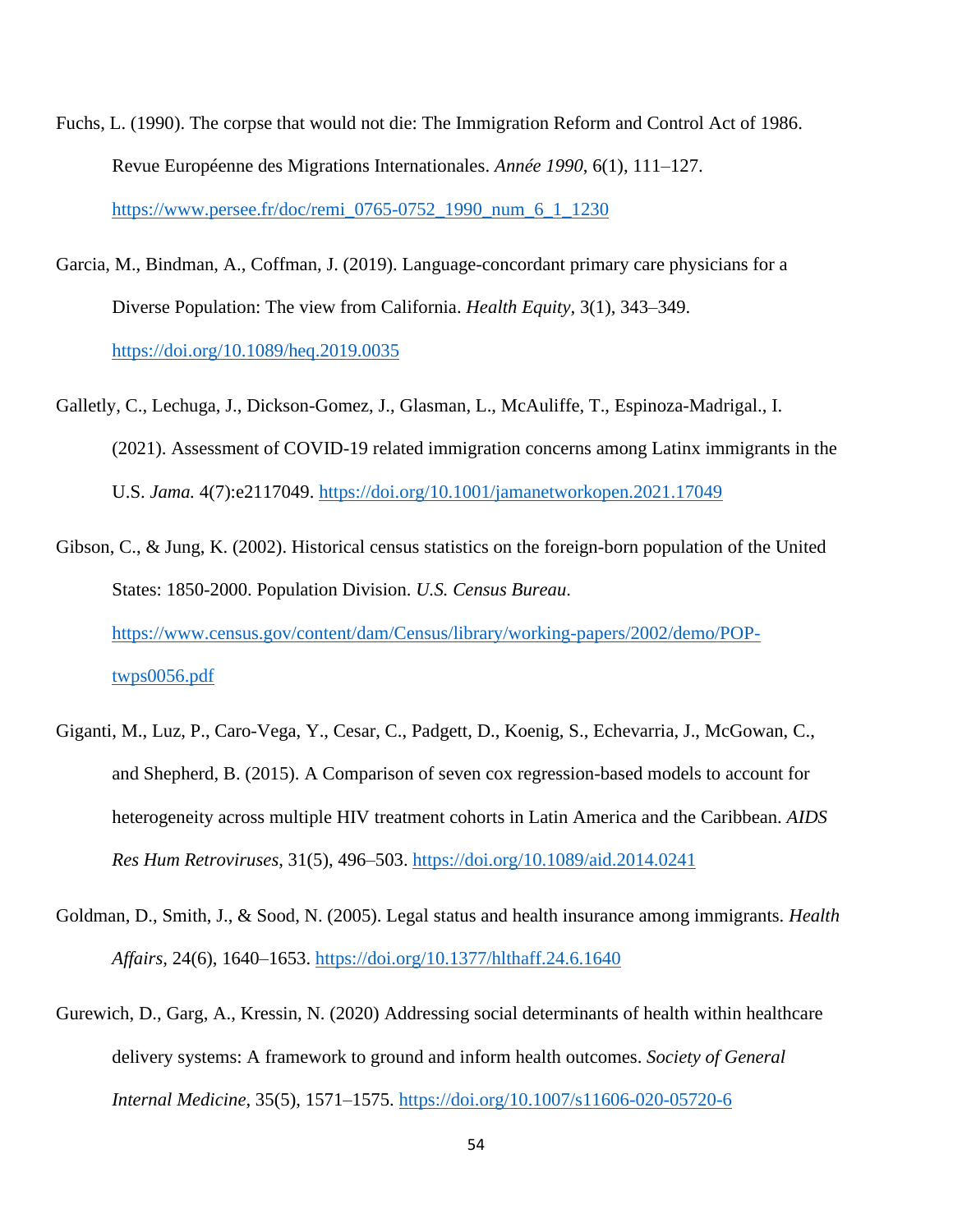- Fuchs, L. (1990). The corpse that would not die: The Immigration Reform and Control Act of 1986. Revue Européenne des Migrations Internationales. *Année 1990*, 6(1), 111–127. [https://www.persee.fr/doc/remi\\_0765-0752\\_1990\\_num\\_6\\_1\\_1230](https://www.persee.fr/doc/remi_0765-0752_1990_num_6_1_1230)
- Garcia, M., Bindman, A., Coffman, J. (2019). Language-concordant primary care physicians for a Diverse Population: The view from California. *Health Equity,* 3(1), 343–349. <https://doi.org/10.1089/heq.2019.0035>
- Galletly, C., Lechuga, J., Dickson-Gomez, J., Glasman, L., McAuliffe, T., Espinoza-Madrigal., I. (2021). Assessment of COVID-19 related immigration concerns among Latinx immigrants in the U.S. *Jama.* 4(7):e2117049.<https://doi.org/10.1001/jamanetworkopen.2021.17049>
- Gibson, C., & Jung, K. (2002). Historical census statistics on the foreign-born population of the United States: 1850-2000. Population Division. *U.S. Census Bureau*. [https://www.census.gov/content/dam/Census/library/working-papers/2002/demo/POP](https://www.census.gov/content/dam/Census/library/working-papers/2002/demo/POP-twps0056.pdf)[twps0056.pdf](https://www.census.gov/content/dam/Census/library/working-papers/2002/demo/POP-twps0056.pdf)
- Giganti, M., Luz, P., Caro-Vega, Y., Cesar, C., Padgett, D., Koenig, S., Echevarria, J., McGowan, C., and Shepherd, B. (2015). A Comparison of seven cox regression-based models to account for heterogeneity across multiple HIV treatment cohorts in Latin America and the Caribbean. *AIDS Res Hum Retroviruses,* 31(5), 496–503. <https://doi.org/10.1089/aid.2014.0241>
- Goldman, D., Smith, J., & Sood, N. (2005). Legal status and health insurance among immigrants. *Health Affairs,* 24(6), 1640–1653. <https://doi.org/10.1377/hlthaff.24.6.1640>
- Gurewich, D., Garg, A., Kressin, N. (2020) Addressing social determinants of health within healthcare delivery systems: A framework to ground and inform health outcomes. *Society of General Internal Medicine*, 35(5), 1571–1575. <https://doi.org/10.1007/s11606-020-05720-6>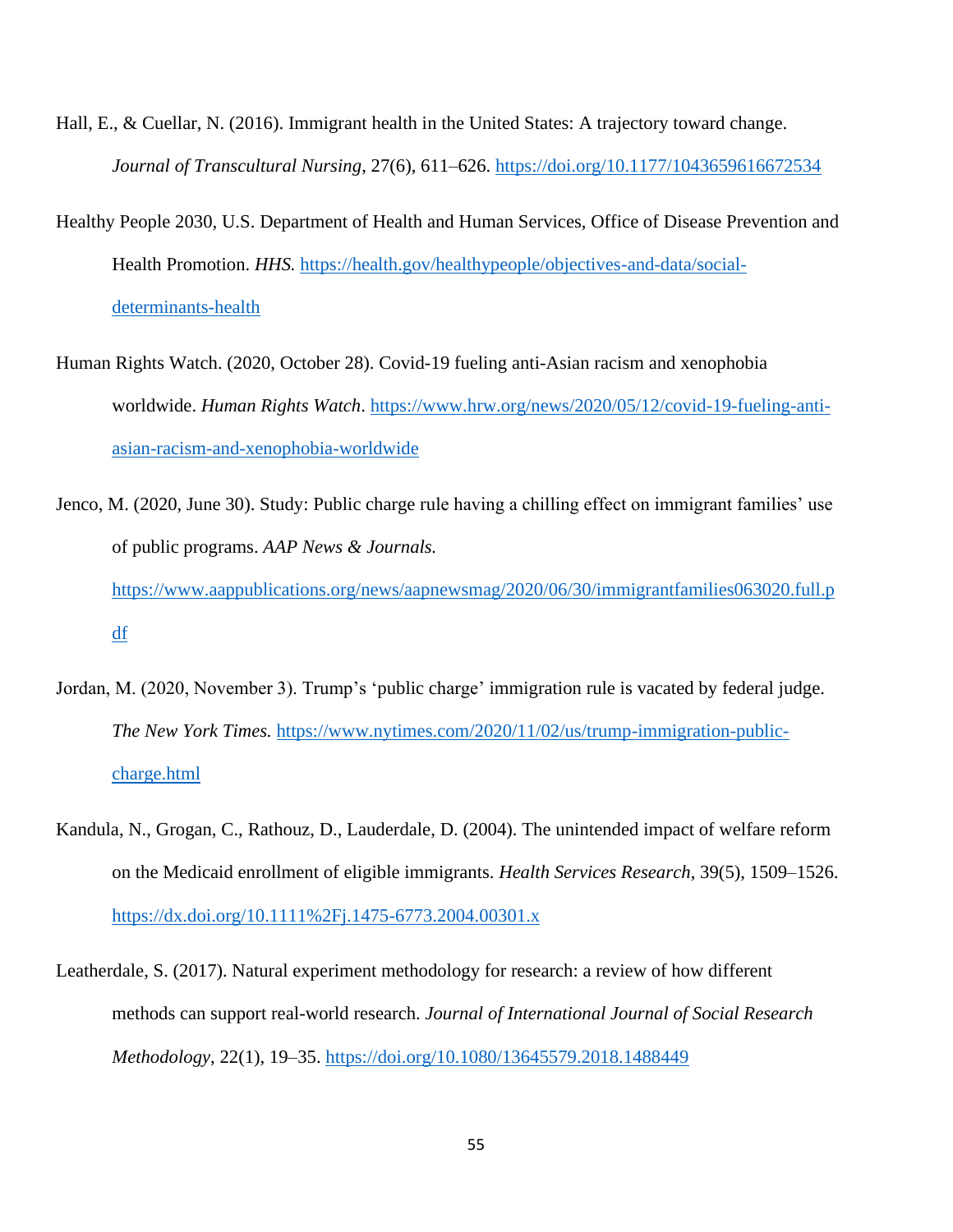- Hall, E., & Cuellar, N. (2016). Immigrant health in the United States: A trajectory toward change. *Journal of Transcultural Nursing*, 27(6), 611–626.<https://doi.org/10.1177/1043659616672534>
- Healthy People 2030, U.S. Department of Health and Human Services, Office of Disease Prevention and Health Promotion. *HHS.* [https://health.gov/healthypeople/objectives-and-data/social](https://health.gov/healthypeople/objectives-and-data/social-determinants-health)[determinants-health](https://health.gov/healthypeople/objectives-and-data/social-determinants-health)
- Human Rights Watch. (2020, October 28). Covid-19 fueling anti-Asian racism and xenophobia worldwide. *Human Rights Watch*. [https://www.hrw.org/news/2020/05/12/covid-19-fueling-anti](https://www.hrw.org/news/2020/05/12/covid-19-fueling-anti-asian-racism-and-xenophobia-worldwide)[asian-racism-and-xenophobia-worldwide](https://www.hrw.org/news/2020/05/12/covid-19-fueling-anti-asian-racism-and-xenophobia-worldwide)
- Jenco, M. (2020, June 30). Study: Public charge rule having a chilling effect on immigrant families' use of public programs. *AAP News & Journals.* [https://www.aappublications.org/news/aapnewsmag/2020/06/30/immigrantfamilies063020.full.p](https://www.aappublications.org/news/aapnewsmag/2020/06/30/immigrantfamilies063020.full.pdf) [df](https://www.aappublications.org/news/aapnewsmag/2020/06/30/immigrantfamilies063020.full.pdf)
- Jordan, M. (2020, November 3). Trump's 'public charge' immigration rule is vacated by federal judge. *The New York Times.* [https://www.nytimes.com/2020/11/02/us/trump-immigration-public](https://www.nytimes.com/2020/11/02/us/trump-immigration-public-charge.html)[charge.html](https://www.nytimes.com/2020/11/02/us/trump-immigration-public-charge.html)
- Kandula, N., Grogan, C., Rathouz, D., Lauderdale, D. (2004). The unintended impact of welfare reform on the Medicaid enrollment of eligible immigrants. *Health Services Research*, 39(5), 1509–1526. <https://dx.doi.org/10.1111%2Fj.1475-6773.2004.00301.x>
- Leatherdale, S. (2017). Natural experiment methodology for research: a review of how different methods can support real-world research. *Journal of International Journal of Social Research Methodology*, 22(1), 19–35.<https://doi.org/10.1080/13645579.2018.1488449>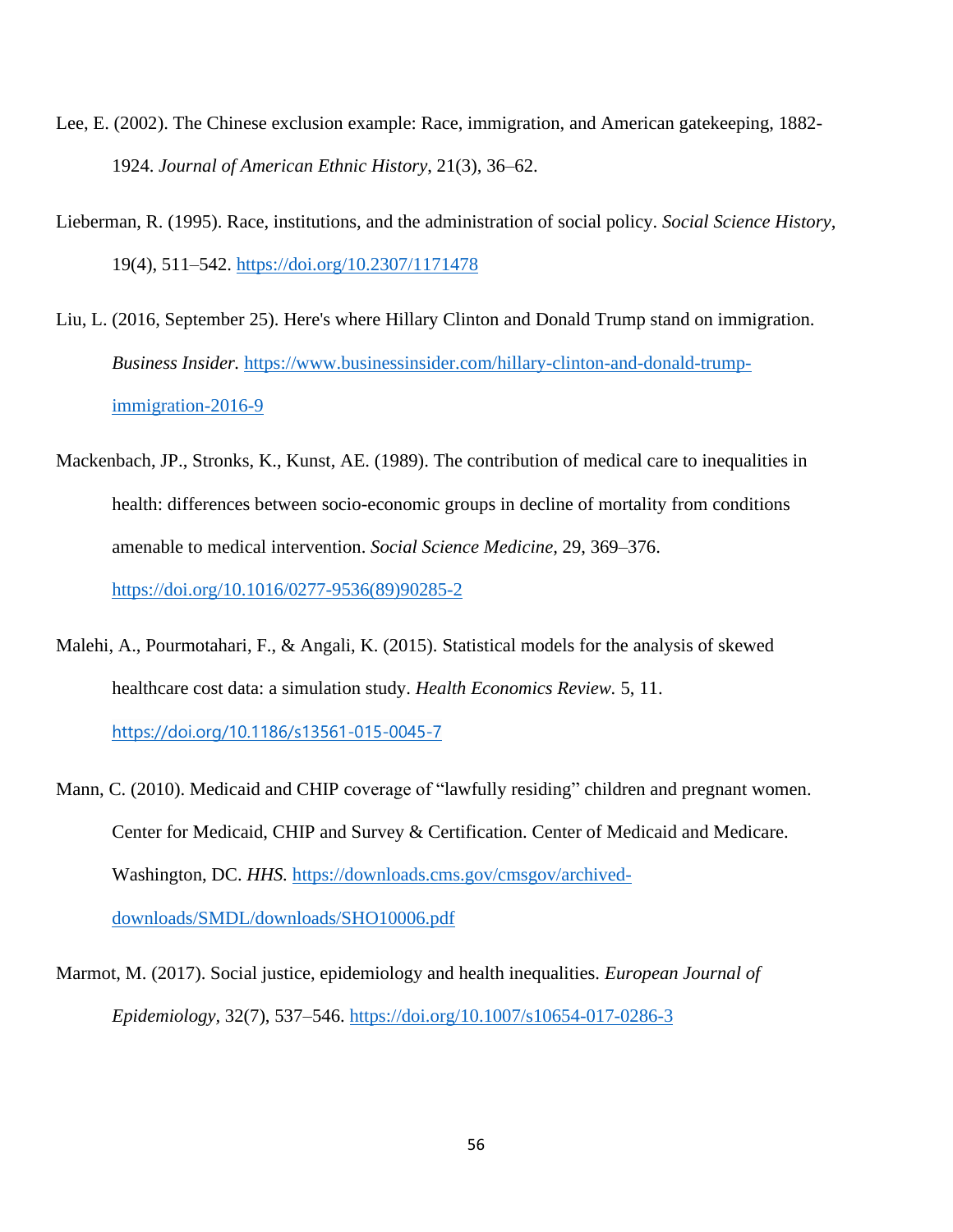- Lee, E. (2002). The Chinese exclusion example: Race, immigration, and American gatekeeping, 1882- 1924. *Journal of American Ethnic History*, 21(3), 36–62.
- Lieberman, R. (1995). Race, institutions, and the administration of social policy. *Social Science History*, 19(4), 511–542. <https://doi.org/10.2307/1171478>
- Liu, L. (2016, September 25). Here's where Hillary Clinton and Donald Trump stand on immigration. *Business Insider.* [https://www.businessinsider.com/hillary-clinton-and-donald-trump](https://www.businessinsider.com/hillary-clinton-and-donald-trump-immigration-2016-9)[immigration-2016-9](https://www.businessinsider.com/hillary-clinton-and-donald-trump-immigration-2016-9)
- Mackenbach, JP., Stronks, K., Kunst, AE. (1989). The contribution of medical care to inequalities in health: differences between socio-economic groups in decline of mortality from conditions amenable to medical intervention. *Social Science Medicine,* 29, 369–376. [https://doi.org/10.1016/0277-9536\(89\)90285-2](https://doi.org/10.1016/0277-9536(89)90285-2)
- Malehi, A., Pourmotahari, F., & Angali, K. (2015). Statistical models for the analysis of skewed healthcare cost data: a simulation study. *Health Economics Review.* 5, 11.

<https://doi.org/10.1186/s13561-015-0045-7>

- Mann, C. (2010). Medicaid and CHIP coverage of "lawfully residing" children and pregnant women. Center for Medicaid, CHIP and Survey & Certification. Center of Medicaid and Medicare. Washington, DC. *HHS.* [https://downloads.cms.gov/cmsgov/archived](https://downloads.cms.gov/cmsgov/archived-downloads/SMDL/downloads/SHO10006.pdf)[downloads/SMDL/downloads/SHO10006.pdf](https://downloads.cms.gov/cmsgov/archived-downloads/SMDL/downloads/SHO10006.pdf)
- Marmot, M. (2017). Social justice, epidemiology and health inequalities. *European Journal of Epidemiology,* 32(7), 537–546.<https://doi.org/10.1007/s10654-017-0286-3>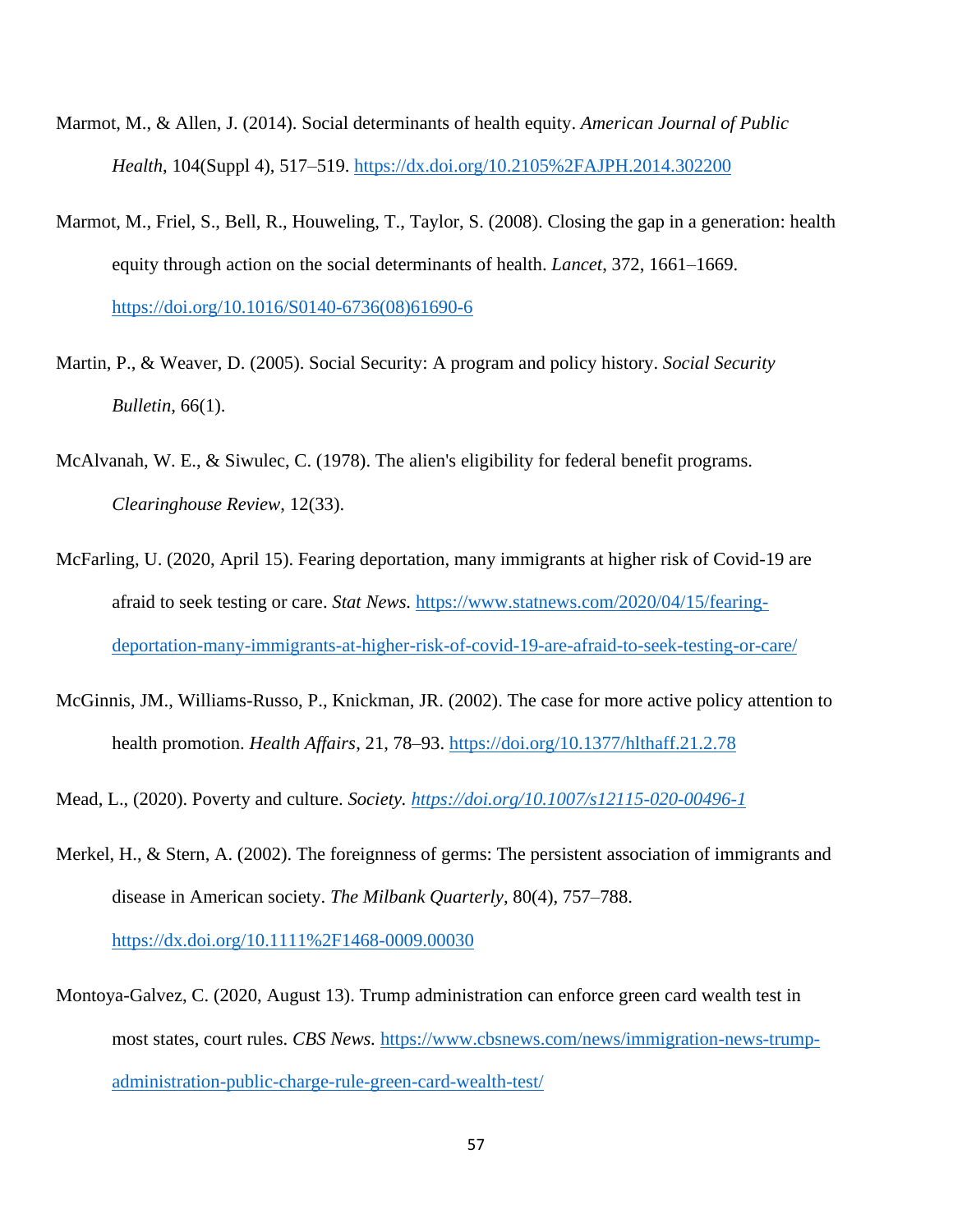- Marmot, M., & Allen, J. (2014). Social determinants of health equity. *American Journal of Public Health*, 104(Suppl 4), 517–519.<https://dx.doi.org/10.2105%2FAJPH.2014.302200>
- Marmot, M., Friel, S., Bell, R., Houweling, T., Taylor, S. (2008). Closing the gap in a generation: health equity through action on the social determinants of health. *Lancet*, 372, 1661–1669. [https://doi.org/10.1016/S0140-6736\(08\)61690-6](https://doi.org/10.1016/S0140-6736(08)61690-6)
- Martin, P., & Weaver, D. (2005). Social Security: A program and policy history. *Social Security Bulletin*, 66(1).
- McAlvanah, W. E., & Siwulec, C. (1978). The alien's eligibility for federal benefit programs. *Clearinghouse Review*, 12(33).
- McFarling, U. (2020, April 15). Fearing deportation, many immigrants at higher risk of Covid-19 are afraid to seek testing or care. *Stat News.* [https://www.statnews.com/2020/04/15/fearing](https://www.statnews.com/2020/04/15/fearing-deportation-many-immigrants-at-higher-risk-of-covid-19-are-afraid-to-seek-testing-or-care/)[deportation-many-immigrants-at-higher-risk-of-covid-19-are-afraid-to-seek-testing-or-care/](https://www.statnews.com/2020/04/15/fearing-deportation-many-immigrants-at-higher-risk-of-covid-19-are-afraid-to-seek-testing-or-care/)
- McGinnis, JM., Williams-Russo, P., Knickman, JR. (2002). The case for more active policy attention to health promotion. *Health Affairs*, 21, 78–93. <https://doi.org/10.1377/hlthaff.21.2.78>
- Mead, L., (2020). Poverty and culture. *Society.<https://doi.org/10.1007/s12115-020-00496-1>*
- Merkel, H., & Stern, A. (2002). The foreignness of germs: The persistent association of immigrants and disease in American society. *The Milbank Quarterly*, 80(4), 757–788. <https://dx.doi.org/10.1111%2F1468-0009.00030>
- Montoya-Galvez, C. (2020, August 13). Trump administration can enforce green card wealth test in most states, court rules. *CBS News.* [https://www.cbsnews.com/news/immigration-news-trump](https://www.cbsnews.com/news/immigration-news-trump-administration-public-charge-rule-green-card-wealth-test/)[administration-public-charge-rule-green-card-wealth-test/](https://www.cbsnews.com/news/immigration-news-trump-administration-public-charge-rule-green-card-wealth-test/)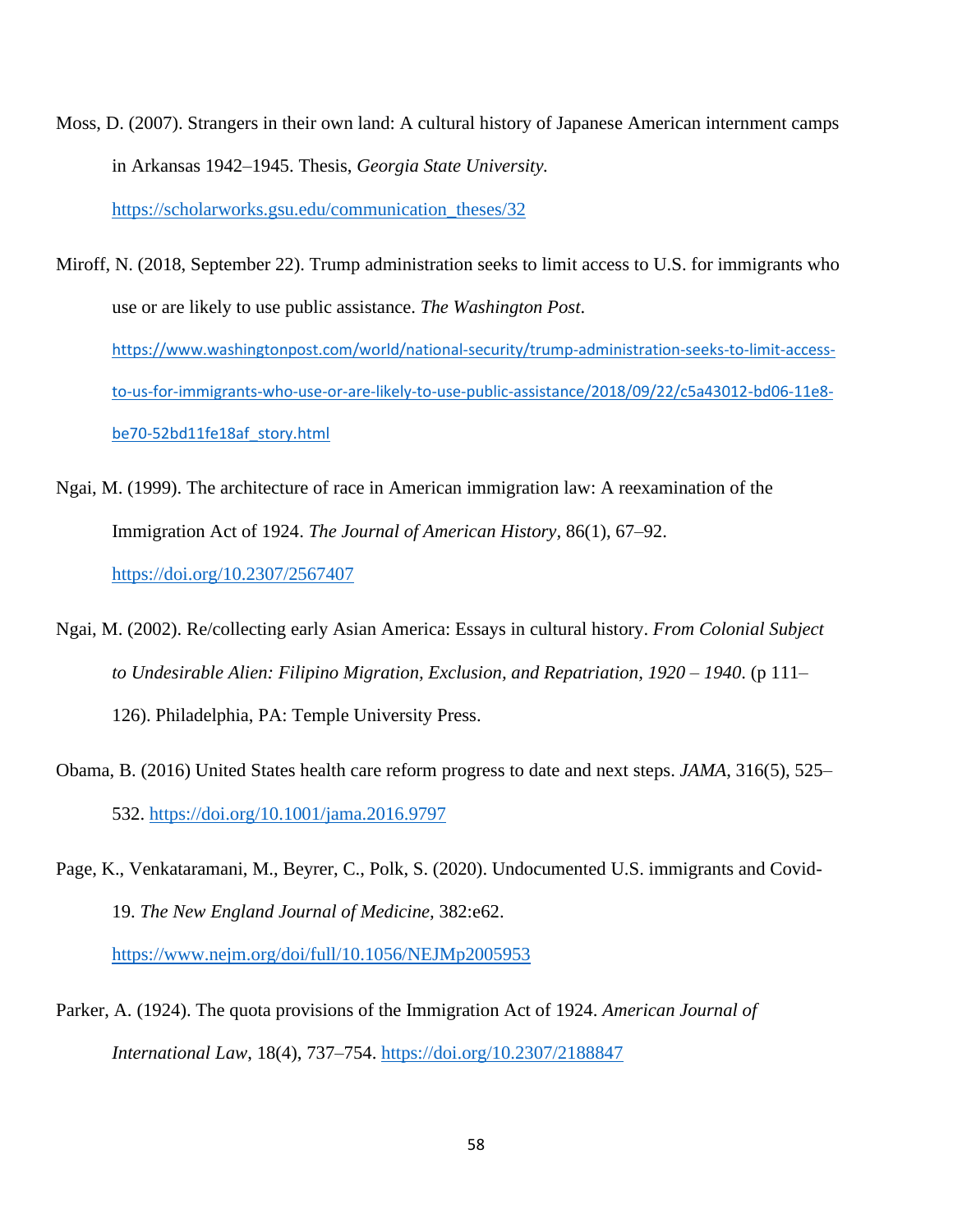- Moss, D. (2007). Strangers in their own land: A cultural history of Japanese American internment camps in Arkansas 1942–1945. Thesis, *Georgia State University.* [https://scholarworks.gsu.edu/communication\\_theses/32](https://scholarworks.gsu.edu/communication_theses/32)
- Miroff, N. (2018, September 22). Trump administration seeks to limit access to U.S. for immigrants who use or are likely to use public assistance. *The Washington Post*. [https://www.washingtonpost.com/world/national-security/trump-administration-seeks-to-limit-access](https://www.washingtonpost.com/world/national-security/trump-administration-seeks-to-limit-access-to-us-for-immigrants-who-use-or-are-likely-to-use-public-assistance/2018/09/22/c5a43012-bd06-11e8-be70-52bd11fe18af_story.html)[to-us-for-immigrants-who-use-or-are-likely-to-use-public-assistance/2018/09/22/c5a43012-bd06-11e8](https://www.washingtonpost.com/world/national-security/trump-administration-seeks-to-limit-access-to-us-for-immigrants-who-use-or-are-likely-to-use-public-assistance/2018/09/22/c5a43012-bd06-11e8-be70-52bd11fe18af_story.html) [be70-52bd11fe18af\\_story.html](https://www.washingtonpost.com/world/national-security/trump-administration-seeks-to-limit-access-to-us-for-immigrants-who-use-or-are-likely-to-use-public-assistance/2018/09/22/c5a43012-bd06-11e8-be70-52bd11fe18af_story.html)
- Ngai, M. (1999). The architecture of race in American immigration law: A reexamination of the Immigration Act of 1924. *The Journal of American History,* 86(1), 67–92. <https://doi.org/10.2307/2567407>
- Ngai, M. (2002). Re/collecting early Asian America: Essays in cultural history. *From Colonial Subject to Undesirable Alien: Filipino Migration, Exclusion, and Repatriation, 1920 – 1940*. (p 111– 126). Philadelphia, PA: Temple University Press.
- Obama, B. (2016) United States health care reform progress to date and next steps. *JAMA*, 316(5), 525– 532.<https://doi.org/10.1001/jama.2016.9797>
- Page, K., Venkataramani, M., Beyrer, C., Polk, S. (2020). Undocumented U.S. immigrants and Covid-19. *The New England Journal of Medicine,* 382:e62.

<https://www.nejm.org/doi/full/10.1056/NEJMp2005953>

Parker, A. (1924). The quota provisions of the Immigration Act of 1924. *American Journal of International Law*, 18(4), 737–754.<https://doi.org/10.2307/2188847>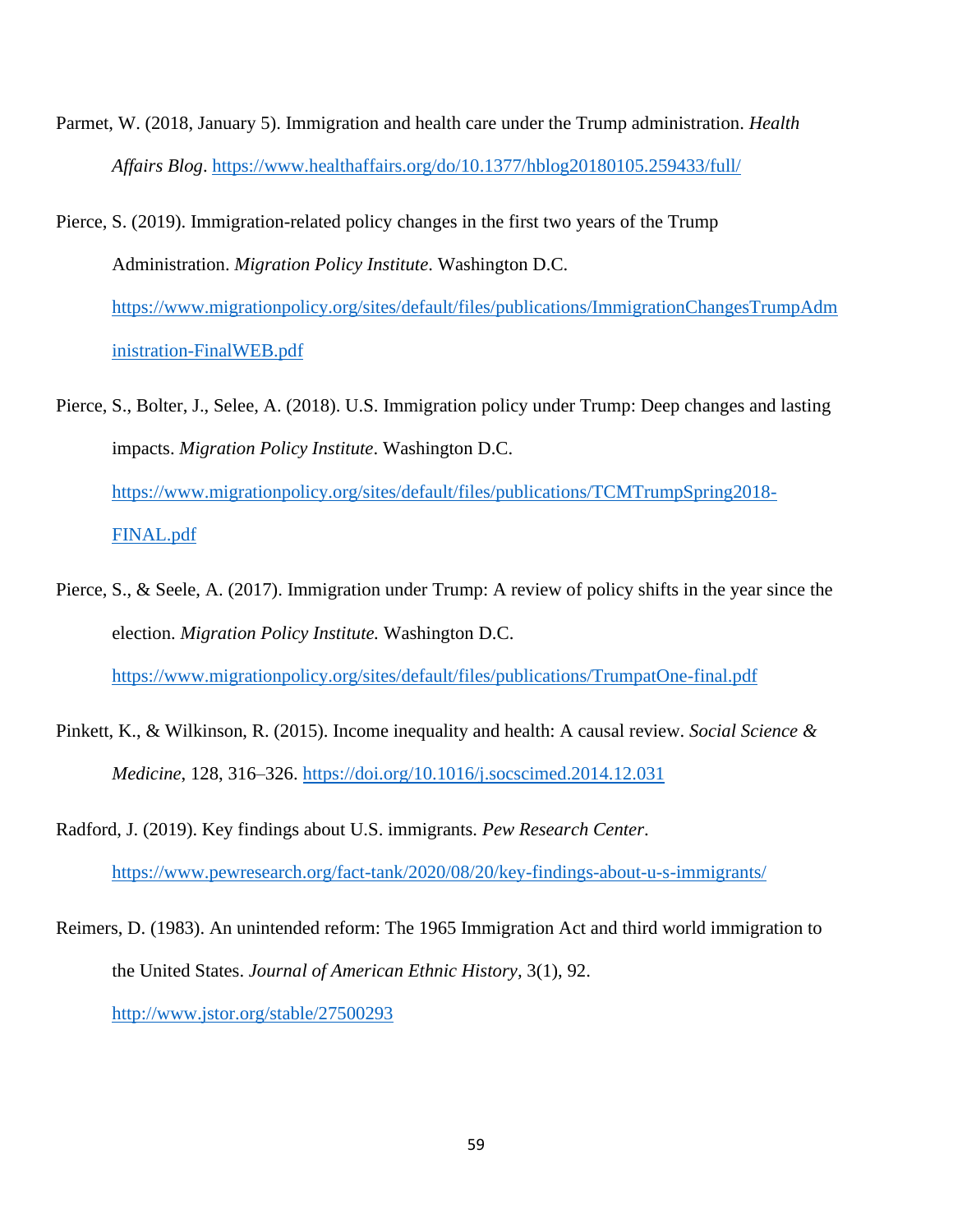- Parmet, W. (2018, January 5). Immigration and health care under the Trump administration. *Health Affairs Blog*.<https://www.healthaffairs.org/do/10.1377/hblog20180105.259433/full/>
- Pierce, S. (2019). Immigration-related policy changes in the first two years of the Trump Administration. *Migration Policy Institute*. Washington D.C. [https://www.migrationpolicy.org/sites/default/files/publications/ImmigrationChangesTrumpAdm](https://www.migrationpolicy.org/sites/default/files/publications/ImmigrationChangesTrumpAdministration-FinalWEB.pdf) [inistration-FinalWEB.pdf](https://www.migrationpolicy.org/sites/default/files/publications/ImmigrationChangesTrumpAdministration-FinalWEB.pdf)
- Pierce, S., Bolter, J., Selee, A. (2018). U.S. Immigration policy under Trump: Deep changes and lasting impacts. *Migration Policy Institute*. Washington D.C. [https://www.migrationpolicy.org/sites/default/files/publications/TCMTrumpSpring2018-](https://www.migrationpolicy.org/sites/default/files/publications/TCMTrumpSpring2018-FINAL.pdf) [FINAL.pdf](https://www.migrationpolicy.org/sites/default/files/publications/TCMTrumpSpring2018-FINAL.pdf)
- Pierce, S., & Seele, A. (2017). Immigration under Trump: A review of policy shifts in the year since the election. *Migration Policy Institute.* Washington D.C. <https://www.migrationpolicy.org/sites/default/files/publications/TrumpatOne-final.pdf>
- Pinkett, K., & Wilkinson, R. (2015). Income inequality and health: A causal review. *Social Science & Medicine*, 128, 316–326. <https://doi.org/10.1016/j.socscimed.2014.12.031>
- Radford, J. (2019). Key findings about U.S. immigrants. *Pew Research Center*. <https://www.pewresearch.org/fact-tank/2020/08/20/key-findings-about-u-s-immigrants/>
- Reimers, D. (1983). An unintended reform: The 1965 Immigration Act and third world immigration to the United States. *Journal of American Ethnic History,* 3(1), 92. <http://www.jstor.org/stable/27500293>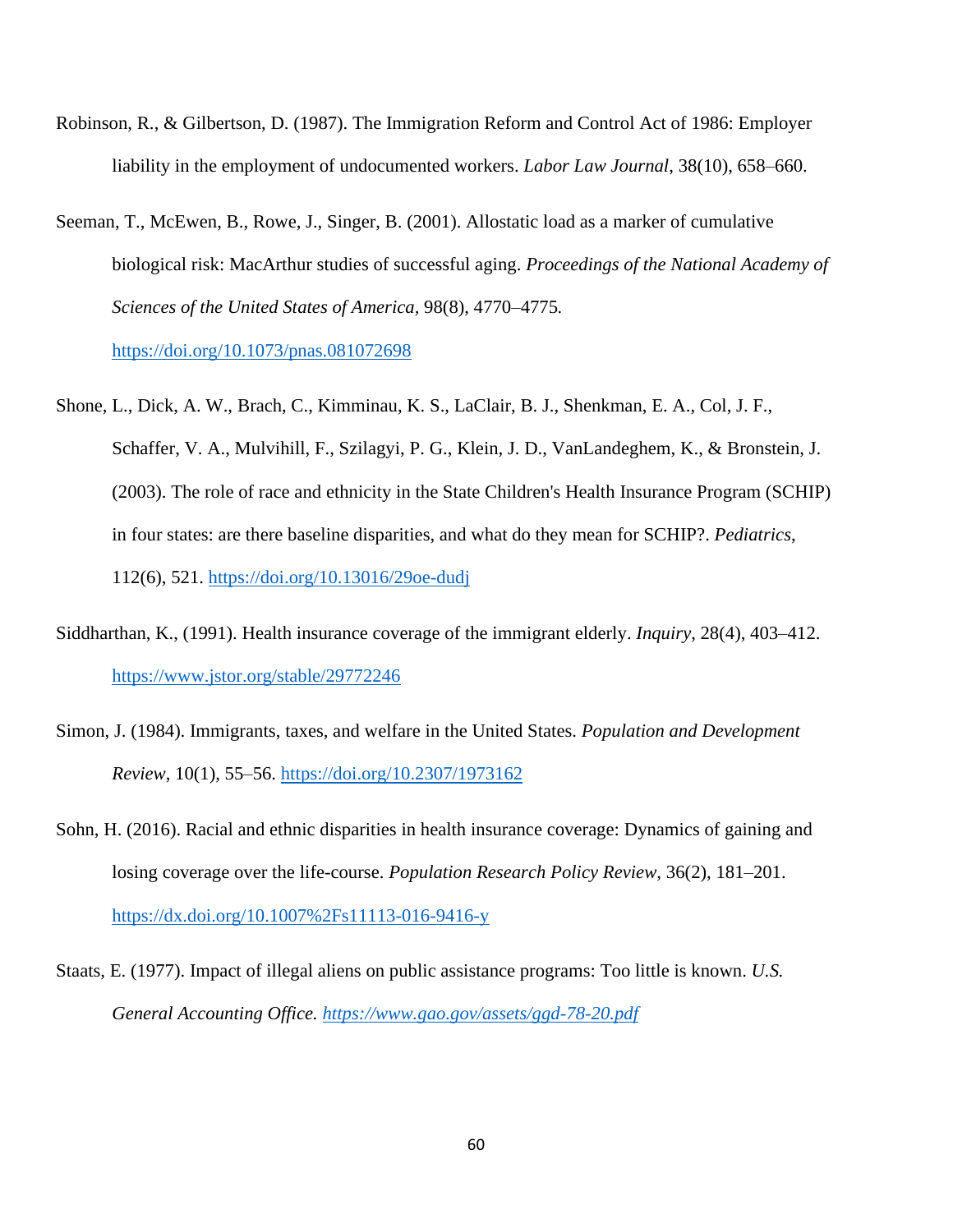- Robinson, R., & Gilbertson, D. (1987). The Immigration Reform and Control Act of 1986: Employer liability in the employment of undocumented workers. *Labor Law Journal*, 38(10), 658–660.
- Seeman, T., McEwen, B., Rowe, J., Singer, B. (2001). Allostatic load as a marker of cumulative biological risk: MacArthur studies of successful aging. *Proceedings of the National Academy of Sciences of the United States of America,* 98(8), 4770–4775*.* <https://doi.org/10.1073/pnas.081072698>
- Shone, L., Dick, A. W., Brach, C., Kimminau, K. S., LaClair, B. J., Shenkman, E. A., Col, J. F., Schaffer, V. A., Mulvihill, F., Szilagyi, P. G., Klein, J. D., VanLandeghem, K., & Bronstein, J. (2003). The role of race and ethnicity in the State Children's Health Insurance Program (SCHIP) in four states: are there baseline disparities, and what do they mean for SCHIP?. *Pediatrics*, 112(6), 521.<https://doi.org/10.13016/29oe-dudj>
- Siddharthan, K., (1991). Health insurance coverage of the immigrant elderly. *Inquiry*, 28(4), 403–412. <https://www.jstor.org/stable/29772246>
- Simon, J. (1984). Immigrants, taxes, and welfare in the United States. *Population and Development Review*, 10(1), 55–56. <https://doi.org/10.2307/1973162>
- Sohn, H. (2016). Racial and ethnic disparities in health insurance coverage: Dynamics of gaining and losing coverage over the life-course. *Population Research Policy Review*, 36(2), 181–201. <https://dx.doi.org/10.1007%2Fs11113-016-9416-y>
- Staats, E. (1977). Impact of illegal aliens on public assistance programs: Too little is known. *U.S. General Accounting Office.<https://www.gao.gov/assets/ggd-78-20.pdf>*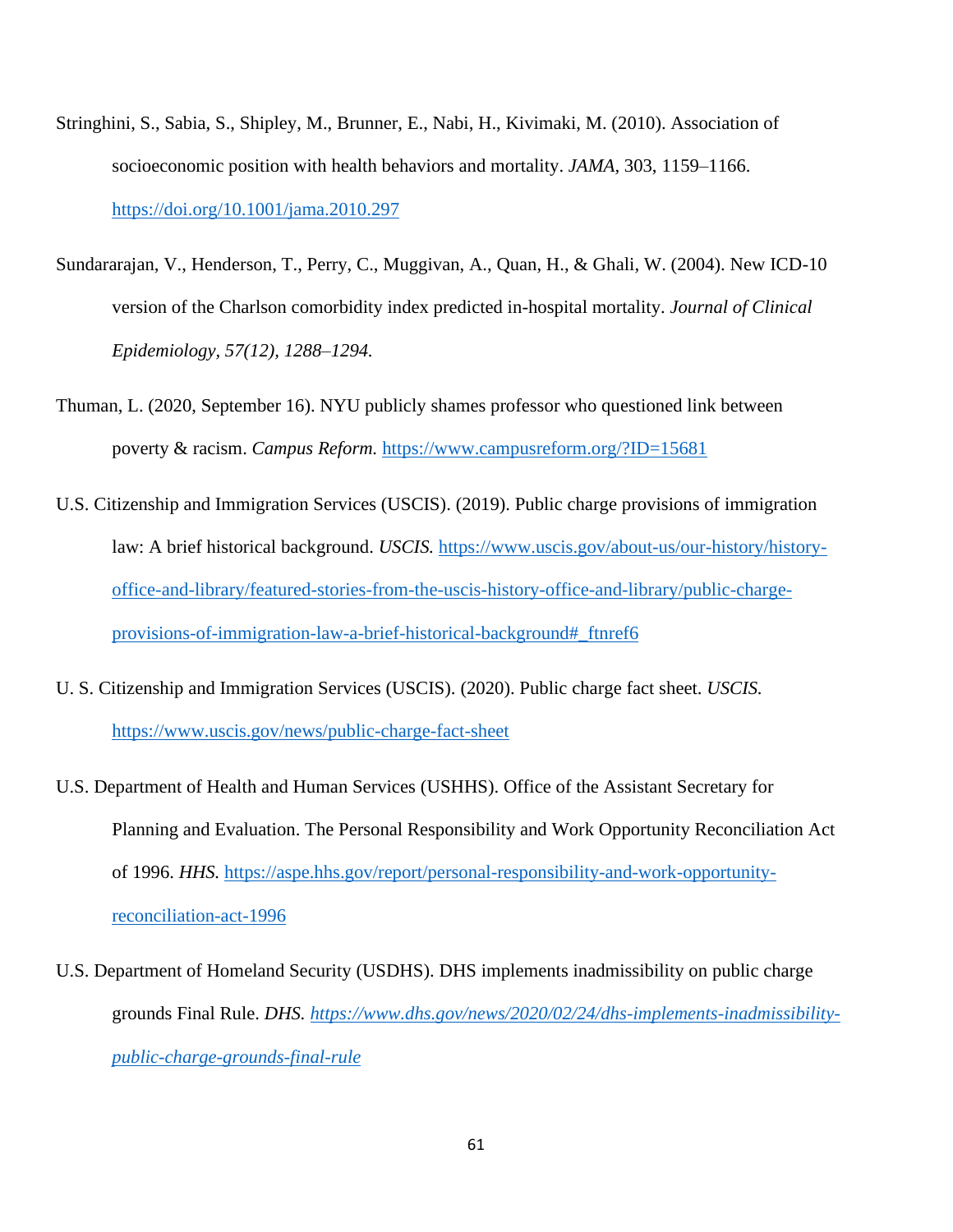- Stringhini, S., Sabia, S., Shipley, M., Brunner, E., Nabi, H., Kivimaki, M. (2010). Association of socioeconomic position with health behaviors and mortality. *JAMA,* 303, 1159–1166. <https://doi.org/10.1001/jama.2010.297>
- Sundararajan, V., Henderson, T., Perry, C., Muggivan, A., Quan, H., & Ghali, W. (2004). New ICD-10 version of the Charlson comorbidity index predicted in-hospital mortality. *Journal of Clinical Epidemiology, 57(12), 1288–1294.*
- Thuman, L. (2020, September 16). NYU publicly shames professor who questioned link between poverty & racism. *Campus Reform.* <https://www.campusreform.org/?ID=15681>
- U.S. Citizenship and Immigration Services (USCIS). (2019). Public charge provisions of immigration law: A brief historical background. *USCIS.* [https://www.uscis.gov/about-us/our-history/history](https://www.uscis.gov/about-us/our-history/history-office-and-library/featured-stories-from-the-uscis-history-office-and-library/public-charge-provisions-of-immigration-law-a-brief-historical-background#_ftnref6)[office-and-library/featured-stories-from-the-uscis-history-office-and-library/public-charge](https://www.uscis.gov/about-us/our-history/history-office-and-library/featured-stories-from-the-uscis-history-office-and-library/public-charge-provisions-of-immigration-law-a-brief-historical-background#_ftnref6)[provisions-of-immigration-law-a-brief-historical-background#\\_ftnref6](https://www.uscis.gov/about-us/our-history/history-office-and-library/featured-stories-from-the-uscis-history-office-and-library/public-charge-provisions-of-immigration-law-a-brief-historical-background#_ftnref6)
- U. S. Citizenship and Immigration Services (USCIS). (2020). Public charge fact sheet. *USCIS.*  <https://www.uscis.gov/news/public-charge-fact-sheet>
- U.S. Department of Health and Human Services (USHHS). Office of the Assistant Secretary for Planning and Evaluation. The Personal Responsibility and Work Opportunity Reconciliation Act of 1996. *HHS.* [https://aspe.hhs.gov/report/personal-responsibility-and-work-opportunity](https://aspe.hhs.gov/report/personal-responsibility-and-work-opportunity-reconciliation-act-1996)[reconciliation-act-1996](https://aspe.hhs.gov/report/personal-responsibility-and-work-opportunity-reconciliation-act-1996)
- U.S. Department of Homeland Security (USDHS). DHS implements inadmissibility on public charge grounds Final Rule. *DHS. [https://www.dhs.gov/news/2020/02/24/dhs-implements-inadmissibility](https://www.dhs.gov/news/2020/02/24/dhs-implements-inadmissibility-public-charge-grounds-final-rule)[public-charge-grounds-final-rule](https://www.dhs.gov/news/2020/02/24/dhs-implements-inadmissibility-public-charge-grounds-final-rule)*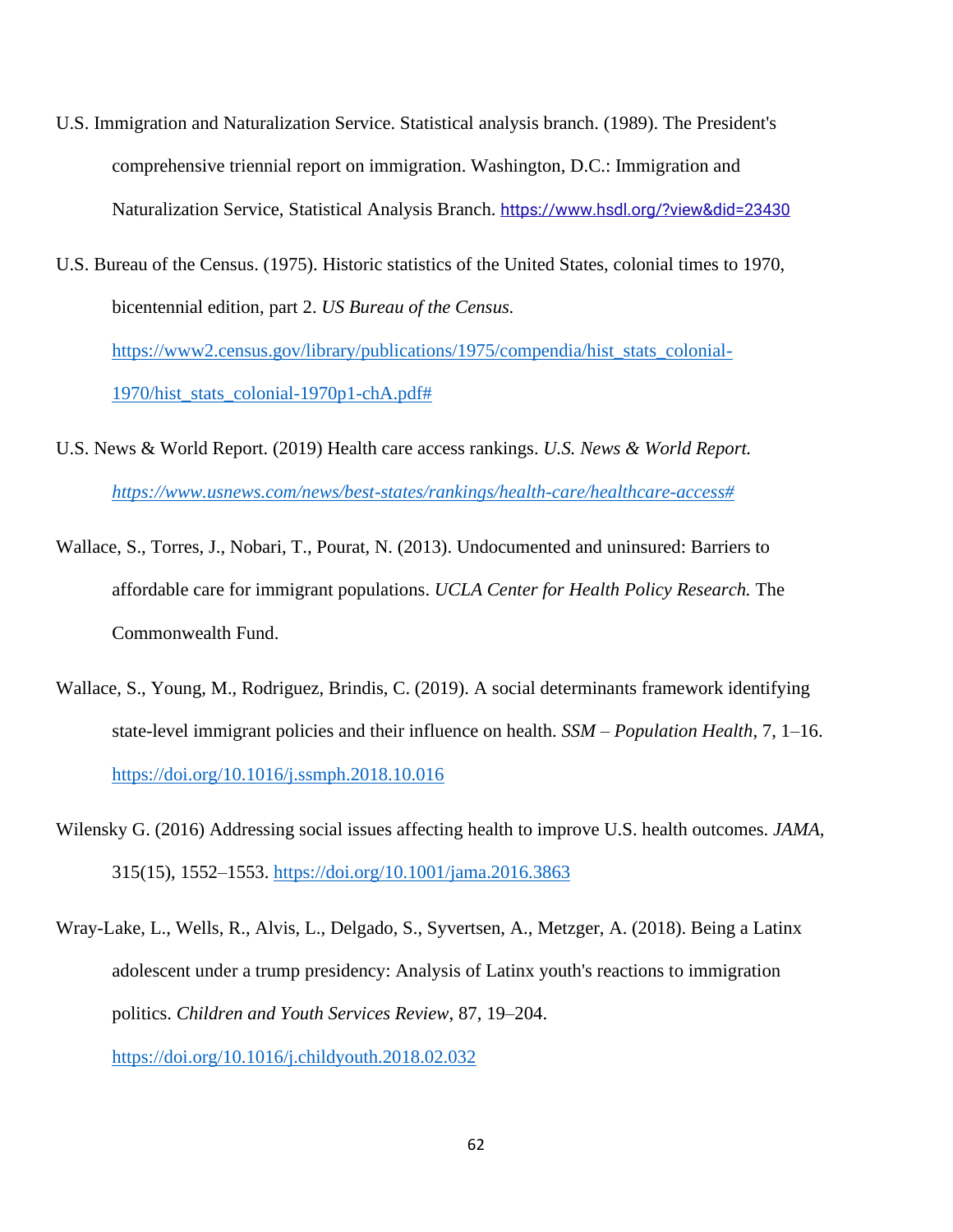- U.S. Immigration and Naturalization Service. Statistical analysis branch. (1989). The President's comprehensive triennial report on immigration. Washington, D.C.: Immigration and Naturalization Service, Statistical Analysis Branch. <https://www.hsdl.org/?view&did=23430>
- U.S. Bureau of the Census. (1975). Historic statistics of the United States, colonial times to 1970, bicentennial edition, part 2. *US Bureau of the Census.* [https://www2.census.gov/library/publications/1975/compendia/hist\\_stats\\_colonial-](https://www2.census.gov/library/publications/1975/compendia/hist_stats_colonial-1970/hist_stats_colonial-1970p1-chA.pdf)[1970/hist\\_stats\\_colonial-1970p1-chA.pdf#](https://www2.census.gov/library/publications/1975/compendia/hist_stats_colonial-1970/hist_stats_colonial-1970p1-chA.pdf)
- U.S. News & World Report. (2019) Health care access rankings. *U.S. News & World Report. [https://www.usnews.com/news/best-states/rankings/health-care/healthcare-access#](https://www.usnews.com/news/best-states/rankings/health-care/healthcare-access)*
- Wallace, S., Torres, J., Nobari, T., Pourat, N. (2013). Undocumented and uninsured: Barriers to affordable care for immigrant populations. *UCLA Center for Health Policy Research.* The Commonwealth Fund.
- Wallace, S., Young, M., Rodriguez, Brindis, C. (2019). A social determinants framework identifying state-level immigrant policies and their influence on health. *SSM – Population Health*, 7, 1–16. <https://doi.org/10.1016/j.ssmph.2018.10.016>
- Wilensky G. (2016) Addressing social issues affecting health to improve U.S. health outcomes. *JAMA,* 315(15), 1552–1553.<https://doi.org/10.1001/jama.2016.3863>
- Wray-Lake, L., Wells, R., Alvis, L., Delgado, S., Syvertsen, A., Metzger, A. (2018). Being a Latinx adolescent under a trump presidency: Analysis of Latinx youth's reactions to immigration politics. *Children and Youth Services Review*, 87, 19–204. <https://doi.org/10.1016/j.childyouth.2018.02.032>